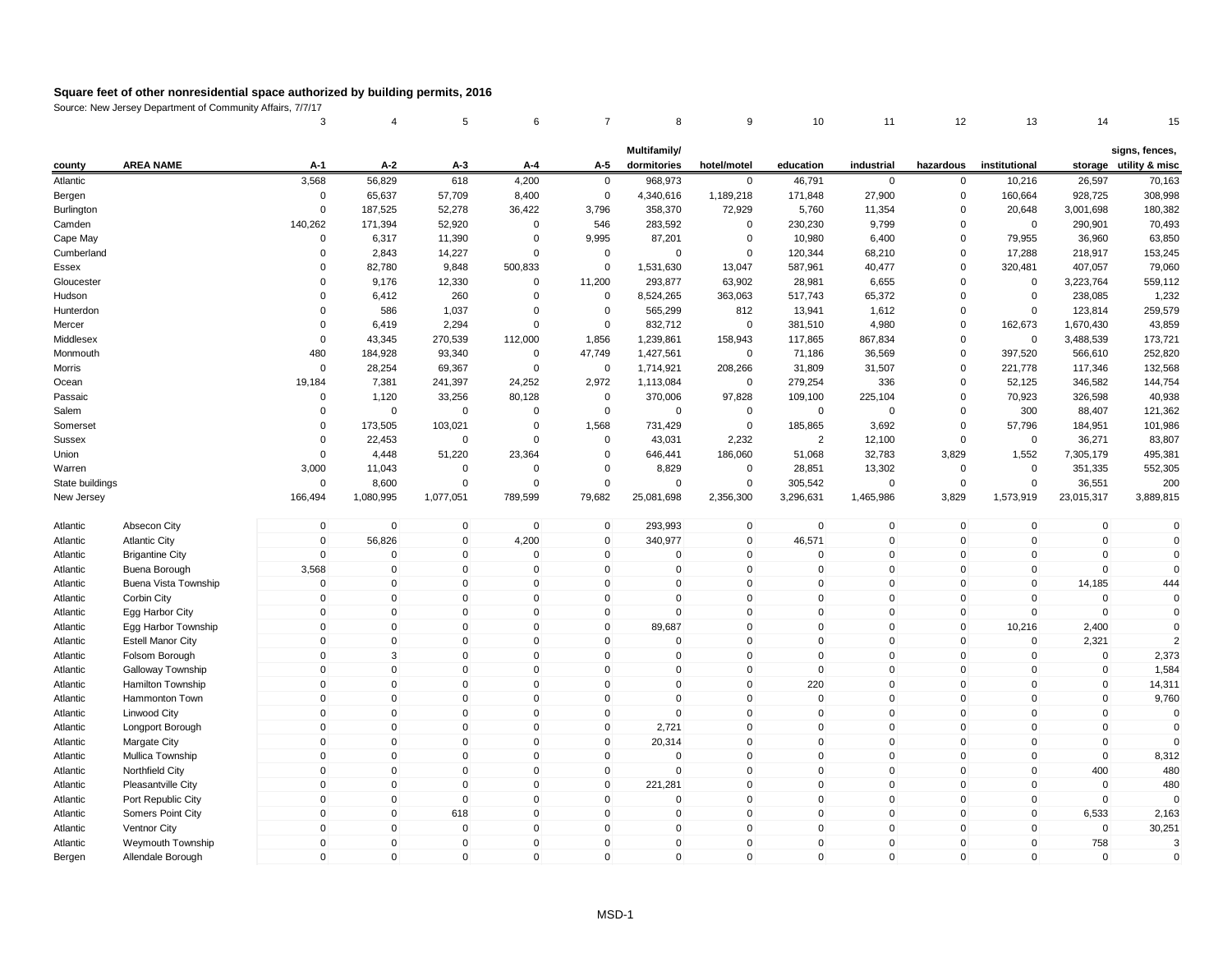|                 |                          | 3                   | 4            | 5            | 6                   | $\overline{7}$ | 8            | 9            | 10           | 11          | 12           | 13            | 14          | 15                     |
|-----------------|--------------------------|---------------------|--------------|--------------|---------------------|----------------|--------------|--------------|--------------|-------------|--------------|---------------|-------------|------------------------|
|                 |                          |                     |              |              |                     |                | Multifamily/ |              |              |             |              |               |             | signs, fences,         |
| county          | <b>AREA NAME</b>         | A-1                 | A-2          | A-3          | A-4                 | A-5            | dormitories  | hotel/motel  | education    | industrial  | hazardous    | institutional |             | storage utility & misc |
| Atlantic        |                          | 3,568               | 56,829       | 618          | 4,200               | $\mathbf 0$    | 968,973      | $\mathbf 0$  | 46,791       | $\mathbf 0$ | 0            | 10,216        | 26,597      | 70,163                 |
| Bergen          |                          | $\mathbf 0$         | 65,637       | 57,709       | 8,400               | $\mathbf 0$    | 4,340,616    | 1,189,218    | 171,848      | 27,900      | 0            | 160,664       | 928,725     | 308,998                |
| Burlington      |                          | 0                   | 187,525      | 52,278       | 36,422              | 3,796          | 358,370      | 72,929       | 5,760        | 11,354      | 0            | 20,648        | 3,001,698   | 180,382                |
| Camden          |                          | 140,262             | 171,394      | 52,920       | 0                   | 546            | 283,592      | 0            | 230,230      | 9,799       | 0            | 0             | 290,901     | 70,493                 |
| Cape May        |                          | $\Omega$            | 6,317        | 11,390       | $\Omega$            | 9,995          | 87,201       | $\pmb{0}$    | 10,980       | 6,400       | $\Omega$     | 79,955        | 36,960      | 63,850                 |
| Cumberland      |                          | $\Omega$            | 2,843        | 14,227       | $\Omega$            | $\mathbf 0$    | $\mathbf 0$  | $\mathsf 0$  | 120,344      | 68,210      | $\Omega$     | 17,288        | 218,917     | 153,245                |
| Essex           |                          | $\Omega$            | 82,780       | 9,848        | 500,833             | $\mathbf 0$    | 1,531,630    | 13,047       | 587,961      | 40,477      | $\mathbf 0$  | 320,481       | 407,057     | 79,060                 |
| Gloucester      |                          | $\Omega$            | 9,176        | 12,330       | $\mathbf 0$         | 11,200         | 293,877      | 63,902       | 28,981       | 6,655       | $\Omega$     | $\mathbf 0$   | 3,223,764   | 559,112                |
| Hudson          |                          | $\Omega$            | 6,412        | 260          | $\mathbf 0$         | 0              | 8,524,265    | 363,063      | 517,743      | 65,372      | 0            | $\mathbf 0$   | 238,085     | 1,232                  |
| Hunterdon       |                          | 0                   | 586          | 1,037        | $\mathbf 0$         | $\mathbf 0$    | 565,299      | 812          | 13,941       | 1,612       | 0            | $\mathbf 0$   | 123,814     | 259,579                |
| Mercer          |                          | $\mathbf 0$         | 6,419        | 2,294        | 0                   | 0              | 832,712      | $\pmb{0}$    | 381,510      | 4,980       | 0            | 162,673       | 1,670,430   | 43,859                 |
| Middlesex       |                          | $\Omega$            | 43,345       | 270,539      | 112,000             | 1,856          | 1,239,861    | 158,943      | 117,865      | 867,834     | $\Omega$     | $\pmb{0}$     | 3,488,539   | 173,721                |
| Monmouth        |                          | 480                 | 184,928      | 93,340       | $\mathbf 0$         | 47,749         | 1,427,561    | $\mathbf 0$  | 71,186       | 36,569      | $\mathbf 0$  | 397,520       | 566,610     | 252,820                |
| Morris          |                          | $\Omega$            | 28,254       | 69,367       | $\mathbf 0$         | $\mathbf 0$    | 1,714,921    | 208,266      | 31,809       | 31,507      | $\mathbf 0$  | 221,778       | 117,346     | 132,568                |
| Ocean           |                          | 19,184              | 7,381        | 241,397      | 24,252              | 2,972          | 1,113,084    | $\mathbf 0$  | 279,254      | 336         | $\Omega$     | 52,125        | 346,582     | 144,754                |
| Passaic         |                          | 0                   | 1,120        | 33,256       | 80,128              | $\mathbf 0$    | 370,006      | 97,828       | 109,100      | 225,104     | 0            | 70,923        | 326,598     | 40,938                 |
| Salem           |                          | $\mathbf 0$         | $\mathbf 0$  | $\mathbf 0$  | $\mathbf 0$         | $\mathbf 0$    | $\mathbf 0$  | $\mathbf 0$  | $\mathbf 0$  | $\mathbf 0$ | 0            | 300           | 88,407      | 121,362                |
| Somerset        |                          | $\Omega$            | 173,505      | 103,021      | $\mathbf 0$         | 1,568          | 731,429      | $\pmb{0}$    | 185,865      | 3,692       | $\mathbf 0$  | 57,796        | 184,951     | 101,986                |
| <b>Sussex</b>   |                          | $\Omega$            | 22,453       | $\mathbf 0$  | $\Omega$            | $\mathbf 0$    | 43,031       | 2,232        | 2            | 12,100      | $\Omega$     | $\mathbf 0$   | 36,271      | 83,807                 |
| Union           |                          | $\mathbf 0$         | 4,448        | 51,220       | 23,364              | $\mathbf 0$    | 646,441      | 186,060      | 51,068       | 32,783      | 3,829        | 1,552         | 7,305,179   | 495,381                |
| Warren          |                          | 3,000               | 11,043       | $\mathbf 0$  | $\mathbf 0$         | 0              | 8,829        | $\mathbf 0$  | 28,851       | 13,302      | 0            | $\mathbf 0$   | 351,335     | 552,305                |
| State buildings |                          | $\mathbf 0$         | 8,600        | $\mathbf 0$  | $\mathbf 0$         | 0              | $\mathbf 0$  | $\pmb{0}$    | 305,542      | $\mathsf 0$ | $\mathbf 0$  | $\mathbf 0$   | 36,551      | 200                    |
| New Jersey      |                          | 166,494             | 1,080,995    | 1,077,051    | 789,599             | 79,682         | 25,081,698   | 2,356,300    | 3,296,631    | 1,465,986   | 3,829        | 1,573,919     | 23,015,317  | 3,889,815              |
| Atlantic        | Absecon City             | $\mathbf 0$         | $\mathbf 0$  | $\mathbf 0$  | $\mathbf 0$         | $\mathbf 0$    | 293,993      | $\pmb{0}$    | $\mathbf 0$  | $\mathbf 0$ | $\mathbf 0$  | $\mathbf 0$   | $\mathbf 0$ | $\mathbf 0$            |
| Atlantic        | <b>Atlantic City</b>     | $\mathbf{0}$        | 56,826       | $\mathbf{0}$ | 4,200               | $\mathbf{0}$   | 340,977      | $\mathsf 0$  | 46,571       | $\Omega$    | $\Omega$     | $\mathbf{0}$  | $\mathbf 0$ | $\mathbf 0$            |
| Atlantic        | <b>Brigantine City</b>   | $\mathbf{0}$        | $\mathbf 0$  | $\mathbf 0$  | $\Omega$            | $\mathbf 0$    | $\mathbf 0$  | $\mathbf 0$  | $\mathbf{0}$ | $\mathbf 0$ | $\mathbf 0$  | $\mathbf{0}$  | $\mathbf 0$ | $\mathbf 0$            |
| Atlantic        | Buena Borough            | 3,568               | $\mathbf 0$  | $\mathbf 0$  | $\mathbf 0$         | $\mathbf 0$    | $\mathbf 0$  | $\mathbf 0$  | $\mathbf{0}$ | $\mathbf 0$ | $\mathbf 0$  | $\Omega$      | $\mathbf 0$ | $\mathbf 0$            |
| Atlantic        | Buena Vista Township     | $\Omega$            | $\mathbf 0$  | $\mathbf 0$  | $\Omega$            | $\mathbf{0}$   | 0            | $\mathsf 0$  | $\mathbf{0}$ | $\mathbf 0$ | $\mathbf 0$  | $\mathbf{0}$  | 14,185      | 444                    |
| Atlantic        | Corbin City              | $\mathbf 0$         | $\pmb{0}$    | $\mathbf 0$  | $\mathsf 0$         | $\mathsf 0$    | 0            | $\pmb{0}$    | $\mathbf 0$  | $\mathbf 0$ | $\mathsf 0$  | $\mathbf 0$   | $\mathbf 0$ | $\mathbf 0$            |
| Atlantic        | Egg Harbor City          | $\mathsf{O}\xspace$ | $\pmb{0}$    | $\mathbf{0}$ | $\mathsf{O}\xspace$ | $\mathsf 0$    | $\Omega$     | $\mathbf 0$  | $\mathbf{0}$ | $\mathbf 0$ | $\mathsf 0$  | $\Omega$      | $\Omega$    | $\mathbf 0$            |
| Atlantic        | Egg Harbor Township      | $\mathbf 0$         | $\pmb{0}$    | $\mathbf 0$  | $\mathbf 0$         | $\mathbf 0$    | 89,687       | $\mathsf 0$  | $\mathbf{0}$ | $\mathbf 0$ | $\mathbf 0$  | 10,216        | 2,400       | $\Omega$               |
| Atlantic        | <b>Estell Manor City</b> | $\mathbf 0$         | $\mathbf 0$  | $\mathbf 0$  | $\mathbf 0$         | $\mathbf 0$    | 0            | $\mathsf 0$  | $\mathbf{0}$ | $\mathbf 0$ | $\mathbf 0$  | $\mathbf 0$   | 2,321       | $\mathcal{P}$          |
| Atlantic        | Folsom Borough           | $\mathbf{0}$        | 3            | $\mathbf 0$  | $\mathbf 0$         | $\mathbf 0$    | 0            | $\mathsf 0$  | $\mathbf{0}$ | $\mathbf 0$ | $\mathbf 0$  | $\mathbf{0}$  | $\mathbf 0$ | 2,373                  |
| Atlantic        | Galloway Township        | $\Omega$            | $\mathbf 0$  | $\mathbf 0$  | $\mathbf 0$         | $\mathbf 0$    | $\mathbf 0$  | $\mathbf 0$  | $\mathbf{0}$ | $\mathbf 0$ | $\mathbf 0$  | $\Omega$      | $\mathbf 0$ | 1,584                  |
| Atlantic        | Hamilton Township        | $\mathbf 0$         | $\mathbf 0$  | $\mathbf 0$  | $\mathbf 0$         | $\mathbf 0$    | 0            | $\mathbf 0$  | 220          | $\mathbf 0$ | $\mathbf 0$  | $\mathbf 0$   | $\mathbf 0$ | 14,311                 |
| Atlantic        | Hammonton Town           | $\mathbf 0$         | $\pmb{0}$    | $\mathbf 0$  | $\mathsf 0$         | $\mathsf 0$    | 0            | $\pmb{0}$    | $\Omega$     | $\mathbf 0$ | $\mathsf 0$  | $\Omega$      | $\mathbf 0$ | 9,760                  |
| Atlantic        | Linwood City             | $\mathbf{0}$        | $\mathbf 0$  | $\mathbf{0}$ | $\mathbf 0$         | $\mathbf 0$    | $\Omega$     | $\mathsf 0$  | $\Omega$     | $\mathbf 0$ | $\mathbf{0}$ | $\Omega$      | $\mathbf 0$ | $\mathbf 0$            |
| Atlantic        | Longport Borough         | $\mathbf{0}$        | $\mathbf 0$  | $\mathbf 0$  | $\mathbf 0$         | $\mathbf 0$    | 2,721        | $\mathsf 0$  | $\mathbf{0}$ | $\mathbf 0$ | $\mathbf 0$  | $\mathbf{0}$  | $\mathbf 0$ | $\Omega$               |
| Atlantic        | Margate City             | $\mathbf 0$         | $\mathbf 0$  | $\mathbf 0$  | $\mathbf 0$         | $\mathbf 0$    | 20,314       | $\mathsf 0$  | $\mathbf{0}$ | $\mathbf 0$ | $\mathbf 0$  | $\mathbf 0$   | $\mathbf 0$ | $\Omega$               |
| Atlantic        | Mullica Township         | $\mathbf{0}$        | $\mathbf 0$  | $\mathbf 0$  | $\mathbf 0$         | $\mathbf 0$    | $\mathbf 0$  | $\mathbf 0$  | $\mathbf{0}$ | $\mathbf 0$ | $\mathbf 0$  | $\Omega$      | $\mathbf 0$ | 8,312                  |
| Atlantic        | <b>Northfield City</b>   | $\mathbf 0$         | $\mathbf 0$  | $\mathbf 0$  | $\mathbf 0$         | 0              | $\mathbf 0$  | $\mathbf 0$  | $\mathbf{0}$ | $\mathbf 0$ | $\mathbf 0$  | 0             | 400         | 480                    |
| Atlantic        | Pleasantville City       | $\mathbf 0$         | $\mathbf 0$  | $\mathbf 0$  | $\mathbf 0$         | $\mathbf 0$    | 221,281      | $\mathbf 0$  | $\mathbf 0$  | $\mathbf 0$ | $\mathbf 0$  | $\mathbf 0$   | $\mathbf 0$ | 480                    |
| Atlantic        | Port Republic City       | $\mathbf 0$         | $\mathbf 0$  | $\mathbf 0$  | $\mathbf 0$         | $\mathbf 0$    | $\mathbf 0$  | $\mathsf 0$  | $\mathbf{0}$ | $\mathbf 0$ | $\mathbf 0$  | $\mathbf 0$   | $\mathbf 0$ |                        |
| Atlantic        | Somers Point City        | $\mathbf 0$         | $\mathbf 0$  | 618          | $\mathbf 0$         | $\mathbf 0$    | 0            | $\mathsf 0$  | $\mathbf{0}$ | $\mathbf 0$ | $\mathbf{0}$ | $\mathbf 0$   | 6,533       | 2,163                  |
| Atlantic        | <b>Ventnor City</b>      | $\mathbf{0}$        | $\mathbf 0$  | $\mathbf 0$  | $\mathbf 0$         | $\mathbf{0}$   | 0            | $\mathsf 0$  | $\mathbf{0}$ | $\mathbf 0$ | $\mathbf 0$  | $\Omega$      | $\mathbf 0$ | 30,251                 |
| Atlantic        | Weymouth Township        | $\mathbf 0$         | $\mathbf 0$  | $\mathbf 0$  | $\mathbf 0$         | $\mathbf 0$    | 0            | $\mathbf 0$  | $\Omega$     | $\mathbf 0$ | $\mathbf 0$  | $\mathbf 0$   | 758         | 3                      |
| Bergen          | Allendale Borough        | $\mathbf{0}$        | $\mathbf{0}$ | $\mathbf 0$  | $\mathbf{0}$        | $\mathbf{0}$   | $\Omega$     | $\mathbf{0}$ | $\Omega$     | $\mathbf 0$ | $\mathbf{0}$ | $\Omega$      | $\mathbf 0$ | $\Omega$               |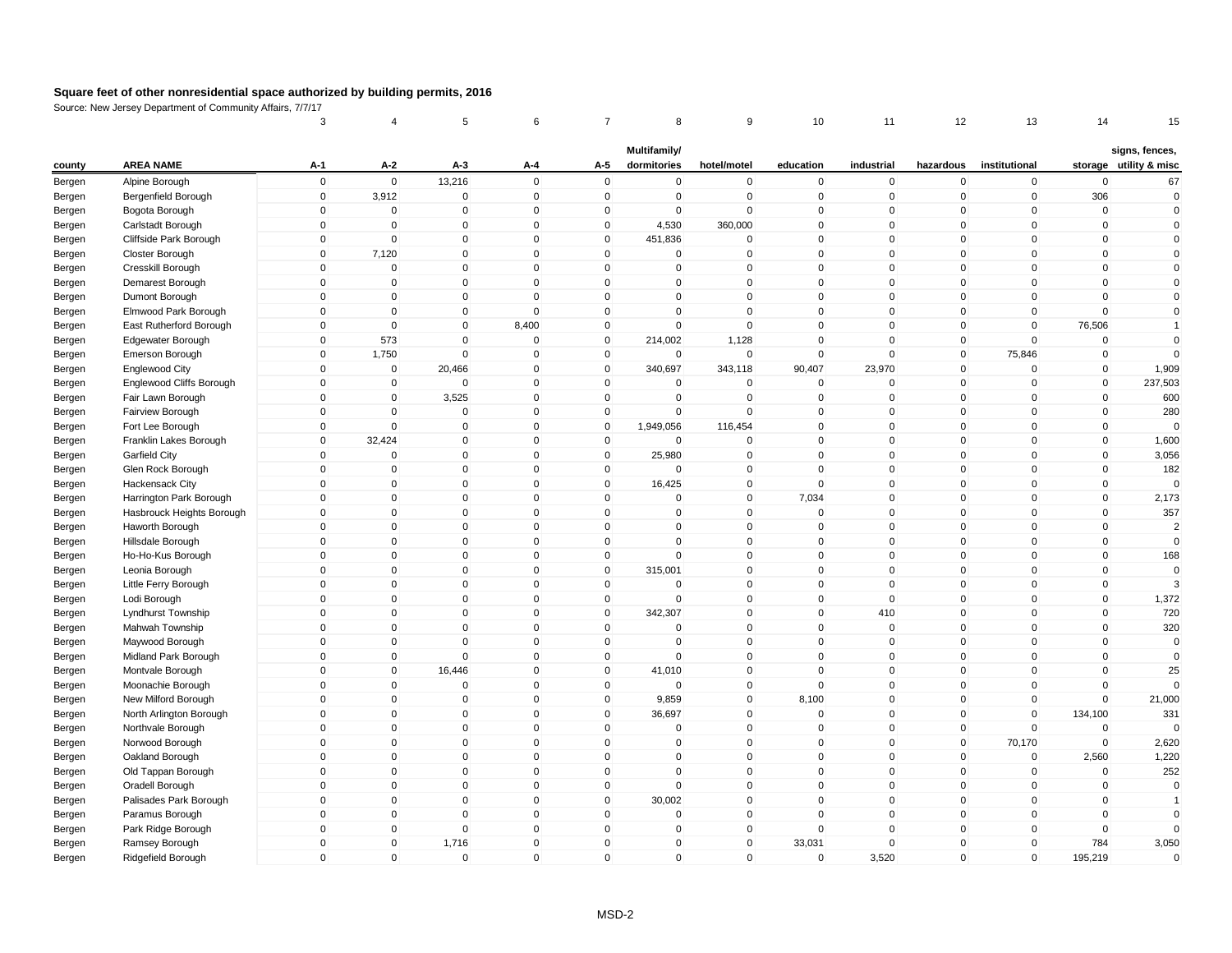|        |                           | 3                          | 4                              | 5                       | 6                           |                            | 8                           | 9                           | 10                         | 11                         | 12                          | 13                          | 14                         | 15                                       |
|--------|---------------------------|----------------------------|--------------------------------|-------------------------|-----------------------------|----------------------------|-----------------------------|-----------------------------|----------------------------|----------------------------|-----------------------------|-----------------------------|----------------------------|------------------------------------------|
| county | <b>AREA NAME</b>          | $A-1$                      | $A-2$                          | A-3                     | A-4                         | A-5                        | Multifamily/<br>dormitories | hotel/motel                 | education                  | industrial                 | hazardous                   | institutional               |                            | signs, fences,<br>storage utility & misc |
| Bergen | Alpine Borough            | $\mathsf 0$                | $\mathbf 0$                    | 13,216                  | $\mathbf 0$                 | $\mathbf 0$                | $\mathbf 0$                 | $\pmb{0}$                   | $\mathbf 0$                | $\mathbf 0$                | $\mathbf 0$                 | $\mathbf 0$                 | $\mathbf 0$                | 67                                       |
| Bergen | Bergenfield Borough       | $\mathbf 0$                | 3,912                          | $\mathbf 0$             | $\mathbf 0$                 | $\mathbf 0$                | $\mathbf 0$                 | $\mathbf 0$                 | $\mathbf 0$                | $\mathbf 0$                | $\mathbf 0$                 | $\overline{0}$              | 306                        | $\mathbf 0$                              |
| Bergen | Bogota Borough            | $\mathbf 0$                | $\mathbf{0}$                   | $\mathbf 0$             | $\mathbf{0}$                | 0                          | $\mathbf 0$                 | $\pmb{0}$                   | $\mathbf 0$                | $\mathbf 0$                | 0                           | $\mathbf{0}$                | $\mathbf 0$                | $\mathbf{0}$                             |
| Bergen | Carlstadt Borough         | $\mathsf 0$                | $\mathbf 0$                    | $\Omega$                | $\mathbf{0}$                | $\mathbf 0$                | 4,530                       | 360,000                     | $\mathbf 0$                | $\Omega$                   | $\mathbf{0}$                | $\mathbf{0}$                | $\mathbf 0$                | $\mathbf 0$                              |
| Bergen | Cliffside Park Borough    | $\mathbf 0$                | $\overline{0}$                 | $\mathbf 0$             | $\mathbf 0$                 | $\mathbf 0$                | 451,836                     | $\overline{0}$              | $\mathbf 0$                | $\mathbf 0$                | $\mathbf 0$                 | $\mathbf 0$                 | $\mathbf 0$                | $\mathbf 0$                              |
| Bergen | Closter Borough           | $\mathsf 0$                | 7,120                          | $\Omega$                | $\mathbf{0}$                | $\mathbf{0}$               | $\mathbf{0}$                | $\mathbf 0$                 | $\mathbf 0$                | $\mathbf 0$                | $\mathbf 0$                 | $\mathbf{0}$                | $\mathbf 0$                | $\mathbf 0$                              |
| Bergen | Cresskill Borough         | $\Omega$                   | $\mathbf 0$                    | $\mathbf 0$             | $\mathbf 0$                 | $\Omega$                   | $\mathbf{0}$                | $\mathbf 0$                 | $\mathbf 0$                | $\mathbf 0$                | $\mathbf 0$                 | $\mathbf{0}$                | $\mathbf 0$                | $\mathbf 0$                              |
| Bergen | Demarest Borough          | $\mathsf 0$                | $\mathbf 0$                    | 0                       | $\mathbf 0$                 | $\mathbf 0$                | $\mathbf 0$                 | $\mathbf 0$                 | $\mathbf 0$                | $\mathbf 0$                | $\mathbf 0$                 | $\mathbf 0$                 | $\mathbf 0$                | $\mathbf 0$                              |
| Bergen | Dumont Borough            | $\mathsf 0$                | $\overline{0}$                 | $\mathbf{0}$            | $\mathbf{0}$                | $\Omega$                   | $\mathbf{0}$                | $\mathbf 0$                 | $\mathbf 0$                | $\mathbf 0$                | $\mathbf 0$                 | $\mathbf{0}$                | $\mathbf 0$                | $\mathbf{0}$                             |
| Bergen | Elmwood Park Borough      | $\mathbf 0$                | $\overline{0}$                 | 0                       | $\mathbf 0$                 | $\mathbf 0$                | $\mathbf 0$                 | $\mathbf 0$                 | $\mathbf 0$                | $\mathbf 0$                | $\mathbf 0$                 | $\mathbf 0$                 | $\mathbf 0$                | $\mathbf 0$                              |
| Bergen | East Rutherford Borough   | 0                          | $\mathbf 0$                    | $\mathbf 0$             | 8,400                       | $\mathbf 0$                | $\mathbf 0$                 | $\mathbf 0$                 | 0                          | $\Omega$                   | 0                           | $\mathbf 0$                 | 76,506                     | $\mathbf{1}$                             |
| Bergen | Edgewater Borough         | $\mathbf 0$                | 573                            | $\mathbf 0$             | $\Omega$                    | $\mathbf 0$                | 214,002                     | 1,128                       | $\mathbf 0$                | $\mathbf 0$                | $\mathbf 0$                 | $\mathbf{0}$                | $\mathbf 0$                | $\mathbf 0$                              |
|        | <b>Emerson Borough</b>    | $\mathsf 0$                | 1,750                          | $\mathbf 0$             | $\mathbf 0$                 | $\mathbf 0$                | $\mathbf 0$                 | $\mathbf 0$                 | 0                          | $\mathsf 0$                | $\mathbf 0$                 | 75,846                      | $\mathbf 0$                | $\mathbf 0$                              |
| Bergen | Englewood City            | $\Omega$                   | $\overline{0}$                 | 20,466                  | $\mathbf 0$                 | $\mathbf 0$                | 340,697                     | 343,118                     | 90,407                     | 23,970                     | $\mathbf 0$                 | $\mathbf{0}$                | $\mathbf 0$                | 1,909                                    |
| Bergen | Englewood Cliffs Borough  | $\mathsf 0$                | $\mathbf 0$                    | $\Omega$                | $\mathbf 0$                 | $\mathbf 0$                | $\mathbf 0$                 | $\mathbf 0$                 | $\mathbf 0$                | $\mathbf 0$                | $\mathbf 0$                 | $\mathbf 0$                 | $\mathbf 0$                | 237,503                                  |
| Bergen | Fair Lawn Borough         | $\mathsf 0$                | $\mathbf 0$                    | 3,525                   | $\mathbf 0$                 | $\mathbf 0$                | $\mathbf 0$                 | $\mathbf 0$                 | $\mathbf 0$                | $\mathbf 0$                | $\mathbf 0$                 | $\mathbf 0$                 | $\mathbf 0$                | 600                                      |
| Bergen | Fairview Borough          | $\mathsf 0$                | $\mathbf 0$                    | $\mathbf 0$             | $\mathbf 0$                 | $\mathbf 0$                | $\mathbf 0$                 | $\mathsf 0$                 | $\mathbf 0$                | $\mathbf 0$                | $\mathbf 0$                 | $\mathbf 0$                 | $\mathbf 0$                | 280                                      |
| Bergen |                           | $\mathbf 0$                | $\overline{0}$                 | $\mathbf 0$             | $\mathbf 0$                 | $\mathbf 0$                |                             |                             | $\mathbf 0$                | $\mathbf 0$                | $\mathbf 0$                 | $\mathbf 0$                 | $\mathbf 0$                | $\Omega$                                 |
| Bergen | Fort Lee Borough          | 0                          |                                | 0                       | $\mathbf 0$                 | $\mathbf 0$                | 1,949,056<br>0              | 116,454<br>$\Omega$         | 0                          | $\mathbf 0$                | 0                           | 0                           | $\pmb{0}$                  |                                          |
| Bergen | Franklin Lakes Borough    | $\mathsf 0$                | 32,424<br>$\Omega$             | $\mathbf{0}$            | $\mathbf 0$                 | $\mathbf 0$                | 25,980                      | $\mathsf 0$                 | $\mathbf 0$                | $\mathbf 0$                | $\mathbf{0}$                | $\mathbf{0}$                | $\mathbf 0$                | 1,600                                    |
| Bergen | Garfield City             | $\mathsf 0$                |                                |                         | $\mathbf 0$                 | $\mathbf 0$                |                             |                             | $\mathbf 0$                | $\mathbf 0$                | $\mathbf 0$                 | $\mathbf{0}$                |                            | 3,056                                    |
| Bergen | Glen Rock Borough         | $\mathbf 0$                | $\overline{0}$<br>$\mathbf{0}$ | $\mathbf 0$<br>$\Omega$ | $\mathbf{0}$                | $\mathbf{0}$               | $\mathbf 0$<br>16,425       | $\mathbf 0$                 | $\mathbf 0$                | $\Omega$                   |                             | $\mathbf{0}$                | $\mathbf 0$                | 182<br>$\Omega$                          |
| Bergen | Hackensack City           | $\Omega$                   | $\mathbf{0}$                   | $\Omega$                | $\mathbf{0}$                | $\Omega$                   | $\Omega$                    | $\mathbf 0$<br>$\mathbf{0}$ |                            | $\mathbf 0$                | 0<br>$\mathbf{0}$           | $\Omega$                    | 0<br>$\mathbf 0$           |                                          |
| Bergen | Harrington Park Borough   |                            |                                |                         |                             |                            |                             |                             | 7,034                      |                            |                             |                             |                            | 2,173                                    |
| Bergen | Hasbrouck Heights Borough | $\mathbf 0$<br>$\mathbf 0$ | $\mathbf 0$<br>$\mathbf{0}$    | 0<br>$\mathbf 0$        | $\mathbf 0$<br>$\mathbf{0}$ | $\mathbf 0$<br>$\Omega$    | $\mathbf 0$<br>$\mathbf{0}$ | $\mathbf 0$<br>$\mathbf 0$  | 0<br>$\mathbf 0$           | $\mathbf 0$<br>$\mathbf 0$ | $\mathbf 0$<br>$\mathbf{0}$ | 0<br>$\mathbf 0$            | $\mathbf 0$<br>$\mathbf 0$ | 357<br>$\overline{2}$                    |
| Bergen | Haworth Borough           | $\mathsf 0$                |                                |                         | $\mathbf 0$                 | $\mathbf 0$                |                             |                             |                            |                            |                             |                             | $\mathbf 0$                |                                          |
| Bergen | Hillsdale Borough         |                            | $\mathbf 0$                    | $\mathbf 0$             |                             |                            | $\mathbf 0$                 | $\mathbf 0$                 | $\mathbf 0$                | $\mathbf 0$                | $\mathbf 0$                 | $\mathbf 0$                 |                            | $\mathbf 0$                              |
| Bergen | Ho-Ho-Kus Borough         | $\mathbf 0$<br>$\Omega$    | $\mathbf 0$<br>$\mathbf{0}$    | $\mathbf 0$             | $\mathbf 0$<br>$\mathbf{0}$ | $\mathbf 0$<br>$\mathbf 0$ | $\mathbf{0}$                | $\mathbf 0$<br>$\mathbf 0$  | $\mathbf 0$<br>$\mathbf 0$ | $\mathbf 0$<br>$\mathbf 0$ | $\mathbf 0$<br>$\mathbf{0}$ | $\mathbf 0$<br>$\mathbf{0}$ | $\mathbf 0$<br>$\mathbf 0$ | 168<br>$\Omega$                          |
| Bergen | Leonia Borough            |                            |                                | $\mathbf 0$             |                             |                            | 315,001                     |                             |                            |                            |                             |                             |                            |                                          |
| Bergen | Little Ferry Borough      | $\mathsf 0$                | $\overline{0}$                 | $\mathbf 0$             | $\mathbf 0$                 | $\mathbf 0$                | 0                           | $\mathbf 0$                 | $\mathbf 0$                | $\mathbf 0$                | $\mathbf 0$                 | $\mathbf 0$                 | $\pmb{0}$                  | 3                                        |
| Bergen | Lodi Borough              | $\mathbf 0$                | $\mathbf 0$<br>$\Omega$        | $\overline{0}$          | $\mathbf 0$                 | $\mathbf 0$                | $\mathbf 0$                 | $\overline{0}$              | $\mathbf 0$                | $\mathbf 0$                | $\mathbf 0$                 | $\mathbf 0$                 | $\pmb{0}$                  | 1,372                                    |
| Bergen | Lyndhurst Township        | $\mathbf 0$<br>$\Omega$    |                                | 0<br>$\mathbf{0}$       | $\mathbf 0$<br>$\mathbf{0}$ | $\mathbf 0$<br>$\Omega$    | 342,307<br>$\Omega$         | $\mathbf 0$                 | $\mathbf 0$<br>$\mathbf 0$ | 410                        | $\mathbf 0$                 | $\mathbf 0$<br>$\mathbf{0}$ | $\mathbf 0$                | 720                                      |
| Bergen | Mahwah Township           | $\mathsf 0$                | $\mathbf 0$<br>$\mathbf 0$     | $\mathbf 0$             | $\mathbf 0$                 | $\mathbf 0$                | $\mathbf 0$                 | $\mathbf 0$<br>$\mathbf 0$  | $\mathbf 0$                | $\mathsf 0$<br>$\mathsf 0$ | $\mathbf 0$<br>$\mathbf 0$  | $\mathbf 0$                 | $\mathbf 0$<br>$\mathbf 0$ | 320                                      |
| Bergen | Maywood Borough           |                            |                                | $\mathbf 0$             | $\mathbf{0}$                |                            |                             |                             |                            | $\mathbf 0$                |                             |                             |                            | $\mathbf 0$                              |
| Bergen | Midland Park Borough      | $\mathsf 0$                | $\mathbf 0$                    |                         |                             | $\mathbf 0$                | $\mathbf 0$                 | $\mathbf 0$                 | $\mathbf 0$                |                            | $\mathbf 0$                 | $\mathbf 0$                 | $\mathbf 0$                | $\mathbf 0$                              |
| Bergen | Montvale Borough          | $\mathsf 0$<br>$\Omega$    | $\overline{0}$                 | 16,446                  | $\mathbf 0$<br>$\mathbf{0}$ | 0                          | 41,010                      | $\overline{0}$              | 0                          | $\mathbf 0$<br>$\Omega$    | $\mathbf 0$                 | $\mathbf 0$<br>$\mathbf{0}$ | $\pmb{0}$<br>$\mathbf 0$   | 25<br>$\Omega$                           |
| Bergen | Moonachie Borough         |                            | $\mathbf{0}$                   | $\mathbf 0$             |                             | $\mathbf 0$                | $\mathbf{0}$                | $\mathbf 0$                 | $\mathbf 0$                |                            | $\mathbf{0}$                |                             |                            |                                          |
| Bergen | New Milford Borough       | $\mathsf 0$                | $\mathbf 0$                    | $\overline{0}$          | $\mathbf 0$                 | $\mathbf 0$                | 9,859                       | $\mathbf 0$                 | 8,100                      | $\mathbf 0$                | $\mathbf 0$                 | $\mathbf 0$                 | $\mathbf 0$                | 21,000                                   |
| Bergen | North Arlington Borough   | $\mathbf 0$<br>$\Omega$    | $\mathbf 0$                    | 0                       | $\mathbf 0$                 | $\mathbf 0$                | 36,697                      | $\overline{0}$              | $\mathbf 0$                | $\mathbf 0$                | $\mathbf 0$                 | $\overline{0}$              | 134,100                    | 331                                      |
| Bergen | Northvale Borough         |                            | $\mathbf{0}$                   | $\mathbf 0$             | $\mathbf{0}$                | $\Omega$                   | $\Omega$                    | $\mathbf 0$                 | $\mathbf 0$                | $\mathbf 0$                | $\mathbf 0$                 | $\mathbf 0$                 | $\mathbf 0$                |                                          |
| Bergen | Norwood Borough           | $\mathsf 0$                | $\mathbf 0$                    | 0                       | $\mathbf 0$                 | $\Omega$                   | $\mathbf 0$                 | $\mathbf 0$                 | $\mathbf 0$                | $\mathsf 0$                | $\mathbf 0$                 | 70,170                      | $\mathbf 0$                | 2,620                                    |
| Bergen | Oakland Borough           | $\mathbf 0$                | $\mathbf{0}$                   | $\mathbf{0}$            | $\mathbf{0}$                | $\Omega$                   | $\mathbf{0}$                | $\mathbf{0}$                | $\mathbf 0$                | $\Omega$                   | $\mathbf{0}$                | $\mathbf{0}$                | 2,560                      | 1,220                                    |
| Bergen | Old Tappan Borough        | $\mathbf 0$                | $\mathbf 0$                    | $\mathbf 0$             | $\mathbf 0$                 | $\mathbf 0$                | $\mathbf 0$                 | $\mathbf 0$                 | $\mathbf 0$                | $\mathbf 0$                | $\mathbf 0$                 | $\mathbf 0$                 | $\mathbf 0$                | 252                                      |
| Bergen | Oradell Borough           | $\mathbf 0$                | $\mathbf 0$                    | $\mathbf 0$             | $\mathbf 0$                 | $\mathbf 0$                | $\mathbf 0$                 | $\mathbf 0$                 | $\mathbf 0$                | $\mathbf 0$                | $\mathbf 0$                 | $\mathbf 0$                 | $\mathbf 0$                | $\mathbf 0$                              |
| Bergen | Palisades Park Borough    | $\mathbf 0$                | $\Omega$                       | $\mathbf 0$             | $\mathbf 0$                 | $\mathbf 0$                | 30,002                      | $\mathbf 0$                 | $\mathbf 0$                | $\mathbf 0$                | $\mathbf 0$                 | $\mathbf 0$                 | $\mathbf 0$                | $\overline{1}$                           |
| Bergen | Paramus Borough           | $\mathsf 0$                | $\mathbf 0$                    | $\mathbf 0$             | $\mathbf 0$                 | $\mathbf 0$                | $\mathbf 0$                 | $\mathbf 0$                 | $\mathbf 0$                | $\mathbf 0$                | $\mathbf 0$                 | $\overline{0}$              | $\mathbf 0$                | $\mathbf 0$                              |
| Bergen | Park Ridge Borough        | $\mathbf 0$                | $\mathbf 0$                    | $\overline{0}$          | $\mathbf 0$                 | $\mathbf 0$                | $\mathbf 0$                 | $\overline{0}$              | $\mathbf 0$                | $\mathbf 0$                | $\mathbf 0$                 | $\overline{0}$              | $\mathbf 0$                | $\mathbf 0$                              |
| Bergen | Ramsey Borough            | $\mathbf 0$                | $\mathbf{0}$                   | 1,716                   | $\mathbf{0}$                | $\Omega$                   | $\mathbf{0}$                | $\mathbf 0$                 | 33,031                     | $\mathbf 0$                | $\mathbf 0$                 | $\mathbf{0}$                | 784                        | 3,050                                    |
| Bergen | Ridgefield Borough        | $\Omega$                   | $\mathbf{0}$                   | $\overline{0}$          | $\mathbf{0}$                | $\Omega$                   | $\mathbf{0}$                | $\mathbf 0$                 | $\mathbf 0$                | 3,520                      | $\mathbf 0$                 | $\mathbf{0}$                | 195,219                    | $\mathbf 0$                              |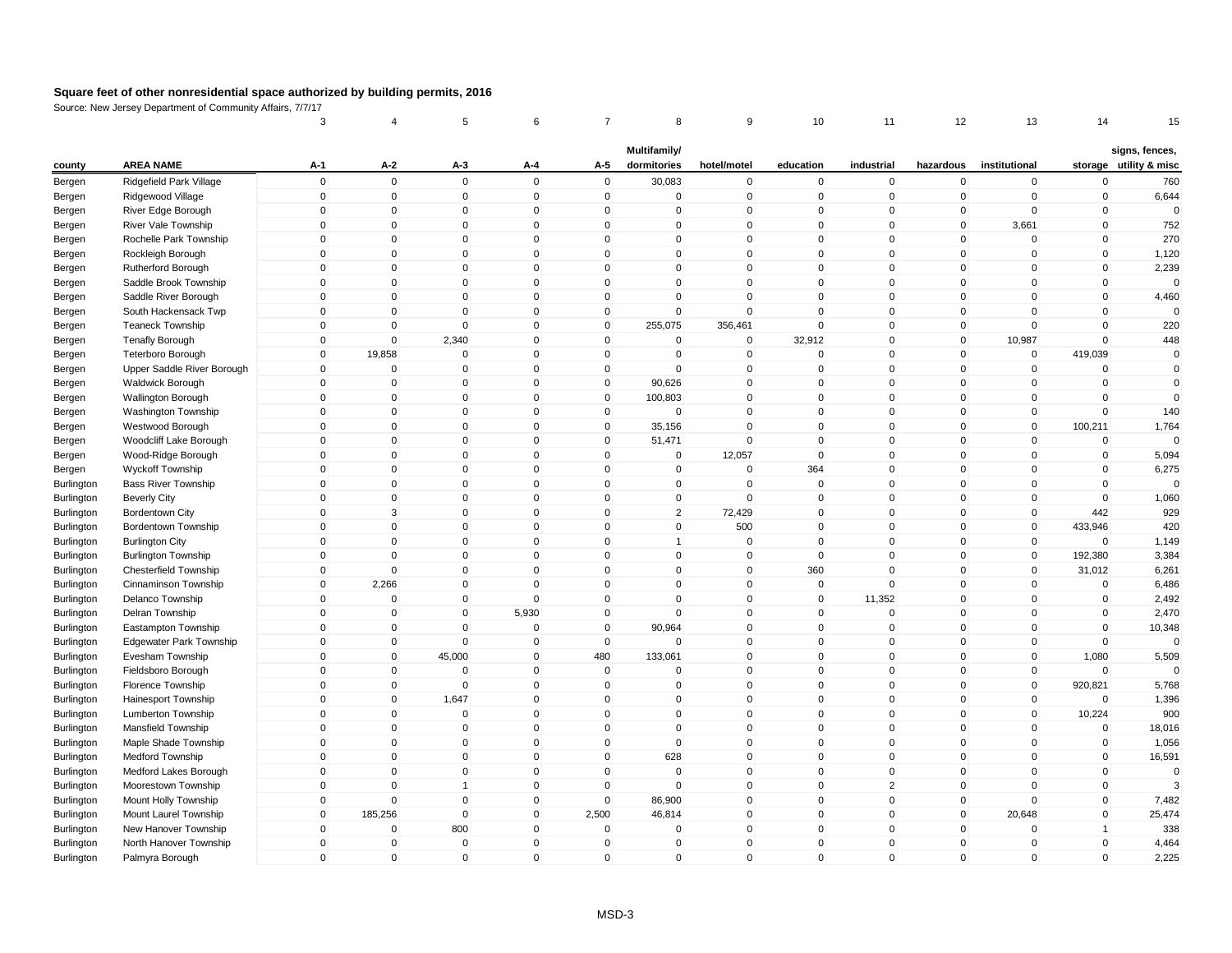|            |                                | 3                   | 4              | 5              | 6            | 7            | 8              | 9           | 10           | 11             | 12             | 13            | 14           | 15                     |
|------------|--------------------------------|---------------------|----------------|----------------|--------------|--------------|----------------|-------------|--------------|----------------|----------------|---------------|--------------|------------------------|
|            |                                |                     |                |                |              |              | Multifamily/   |             |              |                |                |               |              | signs, fences,         |
| county     | <b>AREA NAME</b>               | A-1                 | A-2            | A-3            | A-4          | A-5          | dormitories    | hotel/motel | education    | industrial     | hazardous      | institutional |              | storage utility & misc |
| Bergen     | Ridgefield Park Village        | $\mathbf 0$         | $\mathbf 0$    | $\mathbf 0$    | $\mathbf 0$  | $\mathbf 0$  | 30,083         | $\pmb{0}$   | $\mathbf 0$  | $\mathbf 0$    | 0              | $\mathbf 0$   | $\mathbf 0$  | 760                    |
| Bergen     | Ridgewood Village              | $\mathbf 0$         | $\mathbf 0$    | $\mathbf 0$    | $\mathbf 0$  | $\mathbf 0$  | $\mathbf 0$    | $\mathbf 0$ | $\mathbf 0$  | $\mathbf 0$    | $\mathbf 0$    | $\mathbf 0$   | $\mathbf 0$  | 6,644                  |
| Bergen     | River Edge Borough             | $\mathsf{O}\xspace$ | $\pmb{0}$      | $\mathbf 0$    | $\mathbf 0$  | 0            | $\mathsf 0$    | $\pmb{0}$   | $\Omega$     | 0              | $\mathbf{0}$   | $\mathbf 0$   | $\Omega$     | $\Omega$               |
| Bergen     | <b>River Vale Township</b>     | $\mathbf 0$         | $\mathbf 0$    | $\mathbf 0$    | $\Omega$     | $\mathbf{0}$ | $\Omega$       | $\mathsf 0$ | $\Omega$     | $\mathbf{0}$   | $\overline{0}$ | 3,661         | $\Omega$     | 752                    |
| Bergen     | Rochelle Park Township         | $\mathbf 0$         | $\mathbf 0$    | $\mathbf 0$    | $\mathbf 0$  | $\mathbf 0$  | $\mathbf 0$    | $\mathbf 0$ | $\mathbf{0}$ | $\mathbf 0$    | $\mathbf 0$    | $\mathbf 0$   | $\mathbf 0$  | 270                    |
| Bergen     | Rockleigh Borough              | $\mathbf 0$         | $\mathbf 0$    | $\mathbf 0$    | $\mathbf{0}$ | $\mathbf{0}$ | $\Omega$       | $\mathsf 0$ | $\mathbf{0}$ | $\mathbf{0}$   | $\mathbf 0$    | $\mathbf 0$   | $\mathbf{0}$ | 1,120                  |
| Bergen     | Rutherford Borough             | $\mathbf{0}$        | $\mathbf 0$    | $\mathbf 0$    | $\mathbf{0}$ | $\mathbf 0$  | $\Omega$       | $\mathsf 0$ | $\Omega$     | $\mathbf 0$    | $\overline{0}$ | $\Omega$      | $\mathbf{0}$ | 2,239                  |
| Bergen     | Saddle Brook Township          | $\mathbf 0$         | $\mathbf 0$    | $\mathbf 0$    | $\mathbf 0$  | $\mathbf 0$  | 0              | $\mathsf 0$ | $\mathbf 0$  | $\mathbf 0$    | $\mathbf 0$    | $\mathbf 0$   | $\mathbf 0$  | $\mathbf{0}$           |
| Bergen     | Saddle River Borough           | $\mathbf 0$         | $\mathbf 0$    | $\mathbf{0}$   | $\Omega$     | $\mathbf 0$  | $\Omega$       | $\mathbf 0$ | $\mathbf{0}$ | $\mathbf{0}$   | $\overline{0}$ | $\mathbf 0$   | $\theta$     | 4,460                  |
| Bergen     | South Hackensack Twp           | $\mathbf 0$         | $\mathbf 0$    | $\mathbf 0$    | $\mathbf 0$  | $\mathbf 0$  | $\mathbf 0$    | $\mathsf 0$ | $\mathbf 0$  | $\mathbf 0$    | $\overline{0}$ | $\mathbf 0$   | $\mathbf 0$  | $\Omega$               |
| Bergen     | <b>Teaneck Township</b>        | 0                   | $\mathbf 0$    | $\mathbf 0$    | $\Omega$     | $\mathbf 0$  | 255,075        | 356,461     | $\Omega$     | $\mathbf 0$    | $\mathbf 0$    | $\Omega$      | $\Omega$     | 220                    |
| Bergen     | <b>Tenafly Borough</b>         | $\mathbf 0$         | $\mathbf 0$    | 2,340          | $\mathbf 0$  | $\mathbf 0$  | $\mathbf 0$    | $\mathbf 0$ | 32,912       | $\mathbf 0$    | $\overline{0}$ | 10,987        | $\mathbf 0$  | 448                    |
| Bergen     | <b>Teterboro Borough</b>       | $\mathbf 0$         | 19,858         | $\mathbf 0$    | $\mathbf 0$  | $\mathbf 0$  | $\mathbf 0$    | $\pmb{0}$   | $\mathbf 0$  | $\mathbf 0$    | $\mathbf 0$    | $\mathbf 0$   | 419,039      | $\mathbf 0$            |
| Bergen     | Upper Saddle River Borough     | $\mathbf{0}$        | $\mathbf 0$    | $\mathbf 0$    | $\mathbf{0}$ | $\mathbf 0$  | $\mathbf{0}$   | $\mathbf 0$ | $\mathbf{0}$ | $\mathbf 0$    | $\mathbf{0}$   | $\mathbf{0}$  | $\Omega$     | $\mathbf{0}$           |
| Bergen     | Waldwick Borough               | $\mathbf 0$         | $\mathbf 0$    | $\mathbf 0$    | $\mathbf 0$  | $\mathbf 0$  | 90,626         | $\mathbf 0$ | $\Omega$     | $\mathbf{0}$   | $\mathbf{0}$   | $\Omega$      | $\Omega$     | $\mathbf 0$            |
| Bergen     | Wallington Borough             | $\mathbf 0$         | $\mathbf 0$    | $\mathbf 0$    | $\mathbf 0$  | $\mathbf 0$  | 100,803        | $\mathsf 0$ | $\mathbf{0}$ | $\mathbf 0$    | $\overline{0}$ | $\pmb{0}$     | $\mathbf 0$  | $\mathbf{0}$           |
| Bergen     | Washington Township            | $\mathbf 0$         | $\mathbf 0$    | $\mathbf 0$    | $\mathbf 0$  | $\mathbf 0$  | $\mathbf 0$    | $\mathsf 0$ | $\Omega$     | $\mathbf 0$    | $\mathbf 0$    | $\mathbf 0$   | $\Omega$     | 140                    |
| Bergen     | Westwood Borough               | $\mathbf 0$         | $\mathbf 0$    | $\mathbf 0$    | $\mathbf 0$  | $\mathbf 0$  | 35,156         | $\mathbf 0$ | $\mathbf 0$  | $\mathbf 0$    | $\overline{0}$ | $\mathbf 0$   | 100,211      | 1,764                  |
| Bergen     | Woodcliff Lake Borough         | 0                   | $\mathbf 0$    | $\mathbf 0$    | $\mathbf 0$  | 0            | 51,471         | $\mathbf 0$ | $\Omega$     | 0              | $\mathbf 0$    | $\mathbf 0$   | $\Omega$     | $\Omega$               |
| Bergen     | Wood-Ridge Borough             | $\mathbf 0$         | $\mathbf 0$    | $\mathbf{0}$   | $\Omega$     | $\mathbf{0}$ | $\mathbf 0$    | 12,057      | $\Omega$     | $\mathbf 0$    | $\mathbf{0}$   | $\mathbf 0$   | $\Omega$     | 5,094                  |
| Bergen     | Wyckoff Township               | $\mathbf 0$         | $\mathbf 0$    | $\mathbf 0$    | $\mathbf 0$  | $\mathbf 0$  | $\mathbf 0$    | $\mathbf 0$ | 364          | $\mathbf 0$    | $\overline{0}$ | $\mathbf 0$   | $\mathbf 0$  | 6,275                  |
| Burlington | <b>Bass River Township</b>     | $\mathbf{0}$        | $\mathbf 0$    | $\mathbf{0}$   | $\mathbf{0}$ | $\mathbf 0$  | $\Omega$       | $\mathbf 0$ | $\Omega$     | $\mathbf{0}$   | 0              | $\mathbf 0$   | $\Omega$     | $\Omega$               |
| Burlington | <b>Beverly City</b>            | $\mathbf{0}$        | $\mathbf 0$    | $\mathbf 0$    | $\mathbf{0}$ | $\mathbf{0}$ | $\mathbf 0$    | $\mathsf 0$ | $\Omega$     | $\mathbf{0}$   | $\mathbf{0}$   | $\mathbf{0}$  | $\Omega$     | 1,060                  |
| Burlington | <b>Bordentown City</b>         | $\mathbf 0$         | 3              | $\mathbf 0$    | $\mathbf 0$  | $\mathbf 0$  | $\overline{2}$ | 72,429      | $\Omega$     | $\mathbf 0$    | 0              | $\mathbf 0$   | 442          | 929                    |
| Burlington | <b>Bordentown Township</b>     | $\mathbf 0$         | $\mathbf 0$    | $\mathbf{0}$   | $\mathbf{0}$ | $\mathbf{0}$ | $\mathbf{0}$   | 500         | $\mathbf{0}$ | $\mathbf{0}$   | $\mathbf{0}$   | $\mathbf 0$   | 433,946      | 420                    |
| Burlington | <b>Burlington City</b>         | $\mathbf 0$         | $\mathbf 0$    | $\mathbf 0$    | $\mathbf 0$  | $\mathbf 0$  | 1              | $\mathbf 0$ | $\mathbf 0$  | $\mathbf 0$    | $\overline{0}$ | $\mathbf 0$   | $\Omega$     | 1,149                  |
| Burlington | <b>Burlington Township</b>     | $\mathbf 0$         | $\mathbf 0$    | $\mathbf 0$    | $\mathbf 0$  | $\mathbf 0$  | $\mathbf 0$    | $\mathbf 0$ | $\Omega$     | $\mathbf 0$    | $\mathbf 0$    | $\mathbf 0$   | 192,380      | 3,384                  |
| Burlington | Chesterfield Township          | $\mathbf 0$         | $\mathbf 0$    | $\mathbf 0$    | $\Omega$     | $\mathbf{0}$ | $\mathbf 0$    | $\mathsf 0$ | 360          | $\mathbf 0$    | $\mathbf{0}$   | $\mathbf{0}$  | 31,012       | 6,261                  |
| Burlington | Cinnaminson Township           | $\mathbf 0$         | 2,266          | $\mathbf 0$    | $\mathbf 0$  | $\mathbf 0$  | 0              | $\pmb{0}$   | $\mathbf 0$  | $\mathbf 0$    | $\overline{0}$ | $\mathbf 0$   | $\mathbf 0$  | 6,486                  |
| Burlington | Delanco Township               | $\mathbf 0$         | $\mathbf 0$    | $\mathbf 0$    | $\Omega$     | $\mathbf 0$  | $\mathbf 0$    | $\mathbf 0$ | $\mathbf 0$  | 11,352         | $\overline{0}$ | $\mathbf 0$   | $\Omega$     | 2,492                  |
| Burlington | Delran Township                | $\mathbf 0$         | $\mathbf 0$    | $\mathbf 0$    | 5,930        | $\mathbf 0$  | $\mathbf 0$    | $\mathbf 0$ | $\mathbf{0}$ | $\mathbf 0$    | $\mathbf 0$    | $\Omega$      | $\Omega$     | 2,470                  |
| Burlington | Eastampton Township            | $\mathbf{0}$        | $\mathbf 0$    | $\mathbf 0$    | $\mathbf 0$  | $\mathbf 0$  | 90,964         | $\mathsf 0$ | $\mathbf{0}$ | $\mathbf 0$    | $\mathbf{0}$   | $\mathbf{0}$  | $\Omega$     | 10,348                 |
| Burlington | <b>Edgewater Park Township</b> | $\mathbf 0$         | $\mathbf 0$    | $\mathbf 0$    | $\mathbf 0$  | $\mathbf 0$  | $\Omega$       | $\mathsf 0$ | $\mathbf{0}$ | $\mathbf 0$    | $\mathbf 0$    | $\mathbf 0$   | $\Omega$     | $\Omega$               |
| Burlington | Evesham Township               | $\mathbf 0$         | $\mathbf 0$    | 45,000         | $\mathbf 0$  | 480          | 133,061        | $\mathsf 0$ | $\mathbf{0}$ | $\mathbf 0$    | $\overline{0}$ | $\mathbf 0$   | 1,080        | 5,509                  |
| Burlington | Fieldsboro Borough             | $\mathbf 0$         | $\mathbf 0$    | 0              | 0            | $\mathbf 0$  | 0              | $\mathbf 0$ | $\mathbf 0$  | $\mathbf 0$    | $\overline{0}$ | 0             | $\Omega$     | $\Omega$               |
| Burlington | Florence Township              | $\mathbf{0}$        | $\mathbf 0$    | $\mathbf 0$    | $\Omega$     | $\mathbf{0}$ | $\mathbf{0}$   | $\mathbf 0$ | $\Omega$     | $\mathbf{0}$   | $\mathbf{0}$   | $\mathbf 0$   | 920,821      | 5,768                  |
| Burlington | <b>Hainesport Township</b>     | $\mathbf 0$         | $\mathbf 0$    | 1,647          | $\mathbf 0$  | $\mathbf 0$  | $\mathbf 0$    | $\mathsf 0$ | $\Omega$     | $\mathbf 0$    | $\overline{0}$ | $\mathbf 0$   | $\Omega$     | 1,396                  |
| Burlington | Lumberton Township             | $\mathbf 0$         | $\pmb{0}$      | $\mathbf 0$    | $\mathbf 0$  | $\mathbf 0$  | 0              | $\mathbf 0$ | $\mathbf 0$  | $\mathbf 0$    | $\mathbf 0$    | $\mathbf 0$   | 10,224       | 900                    |
| Burlington | Mansfield Township             | $\mathbf{0}$        | $\mathbf 0$    | $\mathbf 0$    | $\mathbf{0}$ | $\mathbf{0}$ | $\mathbf{0}$   | $\mathsf 0$ | $\Omega$     | $\mathbf 0$    | $\mathbf{0}$   | $\Omega$      | $\Omega$     | 18,016                 |
| Burlington | Maple Shade Township           | $\mathbf 0$         | $\mathbf 0$    | $\mathbf 0$    | $\mathbf 0$  | $\mathbf 0$  | $\mathbf 0$    | $\mathsf 0$ | $\Omega$     | $\mathbf 0$    | $\mathbf 0$    | $\Omega$      | $\mathbf 0$  | 1,056                  |
| Burlington | Medford Township               | $\mathbf{0}$        | $\mathbf{0}$   | $\mathbf{0}$   | $\mathbf{0}$ | $\mathbf{0}$ | 628            | $\mathbf 0$ | $\Omega$     | $\mathbf{0}$   | $\overline{0}$ | $\Omega$      | $\Omega$     | 16,591                 |
| Burlington | Medford Lakes Borough          | $\mathbf 0$         | $\mathbf 0$    | $\mathbf 0$    | $\mathbf 0$  | $\mathbf 0$  | $\mathbf 0$    | $\mathsf 0$ | $\mathbf 0$  | $\mathbf 0$    | $\overline{0}$ | $\mathbf 0$   | $\mathbf 0$  | $\Omega$               |
| Burlington | Moorestown Township            | $\mathbf 0$         | $\mathbf 0$    | $\overline{1}$ | $\mathbf 0$  | $\mathbf 0$  | $\mathbf 0$    | $\mathbf 0$ | $\mathbf 0$  | $\overline{2}$ | $\overline{0}$ | $\mathbf 0$   | $\mathbf 0$  | 3                      |
| Burlington | Mount Holly Township           | $\mathbf 0$         | $\overline{0}$ | $\mathbf 0$    | $\mathbf 0$  | $\mathbf 0$  | 86,900         | $\mathsf 0$ | $\Omega$     | $\mathbf 0$    | $\mathbf 0$    | $\Omega$      | $\mathbf 0$  | 7,482                  |
| Burlington | Mount Laurel Township          | $\mathbf 0$         | 185,256        | $\mathbf 0$    | $\mathbf 0$  | 2,500        | 46,814         | $\mathsf 0$ | $\mathbf 0$  | $\mathbf 0$    | $\mathbf 0$    | 20,648        | $\mathbf 0$  | 25,474                 |
| Burlington | New Hanover Township           | $\mathbf 0$         | $\mathbf 0$    | 800            | $\mathbf 0$  | $\mathbf 0$  | $\mathbf 0$    | $\mathbf 0$ | $\mathbf 0$  | $\mathbf 0$    | $\mathbf 0$    | $\mathbf 0$   | $\mathbf{1}$ | 338                    |
| Burlington | North Hanover Township         | $\mathbf 0$         | $\mathbf 0$    | $\mathbf 0$    | $\mathbf 0$  | $\mathbf 0$  | $\mathbf 0$    | $\mathsf 0$ | $\mathbf{0}$ | $\mathbf 0$    | $\mathbf 0$    | $\Omega$      | $\mathbf{0}$ | 4,464                  |
| Burlington | Palmyra Borough                | $\mathbf{0}$        | $\mathbf 0$    | $\mathbf 0$    | $\mathbf{0}$ | $\mathbf{0}$ | $\mathbf{0}$   | $\mathsf 0$ | $\mathbf{0}$ | $\mathbf{0}$   | $\mathbf{0}$   | $\mathbf{0}$  | $\Omega$     | 2,225                  |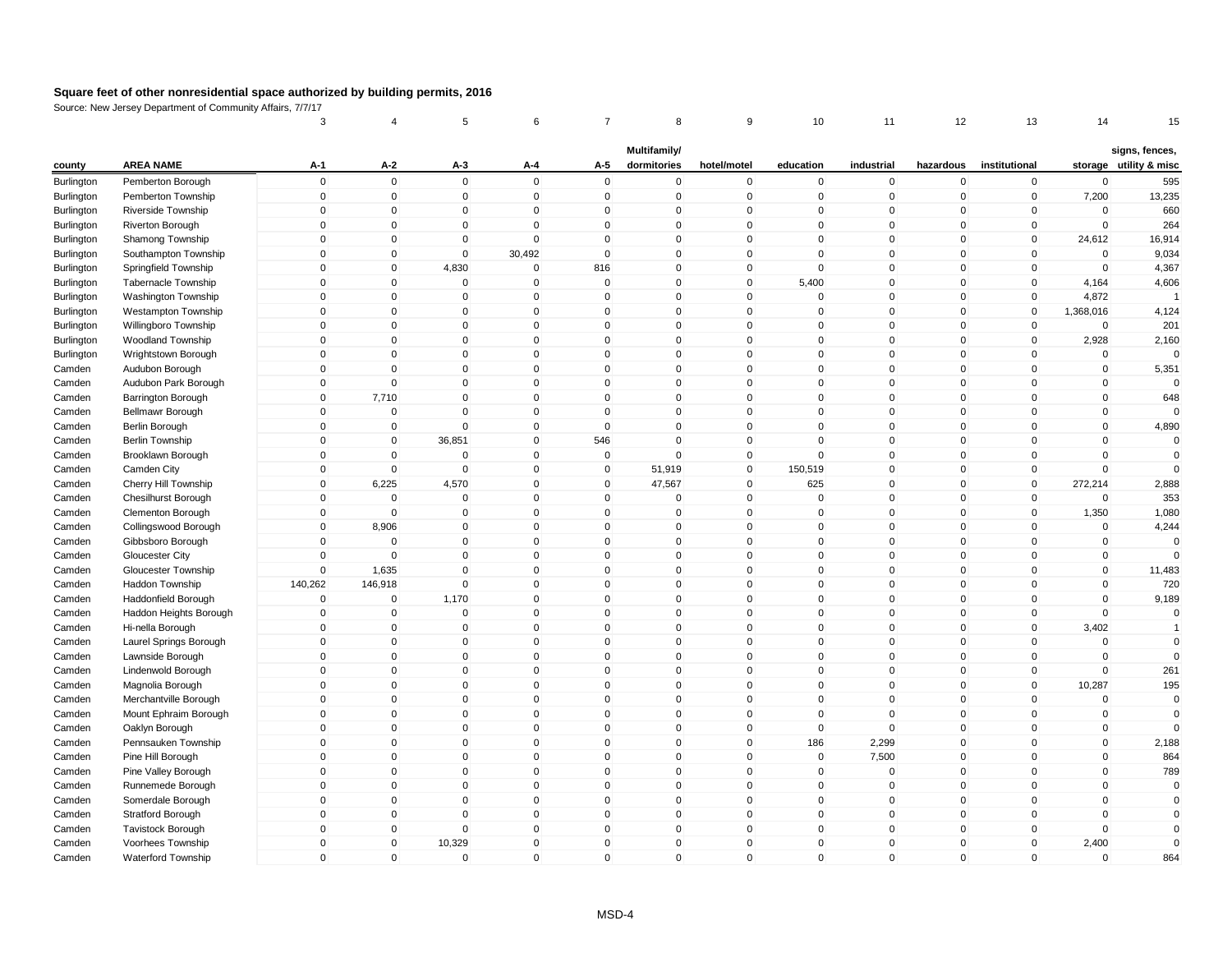|            |                            | 3            | 4           | 5            | 6            | 7            | 8            | 9            | 10           | 11          | 12           | 13            | 14          | 15                     |
|------------|----------------------------|--------------|-------------|--------------|--------------|--------------|--------------|--------------|--------------|-------------|--------------|---------------|-------------|------------------------|
|            |                            |              |             |              |              |              | Multifamily/ |              |              |             |              |               |             | signs, fences,         |
| county     | <b>AREA NAME</b>           | A-1          | $A-2$       | A-3          | A-4          | A-5          | dormitories  | hotel/motel  | education    | industrial  | hazardous    | institutional |             | storage utility & misc |
| Burlington | Pemberton Borough          | $\mathbf 0$  | $\mathbf 0$ | $\mathbf 0$  | $\mathbf 0$  | $\mathbf 0$  | $\mathbf 0$  | $\mathbf 0$  | $\mathbf 0$  | $\mathbf 0$ | $\mathbf 0$  | $\mathbf 0$   | $\mathbf 0$ | 595                    |
| Burlington | Pemberton Township         | $\mathbf 0$  | $\mathbf 0$ | $\mathbf 0$  | $\mathbf 0$  | $\mathbf 0$  | $\mathbf 0$  | $\mathbf 0$  | $\mathbf 0$  | $\mathbf 0$ | $\mathbf 0$  | $\mathbf 0$   | 7,200       | 13,235                 |
| Burlington | Riverside Township         | $\mathbf 0$  | $\pmb{0}$   | $\mathbf 0$  | $\mathbf 0$  | $\mathbf 0$  | 0            | $\mathsf 0$  | $\Omega$     | $\mathbf 0$ | $\mathbf 0$  | 0             | $\Omega$    | 660                    |
| Burlington | Riverton Borough           | $\mathbf 0$  | $\mathbf 0$ | $\mathbf 0$  | $\mathbf 0$  | $\mathbf 0$  | $\Omega$     | $\mathsf 0$  | $\mathbf{0}$ | $\mathbf 0$ | $\mathbf 0$  | $\mathbf 0$   | $\mathbf 0$ | 264                    |
| Burlington | Shamong Township           | $\mathbf{0}$ | $\mathbf 0$ | $\mathbf{0}$ | $\Omega$     | $\mathbf{0}$ | $\mathbf{0}$ | $\mathsf 0$  | $\Omega$     | $\mathbf 0$ | $\mathbf{0}$ | $\mathbf{0}$  | 24,612      | 16,914                 |
| Burlington | Southampton Township       | $\mathbf{0}$ | $\mathbf 0$ | $\mathbf 0$  | 30,492       | $\mathbf 0$  | 0            | $\mathbf 0$  | $\Omega$     | $\mathbf 0$ | $\mathbf 0$  | $\mathbf 0$   | $\mathbf 0$ | 9,034                  |
| Burlington | Springfield Township       | $\mathbf{0}$ | $\mathbf 0$ | 4,830        | $\mathbf 0$  | 816          | 0            | $\mathbf 0$  | $\mathbf{0}$ | $\mathbf 0$ | $\mathbf 0$  | $\mathbf 0$   | $\mathbf 0$ | 4,367                  |
| Burlington | <b>Tabernacle Township</b> | $\mathbf{0}$ | $\mathbf 0$ | $\mathbf 0$  | $\mathbf 0$  | $\mathbf 0$  | 0            | $\mathsf 0$  | 5,400        | $\mathbf 0$ | $\mathbf 0$  | $\Omega$      | 4,164       | 4,606                  |
| Burlington | <b>Washington Township</b> | $\mathbf 0$  | $\mathbf 0$ | $\mathsf 0$  | $\mathbf 0$  | $\mathbf 0$  | $\mathbf 0$  | $\mathsf 0$  | $\mathbf 0$  | $\mathbf 0$ | $\mathbf 0$  | $\mathbf 0$   | 4,872       |                        |
| Burlington | Westampton Township        | $\mathbf 0$  | $\mathbf 0$ | $\mathbf 0$  | $\mathbf 0$  | 0            | $\mathbf 0$  | $\mathsf 0$  | $\Omega$     | $\mathbf 0$ | $\mathbf 0$  | $\mathbf 0$   | 1,368,016   | 4,124                  |
| Burlington | Willingboro Township       | $\mathbf 0$  | $\pmb{0}$   | $\mathbf 0$  | $\mathbf 0$  | $\mathbf 0$  | 0            | $\mathbf 0$  | $\mathbf{0}$ | $\mathbf 0$ | $\mathbf{0}$ | $\mathbf 0$   | $\mathbf 0$ | 201                    |
| Burlington | Woodland Township          | 0            | $\mathbf 0$ | 0            | $\mathbf 0$  | 0            | 0            | $\mathbf 0$  | $\mathbf 0$  | $\mathbf 0$ | 0            | $\mathbf 0$   | 2,928       | 2,160                  |
| Burlington | Wrightstown Borough        | $\mathbf{0}$ | $\mathbf 0$ | $\mathbf{0}$ | $\Omega$     | $\mathbf{0}$ | $\Omega$     | $\mathsf 0$  | $\mathbf{0}$ | $\mathbf 0$ | $\mathbf{0}$ | $\mathbf{0}$  | $\mathbf 0$ | $\Omega$               |
| Camden     | Audubon Borough            | $\mathbf{0}$ | $\mathbf 0$ | $\mathbf 0$  | $\mathbf 0$  | $\mathbf 0$  | $\mathbf 0$  | $\mathbf 0$  | $\mathbf{0}$ | $\mathbf 0$ | $\mathbf 0$  | $\mathbf 0$   | $\mathbf 0$ | 5,351                  |
| Camden     | Audubon Park Borough       | $\mathbf{0}$ | $\Omega$    | $\mathbf{0}$ | $\mathbf{0}$ | $\mathbf{0}$ | $\Omega$     | $\mathsf 0$  | $\Omega$     | $\Omega$    | $\mathbf{0}$ | $\Omega$      | $\mathbf 0$ | $\Omega$               |
| Camden     | <b>Barrington Borough</b>  | $\mathbf{0}$ | 7,710       | $\mathbf{0}$ | $\mathbf{0}$ | $\mathbf{0}$ | $\Omega$     | $\mathsf 0$  | $\mathbf{0}$ | $\mathbf 0$ | $\mathbf{0}$ | $\mathbf{0}$  | $\mathbf 0$ | 648                    |
| Camden     | Bellmawr Borough           | $\mathbf 0$  | $\mathbf 0$ | $\Omega$     | $\mathbf 0$  | $\mathbf 0$  | $\Omega$     | $\mathsf 0$  | $\mathbf 0$  | $\mathbf 0$ | $\mathbf 0$  | 0             | $\mathbf 0$ |                        |
| Camden     | Berlin Borough             | $\mathbf 0$  | $\mathbf 0$ | $\mathbf 0$  | $\mathbf 0$  | $\mathbf 0$  | $\mathbf{0}$ | $\mathsf 0$  | $\mathbf{0}$ | $\mathbf 0$ | $\mathbf 0$  | $\mathbf 0$   | $\mathbf 0$ | 4,890                  |
| Camden     | <b>Berlin Township</b>     | $\mathbf 0$  | $\mathbf 0$ | 36,851       | $\mathbf 0$  | 546          | 0            | $\mathbf 0$  | $\mathbf{0}$ | $\mathbf 0$ | $\mathbf 0$  | $\mathbf 0$   | $\mathbf 0$ | $\Omega$               |
| Camden     | Brooklawn Borough          | $\mathbf{0}$ | $\mathbf 0$ | $\mathbf 0$  | $\mathbf 0$  | $\mathbf 0$  | $\Omega$     | $\mathsf 0$  | $\Omega$     | $\mathbf 0$ | $\mathbf{0}$ | $\mathbf 0$   | $\Omega$    | $\Omega$               |
| Camden     | Camden City                | $\mathbf{0}$ | $\mathbf 0$ | $\mathbf 0$  | $\mathbf 0$  | $\mathbf 0$  | 51,919       | $\pmb{0}$    | 150,519      | $\mathbf 0$ | $\mathbf 0$  | $\mathbf 0$   | $\mathbf 0$ | $\Omega$               |
| Camden     | Cherry Hill Township       | $\mathbf 0$  | 6,225       | 4,570        | $\mathbf 0$  | $\mathbf 0$  | 47,567       | $\mathbf 0$  | 625          | $\Omega$    | $\mathbf 0$  | $\mathbf 0$   | 272,214     | 2,888                  |
| Camden     | <b>Chesilhurst Borough</b> | $\mathbf{0}$ | $\mathbf 0$ | $\mathbf 0$  | $\mathbf 0$  | $\mathbf 0$  | $\mathbf 0$  | $\mathsf 0$  | $\mathbf{0}$ | $\mathbf 0$ | $\mathbf 0$  | $\mathbf{0}$  | $\mathbf 0$ | 353                    |
| Camden     | Clementon Borough          | $\mathbf 0$  | $\mathbf 0$ | $\mathbf 0$  | $\mathbf 0$  | $\mathbf 0$  | $\mathbf 0$  | $\mathbf 0$  | $\mathbf{0}$ | $\mathbf 0$ | $\mathbf 0$  | $\mathbf 0$   | 1,350       | 1,080                  |
| Camden     | Collingswood Borough       | $\mathbf{0}$ | 8,906       | $\mathbf{0}$ | $\mathbf{0}$ | $\mathbf{0}$ | $\Omega$     | $\mathbf{0}$ | $\mathbf{0}$ | $\Omega$    | $\mathbf{0}$ | $\mathbf{0}$  | $\mathbf 0$ | 4,244                  |
| Camden     | Gibbsboro Borough          | $\mathbf 0$  | $\mathbf 0$ | $\mathbf 0$  | $\mathbf 0$  | $\mathbf 0$  | 0            | $\mathsf 0$  | $\mathbf 0$  | $\mathbf 0$ | $\mathbf 0$  | 0             | $\mathbf 0$ | $\Omega$               |
| Camden     | Gloucester City            | $\mathbf 0$  | $\mathbf 0$ | $\mathbf 0$  | $\mathbf 0$  | $\mathbf 0$  | $\mathbf 0$  | $\mathbf 0$  | $\mathbf 0$  | $\Omega$    | $\mathbf 0$  | $\Omega$      | $\mathbf 0$ | $\Omega$               |
| Camden     | Gloucester Township        | $\mathbf 0$  | 1,635       | $\mathbf 0$  | $\mathbf 0$  | $\mathbf 0$  | 0            | $\mathbf 0$  | $\mathbf{0}$ | $\mathbf 0$ | $\mathbf 0$  | $\mathbf 0$   | $\pmb{0}$   | 11,483                 |
| Camden     | Haddon Township            | 140,262      | 146,918     | $\mathbf 0$  | $\mathbf 0$  | $\mathbf 0$  | 0            | $\mathsf 0$  | $\mathbf{0}$ | $\mathbf 0$ | $\mathbf 0$  | $\mathbf 0$   | $\mathbf 0$ | 720                    |
| Camden     | Haddonfield Borough        | $\Omega$     | $\mathbf 0$ | 1,170        | $\mathbf 0$  | $\mathbf{0}$ | $\mathbf{0}$ | $\mathbf 0$  | $\mathbf{0}$ | $\mathbf 0$ | $\mathbf{0}$ | $\mathbf{0}$  | $\mathbf 0$ | 9,189                  |
| Camden     | Haddon Heights Borough     | $\mathbf 0$  | $\mathbf 0$ | $\mathbf 0$  | $\mathbf 0$  | $\mathbf 0$  | 0            | $\mathbf 0$  | $\mathbf{0}$ | $\mathbf 0$ | $\mathbf 0$  | $\mathbf 0$   | $\mathbf 0$ | $\mathbf 0$            |
| Camden     | Hi-nella Borough           | $\Omega$     | $\mathbf 0$ | $\mathbf 0$  | $\mathbf 0$  | $\mathbf{0}$ | $\Omega$     | $\mathbf 0$  | $\Omega$     | $\Omega$    | $\mathbf{0}$ | $\Omega$      | 3,402       | $\overline{1}$         |
| Camden     | Laurel Springs Borough     | $\Omega$     | $\mathbf 0$ | $\mathbf 0$  | $\mathbf 0$  | $\mathbf 0$  | $\Omega$     | $\mathsf 0$  | $\mathbf{0}$ | $\mathbf 0$ | $\mathbf 0$  | 0             | $\mathbf 0$ | $\mathbf 0$            |
| Camden     | Lawnside Borough           | $\mathbf 0$  | $\mathbf 0$ | $\mathsf 0$  | $\mathbf 0$  | $\mathbf 0$  | $\mathbf 0$  | $\mathsf 0$  | $\mathbf{0}$ | $\mathbf 0$ | $\mathbf 0$  | $\mathbf 0$   | $\mathbf 0$ | $\Omega$               |
| Camden     | Lindenwold Borough         | $\mathbf 0$  | $\mathbf 0$ | $\mathbf 0$  | $\mathbf 0$  | $\mathbf 0$  | $\mathbf 0$  | $\mathsf 0$  | $\mathbf{0}$ | $\mathbf 0$ | $\mathbf 0$  | $\mathbf 0$   | $\mathbf 0$ | 261                    |
| Camden     | Magnolia Borough           | $\mathbf 0$  | $\pmb{0}$   | $\mathbf 0$  | $\mathbf 0$  | $\mathbf 0$  | 0            | $\mathbf 0$  | $\mathbf{0}$ | $\mathbf 0$ | $\mathbf 0$  | $\mathbf 0$   | 10,287      | 195                    |
| Camden     | Merchantville Borough      | $\Omega$     | $\pmb{0}$   | 0            | $\mathsf 0$  | $\Omega$     | 0            | $\pmb{0}$    | $\mathbf{0}$ | $\mathbf 0$ | $\mathbf 0$  | 0             | $\pmb{0}$   | $\mathbf 0$            |
| Camden     | Mount Ephraim Borough      | $\mathbf{0}$ | $\mathbf 0$ | $\mathbf 0$  | $\mathbf 0$  | $\mathbf{0}$ | $\Omega$     | $\mathsf 0$  | $\mathbf{0}$ | $\mathbf 0$ | $\mathbf{0}$ | $\mathbf 0$   | $\mathbf 0$ | $\mathbf 0$            |
| Camden     | Oaklyn Borough             | $\mathbf 0$  | $\mathbf 0$ | $\mathbf 0$  | $\mathbf 0$  | $\mathbf 0$  | $\mathbf 0$  | $\mathbf 0$  | $\mathbf 0$  | $\mathbf 0$ | $\mathbf 0$  | $\mathbf 0$   | $\mathbf 0$ | $\Omega$               |
| Camden     | Pennsauken Township        | $\mathbf{0}$ | $\mathbf 0$ | $\mathbf 0$  | $\mathbf 0$  | $\mathbf 0$  | 0            | $\mathsf 0$  | 186          | 2,299       | $\mathbf 0$  | $\Omega$      | $\mathbf 0$ | 2,188                  |
| Camden     | Pine Hill Borough          | $\mathbf{0}$ | $\mathbf 0$ | $\mathbf 0$  | $\mathbf 0$  | $\mathbf 0$  | 0            | $\mathbf 0$  | $\mathbf 0$  | 7,500       | $\mathbf 0$  | $\Omega$      | $\mathbf 0$ | 864                    |
| Camden     | Pine Valley Borough        | $\mathbf{0}$ | $\mathbf 0$ | $\Omega$     | $\mathbf{0}$ | $\mathbf 0$  | $\Omega$     | $\mathsf 0$  | $\mathbf{0}$ | $\Omega$    | $\mathbf 0$  | $\Omega$      | $\mathbf 0$ | 789                    |
| Camden     | Runnemede Borough          | $\mathbf{0}$ | $\mathbf 0$ | $\mathsf 0$  | $\mathbf 0$  | $\mathbf 0$  | $\mathbf 0$  | $\mathsf 0$  | $\mathbf{0}$ | $\mathbf 0$ | $\mathbf 0$  | 0             | $\mathbf 0$ | $\mathbf 0$            |
| Camden     | Somerdale Borough          | $\mathbf 0$  | $\mathbf 0$ | $\mathbf 0$  | $\mathbf 0$  | $\mathbf 0$  | $\mathbf 0$  | $\mathbf 0$  | $\mathbf 0$  | $\mathbf 0$ | $\mathbf 0$  | 0             | $\mathbf 0$ | $\mathbf 0$            |
| Camden     | Stratford Borough          | $\mathbf{0}$ | $\mathbf 0$ | $\mathbf 0$  | $\mathbf 0$  | $\mathbf{0}$ | $\Omega$     | $\mathsf 0$  | $\mathbf{0}$ | $\mathbf 0$ | $\mathbf{0}$ | $\mathbf 0$   | $\mathbf 0$ | $\Omega$               |
|            |                            | $\mathbf{0}$ | $\mathbf 0$ | $\mathbf 0$  | $\mathbf 0$  | 0            | 0            | $\pmb{0}$    | $\mathbf{0}$ | $\mathbf 0$ | $\mathbf 0$  | $\mathbf 0$   | $\mathbf 0$ | $\Omega$               |
| Camden     | <b>Tavistock Borough</b>   | $\mathbf{0}$ | $\mathbf 0$ | 10,329       | $\Omega$     | $\mathbf{0}$ | $\Omega$     | $\mathbf 0$  | $\mathbf{0}$ | $\Omega$    | $\mathbf{0}$ | $\mathbf{0}$  | 2,400       | $\mathbf 0$            |
| Camden     | Voorhees Township          | $\mathbf{0}$ | $\mathbf 0$ |              | $\mathbf 0$  | $\mathbf{0}$ |              |              | $\Omega$     | $\mathbf 0$ |              | $\mathbf{0}$  | $\mathbf 0$ |                        |
| Camden     | Waterford Township         |              |             | $\mathbf 0$  |              |              | $\mathbf 0$  | $\mathbf 0$  |              |             | $\mathbf 0$  |               |             | 864                    |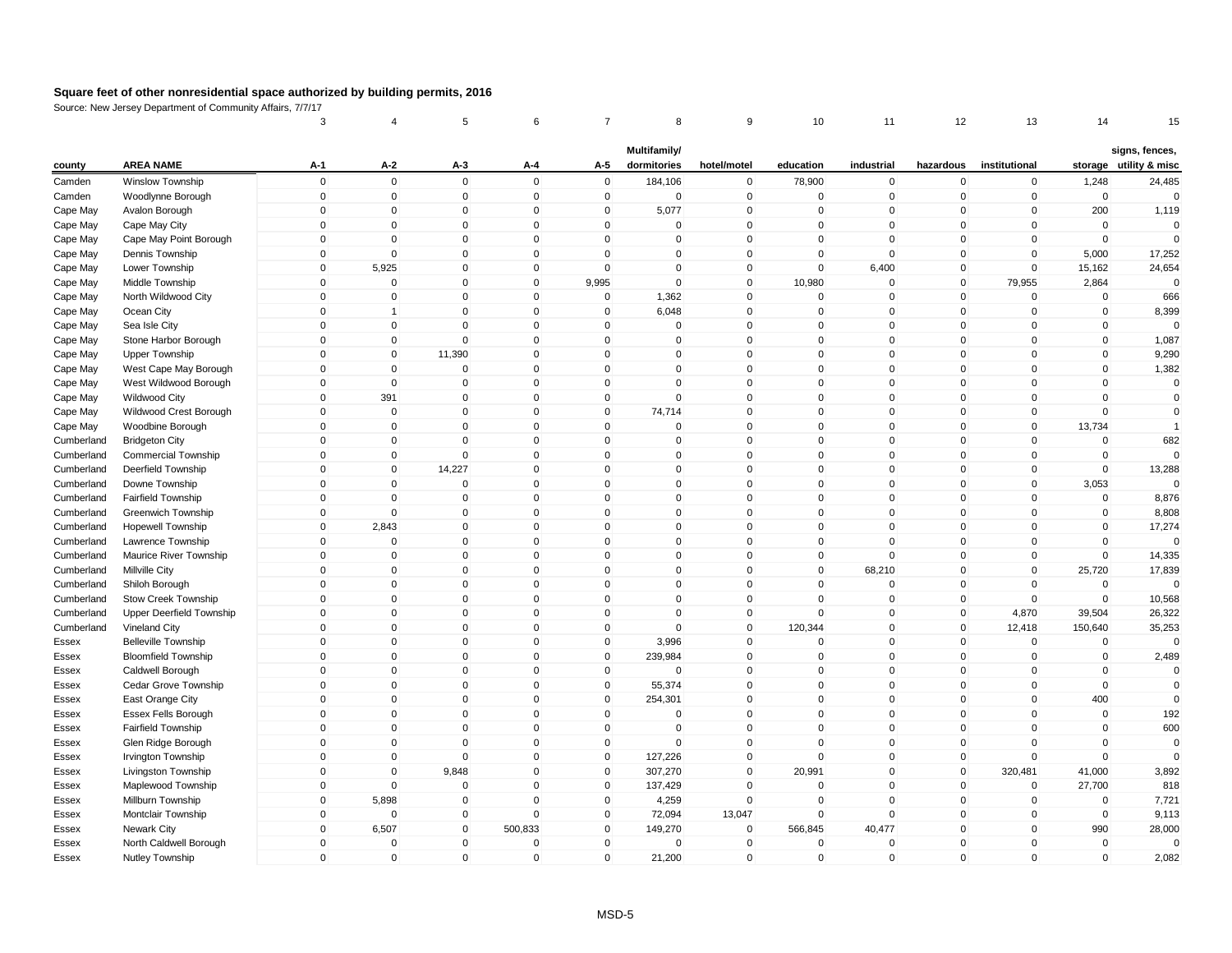| Multifamily/<br>signs, fences,<br><b>AREA NAME</b><br>$A-1$<br>A-2<br>A-5<br>dormitories<br>industrial<br>institutional<br>storage utility & misc<br>county<br>$A-3$<br>A-4<br>hotel/motel<br>education<br>hazardous<br>$\mathbf 0$<br>$\mathbf 0$<br>$\mathbf 0$<br>$\Omega$<br>$\mathsf 0$<br>184,106<br>$\mathbf 0$<br>1,248<br>Camden<br>Winslow Township<br>78,900<br>$\mathbf 0$<br>$\mathbf 0$<br>$\mathbf 0$<br>24,485<br>$\mathbf 0$<br>$\mathbf 0$<br>$\mathbf 0$<br>$\mathbf 0$<br>$\Omega$<br>$\mathbf 0$<br>$\mathbf 0$<br>$\mathbf 0$<br>$\mathbf 0$<br>$\mathbf 0$<br>$\mathbf 0$<br>$\Omega$<br>Camden<br>Woodlynne Borough<br>$\mathbf 0$<br>$\pmb{0}$<br>$\mathsf{O}\xspace$<br>$\overline{0}$<br>$\Omega$<br>5,077<br>$\mathbf{0}$<br>$\mathbf 0$<br>200<br>1,119<br>Cape May<br>Avalon Borough<br>$\mathbf 0$<br>0<br>$\mathbf 0$<br>0<br>$\mathbf 0$<br>$\mathbf 0$<br>$\Omega$<br>$\Omega$<br>$\mathbf 0$<br>$\Omega$<br>$\mathbf{0}$<br>$\mathbf 0$<br>$\mathbf{0}$<br>$\Omega$<br>$\mathbf{0}$<br>$\mathbf{0}$<br>$\mathbf 0$<br>Cape May<br>Cape May City<br>$\mathbf 0$<br>$\mathbf 0$<br>$\mathbf 0$<br>$\mathbf 0$<br>$\mathbf{0}$<br>$\mathbf 0$<br>$\mathbf 0$<br>$\mathbf{0}$<br>$\mathbf 0$<br>$\mathbf 0$<br>$\mathbf 0$<br>$\mathbf 0$<br>$\Omega$<br>Cape May<br>Cape May Point Borough<br>$\mathbf 0$<br>$\Omega$<br>$\mathbf{0}$<br>$\Omega$<br>$\mathbf 0$<br>$\mathbf 0$<br>5,000<br>17,252<br>Cape May<br>Dennis Township<br>$\mathbf 0$<br>$\mathbf{0}$<br>$\Omega$<br>$\mathbf 0$<br>$\mathbf{0}$<br>$\mathbf{0}$<br>$\mathbf 0$<br>$\mathbf{0}$<br>$\mathbf{0}$<br>$\Omega$<br>$\mathbf 0$<br>$\mathbf 0$<br>24,654<br>Cape May<br>5,925<br>$\mathbf{0}$<br>6,400<br>$\mathbf 0$<br>15,162<br>Lower Township<br>$\mathbf 0$<br>$\mathbf 0$<br>10,980<br>$\mathbf 0$<br>$\mathbf 0$<br>$\mathbf 0$<br>$\mathbf 0$<br>9,995<br>$\mathbf 0$<br>$\mathbf 0$<br>79,955<br>2,864<br>Cape May<br>Middle Township<br>$\mathbf 0$<br>$\mathbf 0$<br>$\mathbf 0$<br>$\mathbf{0}$<br>$\Omega$<br>$\mathbf 0$<br>1,362<br>$\mathbf 0$<br>$\mathbf{0}$<br>$\mathbf 0$<br>$\mathbf 0$<br>$\mathbf 0$<br>$\mathbf 0$<br>666<br>Cape May<br>North Wildwood City<br>$\pmb{0}$<br>Cape May<br>$\mathbf 0$<br>$\mathbf 0$<br>$\mathbf 0$<br>$\mathbf 0$<br>6,048<br>$\mathbf 0$<br>$\mathbf 0$<br>$\mathbf 0$<br>$\mathbf 0$<br>$\mathbf 0$<br>8,399<br>Ocean City<br>$\mathbf{1}$<br>$\mathbf 0$<br>$\mathbf 0$<br>$\mathbf 0$<br>$\Omega$<br>$\Omega$<br>$\Omega$<br>$\mathbf 0$<br>$\mathbf 0$<br>$\Omega$<br>Cape May<br>Sea Isle City<br>$\mathbf 0$<br>$\Omega$<br>$\mathbf 0$<br>0<br>$\mathbf 0$<br>$\mathbf 0$<br>$\mathbf 0$<br>$\mathbf{0}$<br>$\mathbf 0$<br>$\mathbf 0$<br>1,087<br>Stone Harbor Borough<br>$\mathbf{0}$<br>$\mathbf 0$<br>$\mathbf{0}$<br>$\mathbf 0$<br>$\mathbf{0}$<br>$\mathbf 0$<br>Cape May<br>$\mathbf 0$<br>$\mathbf 0$<br>11,390<br>$\mathbf 0$<br>$\mathbf 0$<br>$\mathbf 0$<br>$\mathbf 0$<br>$\mathbf 0$<br>0<br>$\mathbf{0}$<br>$\mathbf 0$<br>$\mathbf 0$<br>9,290<br>Cape May<br><b>Upper Township</b><br>$\mathbf{0}$<br>$\mathbf{0}$<br>$\mathbf{0}$<br>$\mathbf 0$<br>$\mathbf 0$<br>$\mathbf{0}$<br>$\Omega$<br>$\mathbf 0$<br>1,382<br>Cape May<br>West Cape May Borough<br>$\mathbf 0$<br>$\mathbf 0$<br>$\mathbf{0}$<br>$\Omega$<br>$\mathbf 0$<br>$\Omega$<br>$\Omega$<br>$\mathbf 0$<br>$\mathbf 0$<br>Cape May<br>West Wildwood Borough<br>$\mathbf 0$<br>$\mathbf 0$<br>$\mathbf{0}$<br>$\mathbf{0}$<br>$\mathbf 0$<br>$\Omega$<br>$\mathbf 0$<br>$\mathbf 0$<br>$\mathbf 0$<br>391<br>$\mathbf 0$<br>$\mathbf{0}$<br>$\mathbf 0$<br>$\mathbf 0$<br>$\mathbf 0$<br>$\mathbf{0}$<br>$\mathbf 0$<br>$\mathbf 0$<br>$\mathbf 0$<br>$\mathbf 0$<br>$\mathbf 0$<br>Cape May<br>Wildwood City<br>$\mathbf 0$<br>$\mathbf 0$<br>$\mathbf 0$<br>$\mathbf{0}$<br>$\mathbf 0$<br>74,714<br>$\mathbf 0$<br>$\mathsf 0$<br>$\mathbf 0$<br>$\mathbf 0$<br>$\mathbf 0$<br>Cape May<br>Wildwood Crest Borough<br>$\mathbf{0}$<br>$\Omega$<br>$\mathbf 0$<br>$\mathbf 0$<br>$\mathbf{0}$<br>$\mathbf 0$<br>$\mathbf 0$<br>$\mathbf 0$<br>Cape May<br>Woodbine Borough<br>$\mathbf 0$<br>$\mathbf 0$<br>$\mathbf 0$<br>$\mathbf{0}$<br>$\mathbf 0$<br>13,734<br>$\overline{1}$<br>$\pmb{0}$<br>$\mathbf 0$<br>$\mathbf 0$<br>$\Omega$<br>$\pmb{0}$<br>682<br>Cumberland<br><b>Bridgeton City</b><br>$\Omega$<br>$\mathbf 0$<br>0<br>$\mathbf 0$<br>0<br>$\Omega$<br>0<br>$\mathbf 0$<br>$\mathbf 0$<br>$\mathbf 0$<br>$\Omega$<br>$\Omega$<br>$\mathbf 0$<br>$\mathbf 0$<br>$\mathbf 0$<br>$\mathbf 0$<br><b>Commercial Township</b><br>$\mathbf{0}$<br>$\mathbf{0}$<br>$\mathbf{0}$<br>Cumberland<br>$\Omega$<br>$\mathbf 0$<br>$\mathbf 0$<br>14,227<br>$\mathbf{0}$<br>$\mathbf 0$<br>$\mathbf 0$<br>$\mathbf 0$<br>$\mathbf 0$<br>$\mathbf 0$<br>13,288<br>Cumberland<br>$\mathbf 0$<br>$\mathbf{0}$<br>$\mathbf 0$<br>Deerfield Township<br>$\mathbf{0}$<br>$\mathbf{0}$<br>$\Omega$<br>$\mathbf 0$<br>$\Omega$<br>$\Omega$<br>3,053<br>Cumberland<br>Downe Township<br>$\mathbf 0$<br>$\Omega$<br>$\mathbf{0}$<br>$\Omega$<br>0<br>$\Omega$<br>$\mathbf{0}$<br>$\Omega$<br>$\Omega$<br>$\mathbf{0}$<br>$\mathbf{0}$<br>$\Omega$<br>$\Omega$<br>$\Omega$<br>$\mathbf 0$<br>$\Omega$<br>8,876<br>Cumberland<br>Fairfield Township<br>$\mathbf{0}$<br>$\mathbf 0$<br>$\mathbf 0$<br>$\mathbf 0$<br>$\mathbf 0$<br>$\mathbf 0$<br>$\mathbf 0$<br>0<br>$\mathbf 0$<br>$\mathbf{0}$<br>$\mathbf 0$<br>$\mathbf 0$<br>$\mathbf 0$<br>8,808<br>Cumberland<br>Greenwich Township<br>$\mathbf 0$<br>$\mathbf{0}$<br>2,843<br>$\mathbf 0$<br>$\Omega$<br>$\mathbf{0}$<br>$\mathbf{0}$<br>$\mathbf 0$<br>$\mathbf{0}$<br>$\Omega$<br>$\mathbf{0}$<br>$\mathbf{0}$<br>$\mathbf 0$<br>17,274<br>Cumberland<br>Hopewell Township<br>$\mathbf 0$<br>$\pmb{0}$<br>$\mathbf 0$<br>$\mathbf 0$<br>$\mathbf 0$<br>$\mathbf 0$<br>$\mathbf 0$<br>$\mathbf 0$<br>$\mathbf 0$<br>$\mathbf 0$<br>$\mathbf 0$<br>$\mathbf 0$<br>$\Omega$<br>Cumberland<br>Lawrence Township<br>$\mathbf 0$<br>$\mathbf 0$<br>$\mathbf 0$<br>$\Omega$<br>$\mathbf 0$<br>0<br>$\mathbf 0$<br>$\mathbf 0$<br>$\mathbf 0$<br>$\mathbf 0$<br>$\mathbf 0$<br>$\mathbf 0$<br>14,335<br>Cumberland<br>Maurice River Township<br>$\mathbf 0$<br>$\mathbf{0}$<br>$\mathbf 0$<br>$\Omega$<br>68,210<br>$\mathbf{0}$<br>17,839<br>Cumberland<br>Millville City<br>$\mathbf 0$<br>$\mathbf{0}$<br>$\mathbf{0}$<br>$\mathbf{0}$<br>$\mathbf 0$<br>25,720<br>$\mathbf 0$<br>$\mathbf 0$<br>$\mathbf 0$<br>$\mathbf 0$<br>$\mathbf 0$<br>Cumberland<br>$\mathbf 0$<br>$\mathbf 0$<br>0<br>$\mathbf{0}$<br>$\mathbf 0$<br>$\mathbf 0$<br>$\mathbf 0$<br>$\mathbf 0$<br>Shiloh Borough<br>$\mathbf 0$<br>$\Omega$<br>$\mathbf 0$<br>$\mathbf 0$<br>$\mathbf 0$<br>$\mathbf 0$<br>$\mathbf 0$<br>$\Omega$<br>$\Omega$<br>$\mathbf 0$<br>$\mathbf 0$<br>$\mathbf 0$<br>10,568<br>Cumberland<br>Stow Creek Township<br>Cumberland<br>Upper Deerfield Township<br>$\mathbf 0$<br>$\mathbf 0$<br>$\Omega$<br>$\mathbf{0}$<br>$\mathbf{0}$<br>$\Omega$<br>$\mathbf 0$<br>$\Omega$<br>$\mathbf 0$<br>$\mathbf 0$<br>4,870<br>39,504<br>26,322<br>$\mathbf{0}$<br>$\mathbf 0$<br>$\mathbf{0}$<br>$\mathbf{0}$<br>$\mathbf 0$<br>$\mathbf{0}$<br>$\mathbf{0}$<br>$\mathbf 0$<br>120,344<br>$\mathbf 0$<br>12,418<br>150,640<br>35,253<br>Cumberland<br>Vineland City<br>$\mathbf 0$<br>$\mathbf 0$<br>$\mathbf 0$<br>$\mathbf{0}$<br>$\mathbf 0$<br>3,996<br>$\mathbf 0$<br>$\pmb{0}$<br>$\mathbf 0$<br>$\mathbf 0$<br><b>Belleville Township</b><br>$\mathbf{0}$<br>$\mathbf 0$<br>$\Omega$<br>Essex<br>$\mathbf 0$<br>$\mathbf 0$<br>$\mathbf 0$<br>$\Omega$<br>$\mathbf 0$<br>239,984<br>$\mathbf 0$<br>$\mathbf 0$<br>$\mathbf 0$<br>$\mathbf 0$<br>$\mathbf 0$<br>2,489<br><b>Bloomfield Township</b><br>$\mathbf{0}$<br>Essex<br>$\mathbf 0$<br>$\mathbf 0$<br>$\mathbf 0$<br>$\mathbf 0$<br>$\mathbf 0$<br>$\mathbf 0$<br>$\mathbf 0$<br>$\mathbf 0$<br>$\mathbf 0$<br>Essex<br>Caldwell Borough<br>0<br>$\mathbf 0$<br>0<br>$\Omega$<br>$\mathbf{0}$<br>$\Omega$<br>$\mathbf{0}$<br>$\Omega$<br>$\mathbf 0$<br>55,374<br>$\mathbf 0$<br>$\Omega$<br>$\mathbf{0}$<br>$\mathbf 0$<br>Cedar Grove Township<br>$\mathbf{0}$<br>$\mathbf{0}$<br>$\mathbf 0$<br>Essex<br>$\mathbf 0$<br>$\mathbf 0$<br>$\Omega$<br>$\mathbf 0$<br>$\mathbf 0$<br>$\pmb{0}$<br>400<br>$\mathbf 0$<br>254,301<br>$\mathbf{0}$<br>$\mathbf 0$<br>$\mathbf 0$<br>$\mathbf 0$<br>Essex<br>East Orange City<br>Essex Fells Borough<br>$\mathbf 0$<br>$\mathbf 0$<br>$\mathbf 0$<br>$\mathbf 0$<br>$\mathbf 0$<br>$\mathbf 0$<br>$\mathbf{0}$<br>$\mathbf 0$<br>$\mathbf 0$<br>$\mathbf 0$<br>$\mathbf 0$<br>192<br>0<br>Essex<br>$\mathbf{0}$<br>$\mathbf 0$<br>$\mathbf{0}$<br>$\mathbf{0}$<br>$\mathbf{0}$<br>$\Omega$<br>$\mathbf{0}$<br>$\mathbf 0$<br>$\mathbf{0}$<br>600<br>Fairfield Township<br>$\Omega$<br>$\mathbf{0}$<br>$\mathbf 0$<br>Essex<br>$\mathbf 0$<br>$\Omega$<br>$\mathbf{0}$<br>$\Omega$<br>$\mathbf 0$<br>$\mathbf 0$<br>Glen Ridge Borough<br>$\mathbf 0$<br>$\mathbf 0$<br>$\mathbf{0}$<br>$\mathbf 0$<br>$\Omega$<br>$\mathbf 0$<br>$\Omega$<br>Essex<br>$\mathbf{0}$<br>$\mathbf{0}$<br>$\Omega$<br>$\mathbf{0}$<br>$\mathbf 0$<br>$\mathbf{0}$<br>$\Omega$<br>$\Omega$<br>$\mathbf{0}$<br>$\mathbf{0}$<br>$\mathbf{0}$<br>$\Omega$<br><b>Irvington Township</b><br>127,226<br>Essex<br>$\pmb{0}$<br>20,991<br>41,000<br>$\mathbf 0$<br>$\mathbf 0$<br>9,848<br>$\mathbf 0$<br>$\mathbf 0$<br>307,270<br>$\mathbf 0$<br>$\mathbf 0$<br>320,481<br>3,892<br>Essex<br>Livingston Township<br>$\mathbf 0$<br>$\overline{0}$<br>$\mathbf 0$<br>$\Omega$<br>$\mathbf 0$<br>137,429<br>$\mathbf 0$<br>$\mathbf{0}$<br>$\mathbf 0$<br>$\mathbf 0$<br>$\mathbf 0$<br>27,700<br>818<br>Maplewood Township<br>Essex<br>5,898<br>$\Omega$<br>$\Omega$<br>$\mathbf 0$<br>7,721<br>Millburn Township<br>$\mathbf 0$<br>$\mathbf 0$<br>$\mathbf 0$<br>4,259<br>$\Omega$<br>$\mathbf 0$<br>$\mathbf 0$<br>$\mathbf 0$<br>Essex<br>$\mathbf 0$<br>$\pmb{0}$<br>Montclair Township<br>$\mathbf 0$<br>$\Omega$<br>$\mathbf 0$<br>$\Omega$<br>72,094<br>13,047<br>$\mathbf 0$<br>$\mathbf 0$<br>$\mathbf 0$<br>9,113<br>Essex<br>$\mathbf{0}$<br>$\mathbf 0$<br>6,507<br>$\mathbf 0$<br>500,833<br>$\mathbf 0$<br>149,270<br>$\mathbf 0$<br>566,845<br>40,477<br>$\mathbf 0$<br>$\mathbf 0$<br>990<br>28,000<br>Newark City<br>Essex<br>$\mathbf 0$<br>$\mathbf 0$<br>North Caldwell Borough<br>$\Omega$<br>$\mathbf 0$<br>$\mathbf{0}$<br>$\Omega$<br>$\Omega$<br>$\Omega$<br>$\Omega$<br>$\mathbf 0$<br>$\mathbf{0}$<br>$\mathbf 0$<br>Essex<br>$\Omega$<br>$\mathbf{0}$<br>$\mathbf{0}$<br>$\mathbf{0}$<br>$\Omega$<br>$\mathbf{0}$<br>$\mathbf 0$<br>$\mathbf{0}$<br>21,200<br>$\mathbf 0$<br>$\mathbf{0}$<br>$\mathbf{0}$<br>$\mathbf 0$<br>2,082<br>Essex<br>Nutley Township |  | 3 | 4 | 5 | 6 | 7 | 8 | 9 | 10 | 11 | 12 | 13 | 14 | 15 |
|-------------------------------------------------------------------------------------------------------------------------------------------------------------------------------------------------------------------------------------------------------------------------------------------------------------------------------------------------------------------------------------------------------------------------------------------------------------------------------------------------------------------------------------------------------------------------------------------------------------------------------------------------------------------------------------------------------------------------------------------------------------------------------------------------------------------------------------------------------------------------------------------------------------------------------------------------------------------------------------------------------------------------------------------------------------------------------------------------------------------------------------------------------------------------------------------------------------------------------------------------------------------------------------------------------------------------------------------------------------------------------------------------------------------------------------------------------------------------------------------------------------------------------------------------------------------------------------------------------------------------------------------------------------------------------------------------------------------------------------------------------------------------------------------------------------------------------------------------------------------------------------------------------------------------------------------------------------------------------------------------------------------------------------------------------------------------------------------------------------------------------------------------------------------------------------------------------------------------------------------------------------------------------------------------------------------------------------------------------------------------------------------------------------------------------------------------------------------------------------------------------------------------------------------------------------------------------------------------------------------------------------------------------------------------------------------------------------------------------------------------------------------------------------------------------------------------------------------------------------------------------------------------------------------------------------------------------------------------------------------------------------------------------------------------------------------------------------------------------------------------------------------------------------------------------------------------------------------------------------------------------------------------------------------------------------------------------------------------------------------------------------------------------------------------------------------------------------------------------------------------------------------------------------------------------------------------------------------------------------------------------------------------------------------------------------------------------------------------------------------------------------------------------------------------------------------------------------------------------------------------------------------------------------------------------------------------------------------------------------------------------------------------------------------------------------------------------------------------------------------------------------------------------------------------------------------------------------------------------------------------------------------------------------------------------------------------------------------------------------------------------------------------------------------------------------------------------------------------------------------------------------------------------------------------------------------------------------------------------------------------------------------------------------------------------------------------------------------------------------------------------------------------------------------------------------------------------------------------------------------------------------------------------------------------------------------------------------------------------------------------------------------------------------------------------------------------------------------------------------------------------------------------------------------------------------------------------------------------------------------------------------------------------------------------------------------------------------------------------------------------------------------------------------------------------------------------------------------------------------------------------------------------------------------------------------------------------------------------------------------------------------------------------------------------------------------------------------------------------------------------------------------------------------------------------------------------------------------------------------------------------------------------------------------------------------------------------------------------------------------------------------------------------------------------------------------------------------------------------------------------------------------------------------------------------------------------------------------------------------------------------------------------------------------------------------------------------------------------------------------------------------------------------------------------------------------------------------------------------------------------------------------------------------------------------------------------------------------------------------------------------------------------------------------------------------------------------------------------------------------------------------------------------------------------------------------------------------------------------------------------------------------------------------------------------------------------------------------------------------------------------------------------------------------------------------------------------------------------------------------------------------------------------------------------------------------------------------------------------------------------------------------------------------------------------------------------------------------------------------------------------------------------------------------------------------------------------------------------------------------------------------------------------------------------------------------------------------------------------------------------------------------------------------------------------------------------------------------------------------------------------------------------------------------------------------------------------------------------------------------------------------------------------------------------------------------------------------------------------------------------------------------------------------------------------------------------------------------------------------------------------------------------------------------------------------------------------------------------------------------------------------------------------------------------------------------------------------------------------------------------------------------------------------------------------------------------------------------------------------------------------------------------------------------------------------------------------------------------------------------------------------------------------------------------------------------------------------------------------------------------------------------------------------------------------------------------------------------------------------------------------------------------------------------------------------------------------------------------------------------------------------------------------------------------------------------------------------------------------------------------------------------------------------------------------------------------------------------------------------------------------------------------------------------------------------------------------------------------------------------------------------------------------------------------------------------------------------------------------------------------------------------------------------------------------------------------------------------------------------------------------------------------------------------------------------------------------------------------------------------------------------------------------------------------------------------------------------------------------------------------------------------------------------------------------------------------------------------------------------------------------------------------------------------------------------------------------------------------------------------------------------------------------------------------------------------------------------------------------------------------------------------------------------------------------------------------------------------------------------------------------------------------------------------------------------------------------------------------------------------------------------------------------------------------------------------------------------------------------------------------------------------------------------------------------------------------------------------------------------------------------------------------------------------------------------------------------------------------------------------------|--|---|---|---|---|---|---|---|----|----|----|----|----|----|
|                                                                                                                                                                                                                                                                                                                                                                                                                                                                                                                                                                                                                                                                                                                                                                                                                                                                                                                                                                                                                                                                                                                                                                                                                                                                                                                                                                                                                                                                                                                                                                                                                                                                                                                                                                                                                                                                                                                                                                                                                                                                                                                                                                                                                                                                                                                                                                                                                                                                                                                                                                                                                                                                                                                                                                                                                                                                                                                                                                                                                                                                                                                                                                                                                                                                                                                                                                                                                                                                                                                                                                                                                                                                                                                                                                                                                                                                                                                                                                                                                                                                                                                                                                                                                                                                                                                                                                                                                                                                                                                                                                                                                                                                                                                                                                                                                                                                                                                                                                                                                                                                                                                                                                                                                                                                                                                                                                                                                                                                                                                                                                                                                                                                                                                                                                                                                                                                                                                                                                                                                                                                                                                                                                                                                                                                                                                                                                                                                                                                                                                                                                                                                                                                                                                                                                                                                                                                                                                                                                                                                                                                                                                                                                                                                                                                                                                                                                                                                                                                                                                                                                                                                                                                                                                                                                                                                                                                                                                                                                                                                                                                                                                                                                                                                                                                                                                                                                                                                                                                                                                                                                                                                                                                                                                                                                                                                                                                                                                                                                                                                                                                                                                                                                                                                                                                                                                                                                                                                                                                                                                                                                                                                                                                                                                                                                                                                                                                                                                                                                                                                                                                                                                                                                                                                                                                                                                                                                                                                                                                                                                                                                                                                                                                                                                                                                                                                                                                         |  |   |   |   |   |   |   |   |    |    |    |    |    |    |
|                                                                                                                                                                                                                                                                                                                                                                                                                                                                                                                                                                                                                                                                                                                                                                                                                                                                                                                                                                                                                                                                                                                                                                                                                                                                                                                                                                                                                                                                                                                                                                                                                                                                                                                                                                                                                                                                                                                                                                                                                                                                                                                                                                                                                                                                                                                                                                                                                                                                                                                                                                                                                                                                                                                                                                                                                                                                                                                                                                                                                                                                                                                                                                                                                                                                                                                                                                                                                                                                                                                                                                                                                                                                                                                                                                                                                                                                                                                                                                                                                                                                                                                                                                                                                                                                                                                                                                                                                                                                                                                                                                                                                                                                                                                                                                                                                                                                                                                                                                                                                                                                                                                                                                                                                                                                                                                                                                                                                                                                                                                                                                                                                                                                                                                                                                                                                                                                                                                                                                                                                                                                                                                                                                                                                                                                                                                                                                                                                                                                                                                                                                                                                                                                                                                                                                                                                                                                                                                                                                                                                                                                                                                                                                                                                                                                                                                                                                                                                                                                                                                                                                                                                                                                                                                                                                                                                                                                                                                                                                                                                                                                                                                                                                                                                                                                                                                                                                                                                                                                                                                                                                                                                                                                                                                                                                                                                                                                                                                                                                                                                                                                                                                                                                                                                                                                                                                                                                                                                                                                                                                                                                                                                                                                                                                                                                                                                                                                                                                                                                                                                                                                                                                                                                                                                                                                                                                                                                                                                                                                                                                                                                                                                                                                                                                                                                                                                                                                         |  |   |   |   |   |   |   |   |    |    |    |    |    |    |
|                                                                                                                                                                                                                                                                                                                                                                                                                                                                                                                                                                                                                                                                                                                                                                                                                                                                                                                                                                                                                                                                                                                                                                                                                                                                                                                                                                                                                                                                                                                                                                                                                                                                                                                                                                                                                                                                                                                                                                                                                                                                                                                                                                                                                                                                                                                                                                                                                                                                                                                                                                                                                                                                                                                                                                                                                                                                                                                                                                                                                                                                                                                                                                                                                                                                                                                                                                                                                                                                                                                                                                                                                                                                                                                                                                                                                                                                                                                                                                                                                                                                                                                                                                                                                                                                                                                                                                                                                                                                                                                                                                                                                                                                                                                                                                                                                                                                                                                                                                                                                                                                                                                                                                                                                                                                                                                                                                                                                                                                                                                                                                                                                                                                                                                                                                                                                                                                                                                                                                                                                                                                                                                                                                                                                                                                                                                                                                                                                                                                                                                                                                                                                                                                                                                                                                                                                                                                                                                                                                                                                                                                                                                                                                                                                                                                                                                                                                                                                                                                                                                                                                                                                                                                                                                                                                                                                                                                                                                                                                                                                                                                                                                                                                                                                                                                                                                                                                                                                                                                                                                                                                                                                                                                                                                                                                                                                                                                                                                                                                                                                                                                                                                                                                                                                                                                                                                                                                                                                                                                                                                                                                                                                                                                                                                                                                                                                                                                                                                                                                                                                                                                                                                                                                                                                                                                                                                                                                                                                                                                                                                                                                                                                                                                                                                                                                                                                                                                         |  |   |   |   |   |   |   |   |    |    |    |    |    |    |
|                                                                                                                                                                                                                                                                                                                                                                                                                                                                                                                                                                                                                                                                                                                                                                                                                                                                                                                                                                                                                                                                                                                                                                                                                                                                                                                                                                                                                                                                                                                                                                                                                                                                                                                                                                                                                                                                                                                                                                                                                                                                                                                                                                                                                                                                                                                                                                                                                                                                                                                                                                                                                                                                                                                                                                                                                                                                                                                                                                                                                                                                                                                                                                                                                                                                                                                                                                                                                                                                                                                                                                                                                                                                                                                                                                                                                                                                                                                                                                                                                                                                                                                                                                                                                                                                                                                                                                                                                                                                                                                                                                                                                                                                                                                                                                                                                                                                                                                                                                                                                                                                                                                                                                                                                                                                                                                                                                                                                                                                                                                                                                                                                                                                                                                                                                                                                                                                                                                                                                                                                                                                                                                                                                                                                                                                                                                                                                                                                                                                                                                                                                                                                                                                                                                                                                                                                                                                                                                                                                                                                                                                                                                                                                                                                                                                                                                                                                                                                                                                                                                                                                                                                                                                                                                                                                                                                                                                                                                                                                                                                                                                                                                                                                                                                                                                                                                                                                                                                                                                                                                                                                                                                                                                                                                                                                                                                                                                                                                                                                                                                                                                                                                                                                                                                                                                                                                                                                                                                                                                                                                                                                                                                                                                                                                                                                                                                                                                                                                                                                                                                                                                                                                                                                                                                                                                                                                                                                                                                                                                                                                                                                                                                                                                                                                                                                                                                                                                         |  |   |   |   |   |   |   |   |    |    |    |    |    |    |
|                                                                                                                                                                                                                                                                                                                                                                                                                                                                                                                                                                                                                                                                                                                                                                                                                                                                                                                                                                                                                                                                                                                                                                                                                                                                                                                                                                                                                                                                                                                                                                                                                                                                                                                                                                                                                                                                                                                                                                                                                                                                                                                                                                                                                                                                                                                                                                                                                                                                                                                                                                                                                                                                                                                                                                                                                                                                                                                                                                                                                                                                                                                                                                                                                                                                                                                                                                                                                                                                                                                                                                                                                                                                                                                                                                                                                                                                                                                                                                                                                                                                                                                                                                                                                                                                                                                                                                                                                                                                                                                                                                                                                                                                                                                                                                                                                                                                                                                                                                                                                                                                                                                                                                                                                                                                                                                                                                                                                                                                                                                                                                                                                                                                                                                                                                                                                                                                                                                                                                                                                                                                                                                                                                                                                                                                                                                                                                                                                                                                                                                                                                                                                                                                                                                                                                                                                                                                                                                                                                                                                                                                                                                                                                                                                                                                                                                                                                                                                                                                                                                                                                                                                                                                                                                                                                                                                                                                                                                                                                                                                                                                                                                                                                                                                                                                                                                                                                                                                                                                                                                                                                                                                                                                                                                                                                                                                                                                                                                                                                                                                                                                                                                                                                                                                                                                                                                                                                                                                                                                                                                                                                                                                                                                                                                                                                                                                                                                                                                                                                                                                                                                                                                                                                                                                                                                                                                                                                                                                                                                                                                                                                                                                                                                                                                                                                                                                                                                         |  |   |   |   |   |   |   |   |    |    |    |    |    |    |
|                                                                                                                                                                                                                                                                                                                                                                                                                                                                                                                                                                                                                                                                                                                                                                                                                                                                                                                                                                                                                                                                                                                                                                                                                                                                                                                                                                                                                                                                                                                                                                                                                                                                                                                                                                                                                                                                                                                                                                                                                                                                                                                                                                                                                                                                                                                                                                                                                                                                                                                                                                                                                                                                                                                                                                                                                                                                                                                                                                                                                                                                                                                                                                                                                                                                                                                                                                                                                                                                                                                                                                                                                                                                                                                                                                                                                                                                                                                                                                                                                                                                                                                                                                                                                                                                                                                                                                                                                                                                                                                                                                                                                                                                                                                                                                                                                                                                                                                                                                                                                                                                                                                                                                                                                                                                                                                                                                                                                                                                                                                                                                                                                                                                                                                                                                                                                                                                                                                                                                                                                                                                                                                                                                                                                                                                                                                                                                                                                                                                                                                                                                                                                                                                                                                                                                                                                                                                                                                                                                                                                                                                                                                                                                                                                                                                                                                                                                                                                                                                                                                                                                                                                                                                                                                                                                                                                                                                                                                                                                                                                                                                                                                                                                                                                                                                                                                                                                                                                                                                                                                                                                                                                                                                                                                                                                                                                                                                                                                                                                                                                                                                                                                                                                                                                                                                                                                                                                                                                                                                                                                                                                                                                                                                                                                                                                                                                                                                                                                                                                                                                                                                                                                                                                                                                                                                                                                                                                                                                                                                                                                                                                                                                                                                                                                                                                                                                                                                         |  |   |   |   |   |   |   |   |    |    |    |    |    |    |
|                                                                                                                                                                                                                                                                                                                                                                                                                                                                                                                                                                                                                                                                                                                                                                                                                                                                                                                                                                                                                                                                                                                                                                                                                                                                                                                                                                                                                                                                                                                                                                                                                                                                                                                                                                                                                                                                                                                                                                                                                                                                                                                                                                                                                                                                                                                                                                                                                                                                                                                                                                                                                                                                                                                                                                                                                                                                                                                                                                                                                                                                                                                                                                                                                                                                                                                                                                                                                                                                                                                                                                                                                                                                                                                                                                                                                                                                                                                                                                                                                                                                                                                                                                                                                                                                                                                                                                                                                                                                                                                                                                                                                                                                                                                                                                                                                                                                                                                                                                                                                                                                                                                                                                                                                                                                                                                                                                                                                                                                                                                                                                                                                                                                                                                                                                                                                                                                                                                                                                                                                                                                                                                                                                                                                                                                                                                                                                                                                                                                                                                                                                                                                                                                                                                                                                                                                                                                                                                                                                                                                                                                                                                                                                                                                                                                                                                                                                                                                                                                                                                                                                                                                                                                                                                                                                                                                                                                                                                                                                                                                                                                                                                                                                                                                                                                                                                                                                                                                                                                                                                                                                                                                                                                                                                                                                                                                                                                                                                                                                                                                                                                                                                                                                                                                                                                                                                                                                                                                                                                                                                                                                                                                                                                                                                                                                                                                                                                                                                                                                                                                                                                                                                                                                                                                                                                                                                                                                                                                                                                                                                                                                                                                                                                                                                                                                                                                                                                         |  |   |   |   |   |   |   |   |    |    |    |    |    |    |
|                                                                                                                                                                                                                                                                                                                                                                                                                                                                                                                                                                                                                                                                                                                                                                                                                                                                                                                                                                                                                                                                                                                                                                                                                                                                                                                                                                                                                                                                                                                                                                                                                                                                                                                                                                                                                                                                                                                                                                                                                                                                                                                                                                                                                                                                                                                                                                                                                                                                                                                                                                                                                                                                                                                                                                                                                                                                                                                                                                                                                                                                                                                                                                                                                                                                                                                                                                                                                                                                                                                                                                                                                                                                                                                                                                                                                                                                                                                                                                                                                                                                                                                                                                                                                                                                                                                                                                                                                                                                                                                                                                                                                                                                                                                                                                                                                                                                                                                                                                                                                                                                                                                                                                                                                                                                                                                                                                                                                                                                                                                                                                                                                                                                                                                                                                                                                                                                                                                                                                                                                                                                                                                                                                                                                                                                                                                                                                                                                                                                                                                                                                                                                                                                                                                                                                                                                                                                                                                                                                                                                                                                                                                                                                                                                                                                                                                                                                                                                                                                                                                                                                                                                                                                                                                                                                                                                                                                                                                                                                                                                                                                                                                                                                                                                                                                                                                                                                                                                                                                                                                                                                                                                                                                                                                                                                                                                                                                                                                                                                                                                                                                                                                                                                                                                                                                                                                                                                                                                                                                                                                                                                                                                                                                                                                                                                                                                                                                                                                                                                                                                                                                                                                                                                                                                                                                                                                                                                                                                                                                                                                                                                                                                                                                                                                                                                                                                                                                         |  |   |   |   |   |   |   |   |    |    |    |    |    |    |
|                                                                                                                                                                                                                                                                                                                                                                                                                                                                                                                                                                                                                                                                                                                                                                                                                                                                                                                                                                                                                                                                                                                                                                                                                                                                                                                                                                                                                                                                                                                                                                                                                                                                                                                                                                                                                                                                                                                                                                                                                                                                                                                                                                                                                                                                                                                                                                                                                                                                                                                                                                                                                                                                                                                                                                                                                                                                                                                                                                                                                                                                                                                                                                                                                                                                                                                                                                                                                                                                                                                                                                                                                                                                                                                                                                                                                                                                                                                                                                                                                                                                                                                                                                                                                                                                                                                                                                                                                                                                                                                                                                                                                                                                                                                                                                                                                                                                                                                                                                                                                                                                                                                                                                                                                                                                                                                                                                                                                                                                                                                                                                                                                                                                                                                                                                                                                                                                                                                                                                                                                                                                                                                                                                                                                                                                                                                                                                                                                                                                                                                                                                                                                                                                                                                                                                                                                                                                                                                                                                                                                                                                                                                                                                                                                                                                                                                                                                                                                                                                                                                                                                                                                                                                                                                                                                                                                                                                                                                                                                                                                                                                                                                                                                                                                                                                                                                                                                                                                                                                                                                                                                                                                                                                                                                                                                                                                                                                                                                                                                                                                                                                                                                                                                                                                                                                                                                                                                                                                                                                                                                                                                                                                                                                                                                                                                                                                                                                                                                                                                                                                                                                                                                                                                                                                                                                                                                                                                                                                                                                                                                                                                                                                                                                                                                                                                                                                                                                         |  |   |   |   |   |   |   |   |    |    |    |    |    |    |
|                                                                                                                                                                                                                                                                                                                                                                                                                                                                                                                                                                                                                                                                                                                                                                                                                                                                                                                                                                                                                                                                                                                                                                                                                                                                                                                                                                                                                                                                                                                                                                                                                                                                                                                                                                                                                                                                                                                                                                                                                                                                                                                                                                                                                                                                                                                                                                                                                                                                                                                                                                                                                                                                                                                                                                                                                                                                                                                                                                                                                                                                                                                                                                                                                                                                                                                                                                                                                                                                                                                                                                                                                                                                                                                                                                                                                                                                                                                                                                                                                                                                                                                                                                                                                                                                                                                                                                                                                                                                                                                                                                                                                                                                                                                                                                                                                                                                                                                                                                                                                                                                                                                                                                                                                                                                                                                                                                                                                                                                                                                                                                                                                                                                                                                                                                                                                                                                                                                                                                                                                                                                                                                                                                                                                                                                                                                                                                                                                                                                                                                                                                                                                                                                                                                                                                                                                                                                                                                                                                                                                                                                                                                                                                                                                                                                                                                                                                                                                                                                                                                                                                                                                                                                                                                                                                                                                                                                                                                                                                                                                                                                                                                                                                                                                                                                                                                                                                                                                                                                                                                                                                                                                                                                                                                                                                                                                                                                                                                                                                                                                                                                                                                                                                                                                                                                                                                                                                                                                                                                                                                                                                                                                                                                                                                                                                                                                                                                                                                                                                                                                                                                                                                                                                                                                                                                                                                                                                                                                                                                                                                                                                                                                                                                                                                                                                                                                                                                         |  |   |   |   |   |   |   |   |    |    |    |    |    |    |
|                                                                                                                                                                                                                                                                                                                                                                                                                                                                                                                                                                                                                                                                                                                                                                                                                                                                                                                                                                                                                                                                                                                                                                                                                                                                                                                                                                                                                                                                                                                                                                                                                                                                                                                                                                                                                                                                                                                                                                                                                                                                                                                                                                                                                                                                                                                                                                                                                                                                                                                                                                                                                                                                                                                                                                                                                                                                                                                                                                                                                                                                                                                                                                                                                                                                                                                                                                                                                                                                                                                                                                                                                                                                                                                                                                                                                                                                                                                                                                                                                                                                                                                                                                                                                                                                                                                                                                                                                                                                                                                                                                                                                                                                                                                                                                                                                                                                                                                                                                                                                                                                                                                                                                                                                                                                                                                                                                                                                                                                                                                                                                                                                                                                                                                                                                                                                                                                                                                                                                                                                                                                                                                                                                                                                                                                                                                                                                                                                                                                                                                                                                                                                                                                                                                                                                                                                                                                                                                                                                                                                                                                                                                                                                                                                                                                                                                                                                                                                                                                                                                                                                                                                                                                                                                                                                                                                                                                                                                                                                                                                                                                                                                                                                                                                                                                                                                                                                                                                                                                                                                                                                                                                                                                                                                                                                                                                                                                                                                                                                                                                                                                                                                                                                                                                                                                                                                                                                                                                                                                                                                                                                                                                                                                                                                                                                                                                                                                                                                                                                                                                                                                                                                                                                                                                                                                                                                                                                                                                                                                                                                                                                                                                                                                                                                                                                                                                                                                         |  |   |   |   |   |   |   |   |    |    |    |    |    |    |
|                                                                                                                                                                                                                                                                                                                                                                                                                                                                                                                                                                                                                                                                                                                                                                                                                                                                                                                                                                                                                                                                                                                                                                                                                                                                                                                                                                                                                                                                                                                                                                                                                                                                                                                                                                                                                                                                                                                                                                                                                                                                                                                                                                                                                                                                                                                                                                                                                                                                                                                                                                                                                                                                                                                                                                                                                                                                                                                                                                                                                                                                                                                                                                                                                                                                                                                                                                                                                                                                                                                                                                                                                                                                                                                                                                                                                                                                                                                                                                                                                                                                                                                                                                                                                                                                                                                                                                                                                                                                                                                                                                                                                                                                                                                                                                                                                                                                                                                                                                                                                                                                                                                                                                                                                                                                                                                                                                                                                                                                                                                                                                                                                                                                                                                                                                                                                                                                                                                                                                                                                                                                                                                                                                                                                                                                                                                                                                                                                                                                                                                                                                                                                                                                                                                                                                                                                                                                                                                                                                                                                                                                                                                                                                                                                                                                                                                                                                                                                                                                                                                                                                                                                                                                                                                                                                                                                                                                                                                                                                                                                                                                                                                                                                                                                                                                                                                                                                                                                                                                                                                                                                                                                                                                                                                                                                                                                                                                                                                                                                                                                                                                                                                                                                                                                                                                                                                                                                                                                                                                                                                                                                                                                                                                                                                                                                                                                                                                                                                                                                                                                                                                                                                                                                                                                                                                                                                                                                                                                                                                                                                                                                                                                                                                                                                                                                                                                                                                         |  |   |   |   |   |   |   |   |    |    |    |    |    |    |
|                                                                                                                                                                                                                                                                                                                                                                                                                                                                                                                                                                                                                                                                                                                                                                                                                                                                                                                                                                                                                                                                                                                                                                                                                                                                                                                                                                                                                                                                                                                                                                                                                                                                                                                                                                                                                                                                                                                                                                                                                                                                                                                                                                                                                                                                                                                                                                                                                                                                                                                                                                                                                                                                                                                                                                                                                                                                                                                                                                                                                                                                                                                                                                                                                                                                                                                                                                                                                                                                                                                                                                                                                                                                                                                                                                                                                                                                                                                                                                                                                                                                                                                                                                                                                                                                                                                                                                                                                                                                                                                                                                                                                                                                                                                                                                                                                                                                                                                                                                                                                                                                                                                                                                                                                                                                                                                                                                                                                                                                                                                                                                                                                                                                                                                                                                                                                                                                                                                                                                                                                                                                                                                                                                                                                                                                                                                                                                                                                                                                                                                                                                                                                                                                                                                                                                                                                                                                                                                                                                                                                                                                                                                                                                                                                                                                                                                                                                                                                                                                                                                                                                                                                                                                                                                                                                                                                                                                                                                                                                                                                                                                                                                                                                                                                                                                                                                                                                                                                                                                                                                                                                                                                                                                                                                                                                                                                                                                                                                                                                                                                                                                                                                                                                                                                                                                                                                                                                                                                                                                                                                                                                                                                                                                                                                                                                                                                                                                                                                                                                                                                                                                                                                                                                                                                                                                                                                                                                                                                                                                                                                                                                                                                                                                                                                                                                                                                                                                         |  |   |   |   |   |   |   |   |    |    |    |    |    |    |
|                                                                                                                                                                                                                                                                                                                                                                                                                                                                                                                                                                                                                                                                                                                                                                                                                                                                                                                                                                                                                                                                                                                                                                                                                                                                                                                                                                                                                                                                                                                                                                                                                                                                                                                                                                                                                                                                                                                                                                                                                                                                                                                                                                                                                                                                                                                                                                                                                                                                                                                                                                                                                                                                                                                                                                                                                                                                                                                                                                                                                                                                                                                                                                                                                                                                                                                                                                                                                                                                                                                                                                                                                                                                                                                                                                                                                                                                                                                                                                                                                                                                                                                                                                                                                                                                                                                                                                                                                                                                                                                                                                                                                                                                                                                                                                                                                                                                                                                                                                                                                                                                                                                                                                                                                                                                                                                                                                                                                                                                                                                                                                                                                                                                                                                                                                                                                                                                                                                                                                                                                                                                                                                                                                                                                                                                                                                                                                                                                                                                                                                                                                                                                                                                                                                                                                                                                                                                                                                                                                                                                                                                                                                                                                                                                                                                                                                                                                                                                                                                                                                                                                                                                                                                                                                                                                                                                                                                                                                                                                                                                                                                                                                                                                                                                                                                                                                                                                                                                                                                                                                                                                                                                                                                                                                                                                                                                                                                                                                                                                                                                                                                                                                                                                                                                                                                                                                                                                                                                                                                                                                                                                                                                                                                                                                                                                                                                                                                                                                                                                                                                                                                                                                                                                                                                                                                                                                                                                                                                                                                                                                                                                                                                                                                                                                                                                                                                                                                         |  |   |   |   |   |   |   |   |    |    |    |    |    |    |
|                                                                                                                                                                                                                                                                                                                                                                                                                                                                                                                                                                                                                                                                                                                                                                                                                                                                                                                                                                                                                                                                                                                                                                                                                                                                                                                                                                                                                                                                                                                                                                                                                                                                                                                                                                                                                                                                                                                                                                                                                                                                                                                                                                                                                                                                                                                                                                                                                                                                                                                                                                                                                                                                                                                                                                                                                                                                                                                                                                                                                                                                                                                                                                                                                                                                                                                                                                                                                                                                                                                                                                                                                                                                                                                                                                                                                                                                                                                                                                                                                                                                                                                                                                                                                                                                                                                                                                                                                                                                                                                                                                                                                                                                                                                                                                                                                                                                                                                                                                                                                                                                                                                                                                                                                                                                                                                                                                                                                                                                                                                                                                                                                                                                                                                                                                                                                                                                                                                                                                                                                                                                                                                                                                                                                                                                                                                                                                                                                                                                                                                                                                                                                                                                                                                                                                                                                                                                                                                                                                                                                                                                                                                                                                                                                                                                                                                                                                                                                                                                                                                                                                                                                                                                                                                                                                                                                                                                                                                                                                                                                                                                                                                                                                                                                                                                                                                                                                                                                                                                                                                                                                                                                                                                                                                                                                                                                                                                                                                                                                                                                                                                                                                                                                                                                                                                                                                                                                                                                                                                                                                                                                                                                                                                                                                                                                                                                                                                                                                                                                                                                                                                                                                                                                                                                                                                                                                                                                                                                                                                                                                                                                                                                                                                                                                                                                                                                                                                         |  |   |   |   |   |   |   |   |    |    |    |    |    |    |
|                                                                                                                                                                                                                                                                                                                                                                                                                                                                                                                                                                                                                                                                                                                                                                                                                                                                                                                                                                                                                                                                                                                                                                                                                                                                                                                                                                                                                                                                                                                                                                                                                                                                                                                                                                                                                                                                                                                                                                                                                                                                                                                                                                                                                                                                                                                                                                                                                                                                                                                                                                                                                                                                                                                                                                                                                                                                                                                                                                                                                                                                                                                                                                                                                                                                                                                                                                                                                                                                                                                                                                                                                                                                                                                                                                                                                                                                                                                                                                                                                                                                                                                                                                                                                                                                                                                                                                                                                                                                                                                                                                                                                                                                                                                                                                                                                                                                                                                                                                                                                                                                                                                                                                                                                                                                                                                                                                                                                                                                                                                                                                                                                                                                                                                                                                                                                                                                                                                                                                                                                                                                                                                                                                                                                                                                                                                                                                                                                                                                                                                                                                                                                                                                                                                                                                                                                                                                                                                                                                                                                                                                                                                                                                                                                                                                                                                                                                                                                                                                                                                                                                                                                                                                                                                                                                                                                                                                                                                                                                                                                                                                                                                                                                                                                                                                                                                                                                                                                                                                                                                                                                                                                                                                                                                                                                                                                                                                                                                                                                                                                                                                                                                                                                                                                                                                                                                                                                                                                                                                                                                                                                                                                                                                                                                                                                                                                                                                                                                                                                                                                                                                                                                                                                                                                                                                                                                                                                                                                                                                                                                                                                                                                                                                                                                                                                                                                                                                         |  |   |   |   |   |   |   |   |    |    |    |    |    |    |
|                                                                                                                                                                                                                                                                                                                                                                                                                                                                                                                                                                                                                                                                                                                                                                                                                                                                                                                                                                                                                                                                                                                                                                                                                                                                                                                                                                                                                                                                                                                                                                                                                                                                                                                                                                                                                                                                                                                                                                                                                                                                                                                                                                                                                                                                                                                                                                                                                                                                                                                                                                                                                                                                                                                                                                                                                                                                                                                                                                                                                                                                                                                                                                                                                                                                                                                                                                                                                                                                                                                                                                                                                                                                                                                                                                                                                                                                                                                                                                                                                                                                                                                                                                                                                                                                                                                                                                                                                                                                                                                                                                                                                                                                                                                                                                                                                                                                                                                                                                                                                                                                                                                                                                                                                                                                                                                                                                                                                                                                                                                                                                                                                                                                                                                                                                                                                                                                                                                                                                                                                                                                                                                                                                                                                                                                                                                                                                                                                                                                                                                                                                                                                                                                                                                                                                                                                                                                                                                                                                                                                                                                                                                                                                                                                                                                                                                                                                                                                                                                                                                                                                                                                                                                                                                                                                                                                                                                                                                                                                                                                                                                                                                                                                                                                                                                                                                                                                                                                                                                                                                                                                                                                                                                                                                                                                                                                                                                                                                                                                                                                                                                                                                                                                                                                                                                                                                                                                                                                                                                                                                                                                                                                                                                                                                                                                                                                                                                                                                                                                                                                                                                                                                                                                                                                                                                                                                                                                                                                                                                                                                                                                                                                                                                                                                                                                                                                                                                         |  |   |   |   |   |   |   |   |    |    |    |    |    |    |
|                                                                                                                                                                                                                                                                                                                                                                                                                                                                                                                                                                                                                                                                                                                                                                                                                                                                                                                                                                                                                                                                                                                                                                                                                                                                                                                                                                                                                                                                                                                                                                                                                                                                                                                                                                                                                                                                                                                                                                                                                                                                                                                                                                                                                                                                                                                                                                                                                                                                                                                                                                                                                                                                                                                                                                                                                                                                                                                                                                                                                                                                                                                                                                                                                                                                                                                                                                                                                                                                                                                                                                                                                                                                                                                                                                                                                                                                                                                                                                                                                                                                                                                                                                                                                                                                                                                                                                                                                                                                                                                                                                                                                                                                                                                                                                                                                                                                                                                                                                                                                                                                                                                                                                                                                                                                                                                                                                                                                                                                                                                                                                                                                                                                                                                                                                                                                                                                                                                                                                                                                                                                                                                                                                                                                                                                                                                                                                                                                                                                                                                                                                                                                                                                                                                                                                                                                                                                                                                                                                                                                                                                                                                                                                                                                                                                                                                                                                                                                                                                                                                                                                                                                                                                                                                                                                                                                                                                                                                                                                                                                                                                                                                                                                                                                                                                                                                                                                                                                                                                                                                                                                                                                                                                                                                                                                                                                                                                                                                                                                                                                                                                                                                                                                                                                                                                                                                                                                                                                                                                                                                                                                                                                                                                                                                                                                                                                                                                                                                                                                                                                                                                                                                                                                                                                                                                                                                                                                                                                                                                                                                                                                                                                                                                                                                                                                                                                                                                         |  |   |   |   |   |   |   |   |    |    |    |    |    |    |
|                                                                                                                                                                                                                                                                                                                                                                                                                                                                                                                                                                                                                                                                                                                                                                                                                                                                                                                                                                                                                                                                                                                                                                                                                                                                                                                                                                                                                                                                                                                                                                                                                                                                                                                                                                                                                                                                                                                                                                                                                                                                                                                                                                                                                                                                                                                                                                                                                                                                                                                                                                                                                                                                                                                                                                                                                                                                                                                                                                                                                                                                                                                                                                                                                                                                                                                                                                                                                                                                                                                                                                                                                                                                                                                                                                                                                                                                                                                                                                                                                                                                                                                                                                                                                                                                                                                                                                                                                                                                                                                                                                                                                                                                                                                                                                                                                                                                                                                                                                                                                                                                                                                                                                                                                                                                                                                                                                                                                                                                                                                                                                                                                                                                                                                                                                                                                                                                                                                                                                                                                                                                                                                                                                                                                                                                                                                                                                                                                                                                                                                                                                                                                                                                                                                                                                                                                                                                                                                                                                                                                                                                                                                                                                                                                                                                                                                                                                                                                                                                                                                                                                                                                                                                                                                                                                                                                                                                                                                                                                                                                                                                                                                                                                                                                                                                                                                                                                                                                                                                                                                                                                                                                                                                                                                                                                                                                                                                                                                                                                                                                                                                                                                                                                                                                                                                                                                                                                                                                                                                                                                                                                                                                                                                                                                                                                                                                                                                                                                                                                                                                                                                                                                                                                                                                                                                                                                                                                                                                                                                                                                                                                                                                                                                                                                                                                                                                                                                         |  |   |   |   |   |   |   |   |    |    |    |    |    |    |
|                                                                                                                                                                                                                                                                                                                                                                                                                                                                                                                                                                                                                                                                                                                                                                                                                                                                                                                                                                                                                                                                                                                                                                                                                                                                                                                                                                                                                                                                                                                                                                                                                                                                                                                                                                                                                                                                                                                                                                                                                                                                                                                                                                                                                                                                                                                                                                                                                                                                                                                                                                                                                                                                                                                                                                                                                                                                                                                                                                                                                                                                                                                                                                                                                                                                                                                                                                                                                                                                                                                                                                                                                                                                                                                                                                                                                                                                                                                                                                                                                                                                                                                                                                                                                                                                                                                                                                                                                                                                                                                                                                                                                                                                                                                                                                                                                                                                                                                                                                                                                                                                                                                                                                                                                                                                                                                                                                                                                                                                                                                                                                                                                                                                                                                                                                                                                                                                                                                                                                                                                                                                                                                                                                                                                                                                                                                                                                                                                                                                                                                                                                                                                                                                                                                                                                                                                                                                                                                                                                                                                                                                                                                                                                                                                                                                                                                                                                                                                                                                                                                                                                                                                                                                                                                                                                                                                                                                                                                                                                                                                                                                                                                                                                                                                                                                                                                                                                                                                                                                                                                                                                                                                                                                                                                                                                                                                                                                                                                                                                                                                                                                                                                                                                                                                                                                                                                                                                                                                                                                                                                                                                                                                                                                                                                                                                                                                                                                                                                                                                                                                                                                                                                                                                                                                                                                                                                                                                                                                                                                                                                                                                                                                                                                                                                                                                                                                                                                         |  |   |   |   |   |   |   |   |    |    |    |    |    |    |
|                                                                                                                                                                                                                                                                                                                                                                                                                                                                                                                                                                                                                                                                                                                                                                                                                                                                                                                                                                                                                                                                                                                                                                                                                                                                                                                                                                                                                                                                                                                                                                                                                                                                                                                                                                                                                                                                                                                                                                                                                                                                                                                                                                                                                                                                                                                                                                                                                                                                                                                                                                                                                                                                                                                                                                                                                                                                                                                                                                                                                                                                                                                                                                                                                                                                                                                                                                                                                                                                                                                                                                                                                                                                                                                                                                                                                                                                                                                                                                                                                                                                                                                                                                                                                                                                                                                                                                                                                                                                                                                                                                                                                                                                                                                                                                                                                                                                                                                                                                                                                                                                                                                                                                                                                                                                                                                                                                                                                                                                                                                                                                                                                                                                                                                                                                                                                                                                                                                                                                                                                                                                                                                                                                                                                                                                                                                                                                                                                                                                                                                                                                                                                                                                                                                                                                                                                                                                                                                                                                                                                                                                                                                                                                                                                                                                                                                                                                                                                                                                                                                                                                                                                                                                                                                                                                                                                                                                                                                                                                                                                                                                                                                                                                                                                                                                                                                                                                                                                                                                                                                                                                                                                                                                                                                                                                                                                                                                                                                                                                                                                                                                                                                                                                                                                                                                                                                                                                                                                                                                                                                                                                                                                                                                                                                                                                                                                                                                                                                                                                                                                                                                                                                                                                                                                                                                                                                                                                                                                                                                                                                                                                                                                                                                                                                                                                                                                                                                         |  |   |   |   |   |   |   |   |    |    |    |    |    |    |
|                                                                                                                                                                                                                                                                                                                                                                                                                                                                                                                                                                                                                                                                                                                                                                                                                                                                                                                                                                                                                                                                                                                                                                                                                                                                                                                                                                                                                                                                                                                                                                                                                                                                                                                                                                                                                                                                                                                                                                                                                                                                                                                                                                                                                                                                                                                                                                                                                                                                                                                                                                                                                                                                                                                                                                                                                                                                                                                                                                                                                                                                                                                                                                                                                                                                                                                                                                                                                                                                                                                                                                                                                                                                                                                                                                                                                                                                                                                                                                                                                                                                                                                                                                                                                                                                                                                                                                                                                                                                                                                                                                                                                                                                                                                                                                                                                                                                                                                                                                                                                                                                                                                                                                                                                                                                                                                                                                                                                                                                                                                                                                                                                                                                                                                                                                                                                                                                                                                                                                                                                                                                                                                                                                                                                                                                                                                                                                                                                                                                                                                                                                                                                                                                                                                                                                                                                                                                                                                                                                                                                                                                                                                                                                                                                                                                                                                                                                                                                                                                                                                                                                                                                                                                                                                                                                                                                                                                                                                                                                                                                                                                                                                                                                                                                                                                                                                                                                                                                                                                                                                                                                                                                                                                                                                                                                                                                                                                                                                                                                                                                                                                                                                                                                                                                                                                                                                                                                                                                                                                                                                                                                                                                                                                                                                                                                                                                                                                                                                                                                                                                                                                                                                                                                                                                                                                                                                                                                                                                                                                                                                                                                                                                                                                                                                                                                                                                                                                         |  |   |   |   |   |   |   |   |    |    |    |    |    |    |
|                                                                                                                                                                                                                                                                                                                                                                                                                                                                                                                                                                                                                                                                                                                                                                                                                                                                                                                                                                                                                                                                                                                                                                                                                                                                                                                                                                                                                                                                                                                                                                                                                                                                                                                                                                                                                                                                                                                                                                                                                                                                                                                                                                                                                                                                                                                                                                                                                                                                                                                                                                                                                                                                                                                                                                                                                                                                                                                                                                                                                                                                                                                                                                                                                                                                                                                                                                                                                                                                                                                                                                                                                                                                                                                                                                                                                                                                                                                                                                                                                                                                                                                                                                                                                                                                                                                                                                                                                                                                                                                                                                                                                                                                                                                                                                                                                                                                                                                                                                                                                                                                                                                                                                                                                                                                                                                                                                                                                                                                                                                                                                                                                                                                                                                                                                                                                                                                                                                                                                                                                                                                                                                                                                                                                                                                                                                                                                                                                                                                                                                                                                                                                                                                                                                                                                                                                                                                                                                                                                                                                                                                                                                                                                                                                                                                                                                                                                                                                                                                                                                                                                                                                                                                                                                                                                                                                                                                                                                                                                                                                                                                                                                                                                                                                                                                                                                                                                                                                                                                                                                                                                                                                                                                                                                                                                                                                                                                                                                                                                                                                                                                                                                                                                                                                                                                                                                                                                                                                                                                                                                                                                                                                                                                                                                                                                                                                                                                                                                                                                                                                                                                                                                                                                                                                                                                                                                                                                                                                                                                                                                                                                                                                                                                                                                                                                                                                                                                         |  |   |   |   |   |   |   |   |    |    |    |    |    |    |
|                                                                                                                                                                                                                                                                                                                                                                                                                                                                                                                                                                                                                                                                                                                                                                                                                                                                                                                                                                                                                                                                                                                                                                                                                                                                                                                                                                                                                                                                                                                                                                                                                                                                                                                                                                                                                                                                                                                                                                                                                                                                                                                                                                                                                                                                                                                                                                                                                                                                                                                                                                                                                                                                                                                                                                                                                                                                                                                                                                                                                                                                                                                                                                                                                                                                                                                                                                                                                                                                                                                                                                                                                                                                                                                                                                                                                                                                                                                                                                                                                                                                                                                                                                                                                                                                                                                                                                                                                                                                                                                                                                                                                                                                                                                                                                                                                                                                                                                                                                                                                                                                                                                                                                                                                                                                                                                                                                                                                                                                                                                                                                                                                                                                                                                                                                                                                                                                                                                                                                                                                                                                                                                                                                                                                                                                                                                                                                                                                                                                                                                                                                                                                                                                                                                                                                                                                                                                                                                                                                                                                                                                                                                                                                                                                                                                                                                                                                                                                                                                                                                                                                                                                                                                                                                                                                                                                                                                                                                                                                                                                                                                                                                                                                                                                                                                                                                                                                                                                                                                                                                                                                                                                                                                                                                                                                                                                                                                                                                                                                                                                                                                                                                                                                                                                                                                                                                                                                                                                                                                                                                                                                                                                                                                                                                                                                                                                                                                                                                                                                                                                                                                                                                                                                                                                                                                                                                                                                                                                                                                                                                                                                                                                                                                                                                                                                                                                                                                         |  |   |   |   |   |   |   |   |    |    |    |    |    |    |
|                                                                                                                                                                                                                                                                                                                                                                                                                                                                                                                                                                                                                                                                                                                                                                                                                                                                                                                                                                                                                                                                                                                                                                                                                                                                                                                                                                                                                                                                                                                                                                                                                                                                                                                                                                                                                                                                                                                                                                                                                                                                                                                                                                                                                                                                                                                                                                                                                                                                                                                                                                                                                                                                                                                                                                                                                                                                                                                                                                                                                                                                                                                                                                                                                                                                                                                                                                                                                                                                                                                                                                                                                                                                                                                                                                                                                                                                                                                                                                                                                                                                                                                                                                                                                                                                                                                                                                                                                                                                                                                                                                                                                                                                                                                                                                                                                                                                                                                                                                                                                                                                                                                                                                                                                                                                                                                                                                                                                                                                                                                                                                                                                                                                                                                                                                                                                                                                                                                                                                                                                                                                                                                                                                                                                                                                                                                                                                                                                                                                                                                                                                                                                                                                                                                                                                                                                                                                                                                                                                                                                                                                                                                                                                                                                                                                                                                                                                                                                                                                                                                                                                                                                                                                                                                                                                                                                                                                                                                                                                                                                                                                                                                                                                                                                                                                                                                                                                                                                                                                                                                                                                                                                                                                                                                                                                                                                                                                                                                                                                                                                                                                                                                                                                                                                                                                                                                                                                                                                                                                                                                                                                                                                                                                                                                                                                                                                                                                                                                                                                                                                                                                                                                                                                                                                                                                                                                                                                                                                                                                                                                                                                                                                                                                                                                                                                                                                                                                         |  |   |   |   |   |   |   |   |    |    |    |    |    |    |
|                                                                                                                                                                                                                                                                                                                                                                                                                                                                                                                                                                                                                                                                                                                                                                                                                                                                                                                                                                                                                                                                                                                                                                                                                                                                                                                                                                                                                                                                                                                                                                                                                                                                                                                                                                                                                                                                                                                                                                                                                                                                                                                                                                                                                                                                                                                                                                                                                                                                                                                                                                                                                                                                                                                                                                                                                                                                                                                                                                                                                                                                                                                                                                                                                                                                                                                                                                                                                                                                                                                                                                                                                                                                                                                                                                                                                                                                                                                                                                                                                                                                                                                                                                                                                                                                                                                                                                                                                                                                                                                                                                                                                                                                                                                                                                                                                                                                                                                                                                                                                                                                                                                                                                                                                                                                                                                                                                                                                                                                                                                                                                                                                                                                                                                                                                                                                                                                                                                                                                                                                                                                                                                                                                                                                                                                                                                                                                                                                                                                                                                                                                                                                                                                                                                                                                                                                                                                                                                                                                                                                                                                                                                                                                                                                                                                                                                                                                                                                                                                                                                                                                                                                                                                                                                                                                                                                                                                                                                                                                                                                                                                                                                                                                                                                                                                                                                                                                                                                                                                                                                                                                                                                                                                                                                                                                                                                                                                                                                                                                                                                                                                                                                                                                                                                                                                                                                                                                                                                                                                                                                                                                                                                                                                                                                                                                                                                                                                                                                                                                                                                                                                                                                                                                                                                                                                                                                                                                                                                                                                                                                                                                                                                                                                                                                                                                                                                                                                         |  |   |   |   |   |   |   |   |    |    |    |    |    |    |
|                                                                                                                                                                                                                                                                                                                                                                                                                                                                                                                                                                                                                                                                                                                                                                                                                                                                                                                                                                                                                                                                                                                                                                                                                                                                                                                                                                                                                                                                                                                                                                                                                                                                                                                                                                                                                                                                                                                                                                                                                                                                                                                                                                                                                                                                                                                                                                                                                                                                                                                                                                                                                                                                                                                                                                                                                                                                                                                                                                                                                                                                                                                                                                                                                                                                                                                                                                                                                                                                                                                                                                                                                                                                                                                                                                                                                                                                                                                                                                                                                                                                                                                                                                                                                                                                                                                                                                                                                                                                                                                                                                                                                                                                                                                                                                                                                                                                                                                                                                                                                                                                                                                                                                                                                                                                                                                                                                                                                                                                                                                                                                                                                                                                                                                                                                                                                                                                                                                                                                                                                                                                                                                                                                                                                                                                                                                                                                                                                                                                                                                                                                                                                                                                                                                                                                                                                                                                                                                                                                                                                                                                                                                                                                                                                                                                                                                                                                                                                                                                                                                                                                                                                                                                                                                                                                                                                                                                                                                                                                                                                                                                                                                                                                                                                                                                                                                                                                                                                                                                                                                                                                                                                                                                                                                                                                                                                                                                                                                                                                                                                                                                                                                                                                                                                                                                                                                                                                                                                                                                                                                                                                                                                                                                                                                                                                                                                                                                                                                                                                                                                                                                                                                                                                                                                                                                                                                                                                                                                                                                                                                                                                                                                                                                                                                                                                                                                                                                         |  |   |   |   |   |   |   |   |    |    |    |    |    |    |
|                                                                                                                                                                                                                                                                                                                                                                                                                                                                                                                                                                                                                                                                                                                                                                                                                                                                                                                                                                                                                                                                                                                                                                                                                                                                                                                                                                                                                                                                                                                                                                                                                                                                                                                                                                                                                                                                                                                                                                                                                                                                                                                                                                                                                                                                                                                                                                                                                                                                                                                                                                                                                                                                                                                                                                                                                                                                                                                                                                                                                                                                                                                                                                                                                                                                                                                                                                                                                                                                                                                                                                                                                                                                                                                                                                                                                                                                                                                                                                                                                                                                                                                                                                                                                                                                                                                                                                                                                                                                                                                                                                                                                                                                                                                                                                                                                                                                                                                                                                                                                                                                                                                                                                                                                                                                                                                                                                                                                                                                                                                                                                                                                                                                                                                                                                                                                                                                                                                                                                                                                                                                                                                                                                                                                                                                                                                                                                                                                                                                                                                                                                                                                                                                                                                                                                                                                                                                                                                                                                                                                                                                                                                                                                                                                                                                                                                                                                                                                                                                                                                                                                                                                                                                                                                                                                                                                                                                                                                                                                                                                                                                                                                                                                                                                                                                                                                                                                                                                                                                                                                                                                                                                                                                                                                                                                                                                                                                                                                                                                                                                                                                                                                                                                                                                                                                                                                                                                                                                                                                                                                                                                                                                                                                                                                                                                                                                                                                                                                                                                                                                                                                                                                                                                                                                                                                                                                                                                                                                                                                                                                                                                                                                                                                                                                                                                                                                                                                         |  |   |   |   |   |   |   |   |    |    |    |    |    |    |
|                                                                                                                                                                                                                                                                                                                                                                                                                                                                                                                                                                                                                                                                                                                                                                                                                                                                                                                                                                                                                                                                                                                                                                                                                                                                                                                                                                                                                                                                                                                                                                                                                                                                                                                                                                                                                                                                                                                                                                                                                                                                                                                                                                                                                                                                                                                                                                                                                                                                                                                                                                                                                                                                                                                                                                                                                                                                                                                                                                                                                                                                                                                                                                                                                                                                                                                                                                                                                                                                                                                                                                                                                                                                                                                                                                                                                                                                                                                                                                                                                                                                                                                                                                                                                                                                                                                                                                                                                                                                                                                                                                                                                                                                                                                                                                                                                                                                                                                                                                                                                                                                                                                                                                                                                                                                                                                                                                                                                                                                                                                                                                                                                                                                                                                                                                                                                                                                                                                                                                                                                                                                                                                                                                                                                                                                                                                                                                                                                                                                                                                                                                                                                                                                                                                                                                                                                                                                                                                                                                                                                                                                                                                                                                                                                                                                                                                                                                                                                                                                                                                                                                                                                                                                                                                                                                                                                                                                                                                                                                                                                                                                                                                                                                                                                                                                                                                                                                                                                                                                                                                                                                                                                                                                                                                                                                                                                                                                                                                                                                                                                                                                                                                                                                                                                                                                                                                                                                                                                                                                                                                                                                                                                                                                                                                                                                                                                                                                                                                                                                                                                                                                                                                                                                                                                                                                                                                                                                                                                                                                                                                                                                                                                                                                                                                                                                                                                                                                         |  |   |   |   |   |   |   |   |    |    |    |    |    |    |
|                                                                                                                                                                                                                                                                                                                                                                                                                                                                                                                                                                                                                                                                                                                                                                                                                                                                                                                                                                                                                                                                                                                                                                                                                                                                                                                                                                                                                                                                                                                                                                                                                                                                                                                                                                                                                                                                                                                                                                                                                                                                                                                                                                                                                                                                                                                                                                                                                                                                                                                                                                                                                                                                                                                                                                                                                                                                                                                                                                                                                                                                                                                                                                                                                                                                                                                                                                                                                                                                                                                                                                                                                                                                                                                                                                                                                                                                                                                                                                                                                                                                                                                                                                                                                                                                                                                                                                                                                                                                                                                                                                                                                                                                                                                                                                                                                                                                                                                                                                                                                                                                                                                                                                                                                                                                                                                                                                                                                                                                                                                                                                                                                                                                                                                                                                                                                                                                                                                                                                                                                                                                                                                                                                                                                                                                                                                                                                                                                                                                                                                                                                                                                                                                                                                                                                                                                                                                                                                                                                                                                                                                                                                                                                                                                                                                                                                                                                                                                                                                                                                                                                                                                                                                                                                                                                                                                                                                                                                                                                                                                                                                                                                                                                                                                                                                                                                                                                                                                                                                                                                                                                                                                                                                                                                                                                                                                                                                                                                                                                                                                                                                                                                                                                                                                                                                                                                                                                                                                                                                                                                                                                                                                                                                                                                                                                                                                                                                                                                                                                                                                                                                                                                                                                                                                                                                                                                                                                                                                                                                                                                                                                                                                                                                                                                                                                                                                                                                         |  |   |   |   |   |   |   |   |    |    |    |    |    |    |
|                                                                                                                                                                                                                                                                                                                                                                                                                                                                                                                                                                                                                                                                                                                                                                                                                                                                                                                                                                                                                                                                                                                                                                                                                                                                                                                                                                                                                                                                                                                                                                                                                                                                                                                                                                                                                                                                                                                                                                                                                                                                                                                                                                                                                                                                                                                                                                                                                                                                                                                                                                                                                                                                                                                                                                                                                                                                                                                                                                                                                                                                                                                                                                                                                                                                                                                                                                                                                                                                                                                                                                                                                                                                                                                                                                                                                                                                                                                                                                                                                                                                                                                                                                                                                                                                                                                                                                                                                                                                                                                                                                                                                                                                                                                                                                                                                                                                                                                                                                                                                                                                                                                                                                                                                                                                                                                                                                                                                                                                                                                                                                                                                                                                                                                                                                                                                                                                                                                                                                                                                                                                                                                                                                                                                                                                                                                                                                                                                                                                                                                                                                                                                                                                                                                                                                                                                                                                                                                                                                                                                                                                                                                                                                                                                                                                                                                                                                                                                                                                                                                                                                                                                                                                                                                                                                                                                                                                                                                                                                                                                                                                                                                                                                                                                                                                                                                                                                                                                                                                                                                                                                                                                                                                                                                                                                                                                                                                                                                                                                                                                                                                                                                                                                                                                                                                                                                                                                                                                                                                                                                                                                                                                                                                                                                                                                                                                                                                                                                                                                                                                                                                                                                                                                                                                                                                                                                                                                                                                                                                                                                                                                                                                                                                                                                                                                                                                                                                         |  |   |   |   |   |   |   |   |    |    |    |    |    |    |
|                                                                                                                                                                                                                                                                                                                                                                                                                                                                                                                                                                                                                                                                                                                                                                                                                                                                                                                                                                                                                                                                                                                                                                                                                                                                                                                                                                                                                                                                                                                                                                                                                                                                                                                                                                                                                                                                                                                                                                                                                                                                                                                                                                                                                                                                                                                                                                                                                                                                                                                                                                                                                                                                                                                                                                                                                                                                                                                                                                                                                                                                                                                                                                                                                                                                                                                                                                                                                                                                                                                                                                                                                                                                                                                                                                                                                                                                                                                                                                                                                                                                                                                                                                                                                                                                                                                                                                                                                                                                                                                                                                                                                                                                                                                                                                                                                                                                                                                                                                                                                                                                                                                                                                                                                                                                                                                                                                                                                                                                                                                                                                                                                                                                                                                                                                                                                                                                                                                                                                                                                                                                                                                                                                                                                                                                                                                                                                                                                                                                                                                                                                                                                                                                                                                                                                                                                                                                                                                                                                                                                                                                                                                                                                                                                                                                                                                                                                                                                                                                                                                                                                                                                                                                                                                                                                                                                                                                                                                                                                                                                                                                                                                                                                                                                                                                                                                                                                                                                                                                                                                                                                                                                                                                                                                                                                                                                                                                                                                                                                                                                                                                                                                                                                                                                                                                                                                                                                                                                                                                                                                                                                                                                                                                                                                                                                                                                                                                                                                                                                                                                                                                                                                                                                                                                                                                                                                                                                                                                                                                                                                                                                                                                                                                                                                                                                                                                                                                         |  |   |   |   |   |   |   |   |    |    |    |    |    |    |
|                                                                                                                                                                                                                                                                                                                                                                                                                                                                                                                                                                                                                                                                                                                                                                                                                                                                                                                                                                                                                                                                                                                                                                                                                                                                                                                                                                                                                                                                                                                                                                                                                                                                                                                                                                                                                                                                                                                                                                                                                                                                                                                                                                                                                                                                                                                                                                                                                                                                                                                                                                                                                                                                                                                                                                                                                                                                                                                                                                                                                                                                                                                                                                                                                                                                                                                                                                                                                                                                                                                                                                                                                                                                                                                                                                                                                                                                                                                                                                                                                                                                                                                                                                                                                                                                                                                                                                                                                                                                                                                                                                                                                                                                                                                                                                                                                                                                                                                                                                                                                                                                                                                                                                                                                                                                                                                                                                                                                                                                                                                                                                                                                                                                                                                                                                                                                                                                                                                                                                                                                                                                                                                                                                                                                                                                                                                                                                                                                                                                                                                                                                                                                                                                                                                                                                                                                                                                                                                                                                                                                                                                                                                                                                                                                                                                                                                                                                                                                                                                                                                                                                                                                                                                                                                                                                                                                                                                                                                                                                                                                                                                                                                                                                                                                                                                                                                                                                                                                                                                                                                                                                                                                                                                                                                                                                                                                                                                                                                                                                                                                                                                                                                                                                                                                                                                                                                                                                                                                                                                                                                                                                                                                                                                                                                                                                                                                                                                                                                                                                                                                                                                                                                                                                                                                                                                                                                                                                                                                                                                                                                                                                                                                                                                                                                                                                                                                                                                         |  |   |   |   |   |   |   |   |    |    |    |    |    |    |
|                                                                                                                                                                                                                                                                                                                                                                                                                                                                                                                                                                                                                                                                                                                                                                                                                                                                                                                                                                                                                                                                                                                                                                                                                                                                                                                                                                                                                                                                                                                                                                                                                                                                                                                                                                                                                                                                                                                                                                                                                                                                                                                                                                                                                                                                                                                                                                                                                                                                                                                                                                                                                                                                                                                                                                                                                                                                                                                                                                                                                                                                                                                                                                                                                                                                                                                                                                                                                                                                                                                                                                                                                                                                                                                                                                                                                                                                                                                                                                                                                                                                                                                                                                                                                                                                                                                                                                                                                                                                                                                                                                                                                                                                                                                                                                                                                                                                                                                                                                                                                                                                                                                                                                                                                                                                                                                                                                                                                                                                                                                                                                                                                                                                                                                                                                                                                                                                                                                                                                                                                                                                                                                                                                                                                                                                                                                                                                                                                                                                                                                                                                                                                                                                                                                                                                                                                                                                                                                                                                                                                                                                                                                                                                                                                                                                                                                                                                                                                                                                                                                                                                                                                                                                                                                                                                                                                                                                                                                                                                                                                                                                                                                                                                                                                                                                                                                                                                                                                                                                                                                                                                                                                                                                                                                                                                                                                                                                                                                                                                                                                                                                                                                                                                                                                                                                                                                                                                                                                                                                                                                                                                                                                                                                                                                                                                                                                                                                                                                                                                                                                                                                                                                                                                                                                                                                                                                                                                                                                                                                                                                                                                                                                                                                                                                                                                                                                                                                         |  |   |   |   |   |   |   |   |    |    |    |    |    |    |
|                                                                                                                                                                                                                                                                                                                                                                                                                                                                                                                                                                                                                                                                                                                                                                                                                                                                                                                                                                                                                                                                                                                                                                                                                                                                                                                                                                                                                                                                                                                                                                                                                                                                                                                                                                                                                                                                                                                                                                                                                                                                                                                                                                                                                                                                                                                                                                                                                                                                                                                                                                                                                                                                                                                                                                                                                                                                                                                                                                                                                                                                                                                                                                                                                                                                                                                                                                                                                                                                                                                                                                                                                                                                                                                                                                                                                                                                                                                                                                                                                                                                                                                                                                                                                                                                                                                                                                                                                                                                                                                                                                                                                                                                                                                                                                                                                                                                                                                                                                                                                                                                                                                                                                                                                                                                                                                                                                                                                                                                                                                                                                                                                                                                                                                                                                                                                                                                                                                                                                                                                                                                                                                                                                                                                                                                                                                                                                                                                                                                                                                                                                                                                                                                                                                                                                                                                                                                                                                                                                                                                                                                                                                                                                                                                                                                                                                                                                                                                                                                                                                                                                                                                                                                                                                                                                                                                                                                                                                                                                                                                                                                                                                                                                                                                                                                                                                                                                                                                                                                                                                                                                                                                                                                                                                                                                                                                                                                                                                                                                                                                                                                                                                                                                                                                                                                                                                                                                                                                                                                                                                                                                                                                                                                                                                                                                                                                                                                                                                                                                                                                                                                                                                                                                                                                                                                                                                                                                                                                                                                                                                                                                                                                                                                                                                                                                                                                                                                         |  |   |   |   |   |   |   |   |    |    |    |    |    |    |
|                                                                                                                                                                                                                                                                                                                                                                                                                                                                                                                                                                                                                                                                                                                                                                                                                                                                                                                                                                                                                                                                                                                                                                                                                                                                                                                                                                                                                                                                                                                                                                                                                                                                                                                                                                                                                                                                                                                                                                                                                                                                                                                                                                                                                                                                                                                                                                                                                                                                                                                                                                                                                                                                                                                                                                                                                                                                                                                                                                                                                                                                                                                                                                                                                                                                                                                                                                                                                                                                                                                                                                                                                                                                                                                                                                                                                                                                                                                                                                                                                                                                                                                                                                                                                                                                                                                                                                                                                                                                                                                                                                                                                                                                                                                                                                                                                                                                                                                                                                                                                                                                                                                                                                                                                                                                                                                                                                                                                                                                                                                                                                                                                                                                                                                                                                                                                                                                                                                                                                                                                                                                                                                                                                                                                                                                                                                                                                                                                                                                                                                                                                                                                                                                                                                                                                                                                                                                                                                                                                                                                                                                                                                                                                                                                                                                                                                                                                                                                                                                                                                                                                                                                                                                                                                                                                                                                                                                                                                                                                                                                                                                                                                                                                                                                                                                                                                                                                                                                                                                                                                                                                                                                                                                                                                                                                                                                                                                                                                                                                                                                                                                                                                                                                                                                                                                                                                                                                                                                                                                                                                                                                                                                                                                                                                                                                                                                                                                                                                                                                                                                                                                                                                                                                                                                                                                                                                                                                                                                                                                                                                                                                                                                                                                                                                                                                                                                                                                         |  |   |   |   |   |   |   |   |    |    |    |    |    |    |
|                                                                                                                                                                                                                                                                                                                                                                                                                                                                                                                                                                                                                                                                                                                                                                                                                                                                                                                                                                                                                                                                                                                                                                                                                                                                                                                                                                                                                                                                                                                                                                                                                                                                                                                                                                                                                                                                                                                                                                                                                                                                                                                                                                                                                                                                                                                                                                                                                                                                                                                                                                                                                                                                                                                                                                                                                                                                                                                                                                                                                                                                                                                                                                                                                                                                                                                                                                                                                                                                                                                                                                                                                                                                                                                                                                                                                                                                                                                                                                                                                                                                                                                                                                                                                                                                                                                                                                                                                                                                                                                                                                                                                                                                                                                                                                                                                                                                                                                                                                                                                                                                                                                                                                                                                                                                                                                                                                                                                                                                                                                                                                                                                                                                                                                                                                                                                                                                                                                                                                                                                                                                                                                                                                                                                                                                                                                                                                                                                                                                                                                                                                                                                                                                                                                                                                                                                                                                                                                                                                                                                                                                                                                                                                                                                                                                                                                                                                                                                                                                                                                                                                                                                                                                                                                                                                                                                                                                                                                                                                                                                                                                                                                                                                                                                                                                                                                                                                                                                                                                                                                                                                                                                                                                                                                                                                                                                                                                                                                                                                                                                                                                                                                                                                                                                                                                                                                                                                                                                                                                                                                                                                                                                                                                                                                                                                                                                                                                                                                                                                                                                                                                                                                                                                                                                                                                                                                                                                                                                                                                                                                                                                                                                                                                                                                                                                                                                                                                         |  |   |   |   |   |   |   |   |    |    |    |    |    |    |
|                                                                                                                                                                                                                                                                                                                                                                                                                                                                                                                                                                                                                                                                                                                                                                                                                                                                                                                                                                                                                                                                                                                                                                                                                                                                                                                                                                                                                                                                                                                                                                                                                                                                                                                                                                                                                                                                                                                                                                                                                                                                                                                                                                                                                                                                                                                                                                                                                                                                                                                                                                                                                                                                                                                                                                                                                                                                                                                                                                                                                                                                                                                                                                                                                                                                                                                                                                                                                                                                                                                                                                                                                                                                                                                                                                                                                                                                                                                                                                                                                                                                                                                                                                                                                                                                                                                                                                                                                                                                                                                                                                                                                                                                                                                                                                                                                                                                                                                                                                                                                                                                                                                                                                                                                                                                                                                                                                                                                                                                                                                                                                                                                                                                                                                                                                                                                                                                                                                                                                                                                                                                                                                                                                                                                                                                                                                                                                                                                                                                                                                                                                                                                                                                                                                                                                                                                                                                                                                                                                                                                                                                                                                                                                                                                                                                                                                                                                                                                                                                                                                                                                                                                                                                                                                                                                                                                                                                                                                                                                                                                                                                                                                                                                                                                                                                                                                                                                                                                                                                                                                                                                                                                                                                                                                                                                                                                                                                                                                                                                                                                                                                                                                                                                                                                                                                                                                                                                                                                                                                                                                                                                                                                                                                                                                                                                                                                                                                                                                                                                                                                                                                                                                                                                                                                                                                                                                                                                                                                                                                                                                                                                                                                                                                                                                                                                                                                                                                         |  |   |   |   |   |   |   |   |    |    |    |    |    |    |
|                                                                                                                                                                                                                                                                                                                                                                                                                                                                                                                                                                                                                                                                                                                                                                                                                                                                                                                                                                                                                                                                                                                                                                                                                                                                                                                                                                                                                                                                                                                                                                                                                                                                                                                                                                                                                                                                                                                                                                                                                                                                                                                                                                                                                                                                                                                                                                                                                                                                                                                                                                                                                                                                                                                                                                                                                                                                                                                                                                                                                                                                                                                                                                                                                                                                                                                                                                                                                                                                                                                                                                                                                                                                                                                                                                                                                                                                                                                                                                                                                                                                                                                                                                                                                                                                                                                                                                                                                                                                                                                                                                                                                                                                                                                                                                                                                                                                                                                                                                                                                                                                                                                                                                                                                                                                                                                                                                                                                                                                                                                                                                                                                                                                                                                                                                                                                                                                                                                                                                                                                                                                                                                                                                                                                                                                                                                                                                                                                                                                                                                                                                                                                                                                                                                                                                                                                                                                                                                                                                                                                                                                                                                                                                                                                                                                                                                                                                                                                                                                                                                                                                                                                                                                                                                                                                                                                                                                                                                                                                                                                                                                                                                                                                                                                                                                                                                                                                                                                                                                                                                                                                                                                                                                                                                                                                                                                                                                                                                                                                                                                                                                                                                                                                                                                                                                                                                                                                                                                                                                                                                                                                                                                                                                                                                                                                                                                                                                                                                                                                                                                                                                                                                                                                                                                                                                                                                                                                                                                                                                                                                                                                                                                                                                                                                                                                                                                                                                         |  |   |   |   |   |   |   |   |    |    |    |    |    |    |
|                                                                                                                                                                                                                                                                                                                                                                                                                                                                                                                                                                                                                                                                                                                                                                                                                                                                                                                                                                                                                                                                                                                                                                                                                                                                                                                                                                                                                                                                                                                                                                                                                                                                                                                                                                                                                                                                                                                                                                                                                                                                                                                                                                                                                                                                                                                                                                                                                                                                                                                                                                                                                                                                                                                                                                                                                                                                                                                                                                                                                                                                                                                                                                                                                                                                                                                                                                                                                                                                                                                                                                                                                                                                                                                                                                                                                                                                                                                                                                                                                                                                                                                                                                                                                                                                                                                                                                                                                                                                                                                                                                                                                                                                                                                                                                                                                                                                                                                                                                                                                                                                                                                                                                                                                                                                                                                                                                                                                                                                                                                                                                                                                                                                                                                                                                                                                                                                                                                                                                                                                                                                                                                                                                                                                                                                                                                                                                                                                                                                                                                                                                                                                                                                                                                                                                                                                                                                                                                                                                                                                                                                                                                                                                                                                                                                                                                                                                                                                                                                                                                                                                                                                                                                                                                                                                                                                                                                                                                                                                                                                                                                                                                                                                                                                                                                                                                                                                                                                                                                                                                                                                                                                                                                                                                                                                                                                                                                                                                                                                                                                                                                                                                                                                                                                                                                                                                                                                                                                                                                                                                                                                                                                                                                                                                                                                                                                                                                                                                                                                                                                                                                                                                                                                                                                                                                                                                                                                                                                                                                                                                                                                                                                                                                                                                                                                                                                                                                         |  |   |   |   |   |   |   |   |    |    |    |    |    |    |
|                                                                                                                                                                                                                                                                                                                                                                                                                                                                                                                                                                                                                                                                                                                                                                                                                                                                                                                                                                                                                                                                                                                                                                                                                                                                                                                                                                                                                                                                                                                                                                                                                                                                                                                                                                                                                                                                                                                                                                                                                                                                                                                                                                                                                                                                                                                                                                                                                                                                                                                                                                                                                                                                                                                                                                                                                                                                                                                                                                                                                                                                                                                                                                                                                                                                                                                                                                                                                                                                                                                                                                                                                                                                                                                                                                                                                                                                                                                                                                                                                                                                                                                                                                                                                                                                                                                                                                                                                                                                                                                                                                                                                                                                                                                                                                                                                                                                                                                                                                                                                                                                                                                                                                                                                                                                                                                                                                                                                                                                                                                                                                                                                                                                                                                                                                                                                                                                                                                                                                                                                                                                                                                                                                                                                                                                                                                                                                                                                                                                                                                                                                                                                                                                                                                                                                                                                                                                                                                                                                                                                                                                                                                                                                                                                                                                                                                                                                                                                                                                                                                                                                                                                                                                                                                                                                                                                                                                                                                                                                                                                                                                                                                                                                                                                                                                                                                                                                                                                                                                                                                                                                                                                                                                                                                                                                                                                                                                                                                                                                                                                                                                                                                                                                                                                                                                                                                                                                                                                                                                                                                                                                                                                                                                                                                                                                                                                                                                                                                                                                                                                                                                                                                                                                                                                                                                                                                                                                                                                                                                                                                                                                                                                                                                                                                                                                                                                                                                         |  |   |   |   |   |   |   |   |    |    |    |    |    |    |
|                                                                                                                                                                                                                                                                                                                                                                                                                                                                                                                                                                                                                                                                                                                                                                                                                                                                                                                                                                                                                                                                                                                                                                                                                                                                                                                                                                                                                                                                                                                                                                                                                                                                                                                                                                                                                                                                                                                                                                                                                                                                                                                                                                                                                                                                                                                                                                                                                                                                                                                                                                                                                                                                                                                                                                                                                                                                                                                                                                                                                                                                                                                                                                                                                                                                                                                                                                                                                                                                                                                                                                                                                                                                                                                                                                                                                                                                                                                                                                                                                                                                                                                                                                                                                                                                                                                                                                                                                                                                                                                                                                                                                                                                                                                                                                                                                                                                                                                                                                                                                                                                                                                                                                                                                                                                                                                                                                                                                                                                                                                                                                                                                                                                                                                                                                                                                                                                                                                                                                                                                                                                                                                                                                                                                                                                                                                                                                                                                                                                                                                                                                                                                                                                                                                                                                                                                                                                                                                                                                                                                                                                                                                                                                                                                                                                                                                                                                                                                                                                                                                                                                                                                                                                                                                                                                                                                                                                                                                                                                                                                                                                                                                                                                                                                                                                                                                                                                                                                                                                                                                                                                                                                                                                                                                                                                                                                                                                                                                                                                                                                                                                                                                                                                                                                                                                                                                                                                                                                                                                                                                                                                                                                                                                                                                                                                                                                                                                                                                                                                                                                                                                                                                                                                                                                                                                                                                                                                                                                                                                                                                                                                                                                                                                                                                                                                                                                                                                         |  |   |   |   |   |   |   |   |    |    |    |    |    |    |
|                                                                                                                                                                                                                                                                                                                                                                                                                                                                                                                                                                                                                                                                                                                                                                                                                                                                                                                                                                                                                                                                                                                                                                                                                                                                                                                                                                                                                                                                                                                                                                                                                                                                                                                                                                                                                                                                                                                                                                                                                                                                                                                                                                                                                                                                                                                                                                                                                                                                                                                                                                                                                                                                                                                                                                                                                                                                                                                                                                                                                                                                                                                                                                                                                                                                                                                                                                                                                                                                                                                                                                                                                                                                                                                                                                                                                                                                                                                                                                                                                                                                                                                                                                                                                                                                                                                                                                                                                                                                                                                                                                                                                                                                                                                                                                                                                                                                                                                                                                                                                                                                                                                                                                                                                                                                                                                                                                                                                                                                                                                                                                                                                                                                                                                                                                                                                                                                                                                                                                                                                                                                                                                                                                                                                                                                                                                                                                                                                                                                                                                                                                                                                                                                                                                                                                                                                                                                                                                                                                                                                                                                                                                                                                                                                                                                                                                                                                                                                                                                                                                                                                                                                                                                                                                                                                                                                                                                                                                                                                                                                                                                                                                                                                                                                                                                                                                                                                                                                                                                                                                                                                                                                                                                                                                                                                                                                                                                                                                                                                                                                                                                                                                                                                                                                                                                                                                                                                                                                                                                                                                                                                                                                                                                                                                                                                                                                                                                                                                                                                                                                                                                                                                                                                                                                                                                                                                                                                                                                                                                                                                                                                                                                                                                                                                                                                                                                                                                         |  |   |   |   |   |   |   |   |    |    |    |    |    |    |
|                                                                                                                                                                                                                                                                                                                                                                                                                                                                                                                                                                                                                                                                                                                                                                                                                                                                                                                                                                                                                                                                                                                                                                                                                                                                                                                                                                                                                                                                                                                                                                                                                                                                                                                                                                                                                                                                                                                                                                                                                                                                                                                                                                                                                                                                                                                                                                                                                                                                                                                                                                                                                                                                                                                                                                                                                                                                                                                                                                                                                                                                                                                                                                                                                                                                                                                                                                                                                                                                                                                                                                                                                                                                                                                                                                                                                                                                                                                                                                                                                                                                                                                                                                                                                                                                                                                                                                                                                                                                                                                                                                                                                                                                                                                                                                                                                                                                                                                                                                                                                                                                                                                                                                                                                                                                                                                                                                                                                                                                                                                                                                                                                                                                                                                                                                                                                                                                                                                                                                                                                                                                                                                                                                                                                                                                                                                                                                                                                                                                                                                                                                                                                                                                                                                                                                                                                                                                                                                                                                                                                                                                                                                                                                                                                                                                                                                                                                                                                                                                                                                                                                                                                                                                                                                                                                                                                                                                                                                                                                                                                                                                                                                                                                                                                                                                                                                                                                                                                                                                                                                                                                                                                                                                                                                                                                                                                                                                                                                                                                                                                                                                                                                                                                                                                                                                                                                                                                                                                                                                                                                                                                                                                                                                                                                                                                                                                                                                                                                                                                                                                                                                                                                                                                                                                                                                                                                                                                                                                                                                                                                                                                                                                                                                                                                                                                                                                                                                         |  |   |   |   |   |   |   |   |    |    |    |    |    |    |
|                                                                                                                                                                                                                                                                                                                                                                                                                                                                                                                                                                                                                                                                                                                                                                                                                                                                                                                                                                                                                                                                                                                                                                                                                                                                                                                                                                                                                                                                                                                                                                                                                                                                                                                                                                                                                                                                                                                                                                                                                                                                                                                                                                                                                                                                                                                                                                                                                                                                                                                                                                                                                                                                                                                                                                                                                                                                                                                                                                                                                                                                                                                                                                                                                                                                                                                                                                                                                                                                                                                                                                                                                                                                                                                                                                                                                                                                                                                                                                                                                                                                                                                                                                                                                                                                                                                                                                                                                                                                                                                                                                                                                                                                                                                                                                                                                                                                                                                                                                                                                                                                                                                                                                                                                                                                                                                                                                                                                                                                                                                                                                                                                                                                                                                                                                                                                                                                                                                                                                                                                                                                                                                                                                                                                                                                                                                                                                                                                                                                                                                                                                                                                                                                                                                                                                                                                                                                                                                                                                                                                                                                                                                                                                                                                                                                                                                                                                                                                                                                                                                                                                                                                                                                                                                                                                                                                                                                                                                                                                                                                                                                                                                                                                                                                                                                                                                                                                                                                                                                                                                                                                                                                                                                                                                                                                                                                                                                                                                                                                                                                                                                                                                                                                                                                                                                                                                                                                                                                                                                                                                                                                                                                                                                                                                                                                                                                                                                                                                                                                                                                                                                                                                                                                                                                                                                                                                                                                                                                                                                                                                                                                                                                                                                                                                                                                                                                                                                         |  |   |   |   |   |   |   |   |    |    |    |    |    |    |
|                                                                                                                                                                                                                                                                                                                                                                                                                                                                                                                                                                                                                                                                                                                                                                                                                                                                                                                                                                                                                                                                                                                                                                                                                                                                                                                                                                                                                                                                                                                                                                                                                                                                                                                                                                                                                                                                                                                                                                                                                                                                                                                                                                                                                                                                                                                                                                                                                                                                                                                                                                                                                                                                                                                                                                                                                                                                                                                                                                                                                                                                                                                                                                                                                                                                                                                                                                                                                                                                                                                                                                                                                                                                                                                                                                                                                                                                                                                                                                                                                                                                                                                                                                                                                                                                                                                                                                                                                                                                                                                                                                                                                                                                                                                                                                                                                                                                                                                                                                                                                                                                                                                                                                                                                                                                                                                                                                                                                                                                                                                                                                                                                                                                                                                                                                                                                                                                                                                                                                                                                                                                                                                                                                                                                                                                                                                                                                                                                                                                                                                                                                                                                                                                                                                                                                                                                                                                                                                                                                                                                                                                                                                                                                                                                                                                                                                                                                                                                                                                                                                                                                                                                                                                                                                                                                                                                                                                                                                                                                                                                                                                                                                                                                                                                                                                                                                                                                                                                                                                                                                                                                                                                                                                                                                                                                                                                                                                                                                                                                                                                                                                                                                                                                                                                                                                                                                                                                                                                                                                                                                                                                                                                                                                                                                                                                                                                                                                                                                                                                                                                                                                                                                                                                                                                                                                                                                                                                                                                                                                                                                                                                                                                                                                                                                                                                                                                                                                         |  |   |   |   |   |   |   |   |    |    |    |    |    |    |
|                                                                                                                                                                                                                                                                                                                                                                                                                                                                                                                                                                                                                                                                                                                                                                                                                                                                                                                                                                                                                                                                                                                                                                                                                                                                                                                                                                                                                                                                                                                                                                                                                                                                                                                                                                                                                                                                                                                                                                                                                                                                                                                                                                                                                                                                                                                                                                                                                                                                                                                                                                                                                                                                                                                                                                                                                                                                                                                                                                                                                                                                                                                                                                                                                                                                                                                                                                                                                                                                                                                                                                                                                                                                                                                                                                                                                                                                                                                                                                                                                                                                                                                                                                                                                                                                                                                                                                                                                                                                                                                                                                                                                                                                                                                                                                                                                                                                                                                                                                                                                                                                                                                                                                                                                                                                                                                                                                                                                                                                                                                                                                                                                                                                                                                                                                                                                                                                                                                                                                                                                                                                                                                                                                                                                                                                                                                                                                                                                                                                                                                                                                                                                                                                                                                                                                                                                                                                                                                                                                                                                                                                                                                                                                                                                                                                                                                                                                                                                                                                                                                                                                                                                                                                                                                                                                                                                                                                                                                                                                                                                                                                                                                                                                                                                                                                                                                                                                                                                                                                                                                                                                                                                                                                                                                                                                                                                                                                                                                                                                                                                                                                                                                                                                                                                                                                                                                                                                                                                                                                                                                                                                                                                                                                                                                                                                                                                                                                                                                                                                                                                                                                                                                                                                                                                                                                                                                                                                                                                                                                                                                                                                                                                                                                                                                                                                                                                                                                         |  |   |   |   |   |   |   |   |    |    |    |    |    |    |
|                                                                                                                                                                                                                                                                                                                                                                                                                                                                                                                                                                                                                                                                                                                                                                                                                                                                                                                                                                                                                                                                                                                                                                                                                                                                                                                                                                                                                                                                                                                                                                                                                                                                                                                                                                                                                                                                                                                                                                                                                                                                                                                                                                                                                                                                                                                                                                                                                                                                                                                                                                                                                                                                                                                                                                                                                                                                                                                                                                                                                                                                                                                                                                                                                                                                                                                                                                                                                                                                                                                                                                                                                                                                                                                                                                                                                                                                                                                                                                                                                                                                                                                                                                                                                                                                                                                                                                                                                                                                                                                                                                                                                                                                                                                                                                                                                                                                                                                                                                                                                                                                                                                                                                                                                                                                                                                                                                                                                                                                                                                                                                                                                                                                                                                                                                                                                                                                                                                                                                                                                                                                                                                                                                                                                                                                                                                                                                                                                                                                                                                                                                                                                                                                                                                                                                                                                                                                                                                                                                                                                                                                                                                                                                                                                                                                                                                                                                                                                                                                                                                                                                                                                                                                                                                                                                                                                                                                                                                                                                                                                                                                                                                                                                                                                                                                                                                                                                                                                                                                                                                                                                                                                                                                                                                                                                                                                                                                                                                                                                                                                                                                                                                                                                                                                                                                                                                                                                                                                                                                                                                                                                                                                                                                                                                                                                                                                                                                                                                                                                                                                                                                                                                                                                                                                                                                                                                                                                                                                                                                                                                                                                                                                                                                                                                                                                                                                                                                         |  |   |   |   |   |   |   |   |    |    |    |    |    |    |
|                                                                                                                                                                                                                                                                                                                                                                                                                                                                                                                                                                                                                                                                                                                                                                                                                                                                                                                                                                                                                                                                                                                                                                                                                                                                                                                                                                                                                                                                                                                                                                                                                                                                                                                                                                                                                                                                                                                                                                                                                                                                                                                                                                                                                                                                                                                                                                                                                                                                                                                                                                                                                                                                                                                                                                                                                                                                                                                                                                                                                                                                                                                                                                                                                                                                                                                                                                                                                                                                                                                                                                                                                                                                                                                                                                                                                                                                                                                                                                                                                                                                                                                                                                                                                                                                                                                                                                                                                                                                                                                                                                                                                                                                                                                                                                                                                                                                                                                                                                                                                                                                                                                                                                                                                                                                                                                                                                                                                                                                                                                                                                                                                                                                                                                                                                                                                                                                                                                                                                                                                                                                                                                                                                                                                                                                                                                                                                                                                                                                                                                                                                                                                                                                                                                                                                                                                                                                                                                                                                                                                                                                                                                                                                                                                                                                                                                                                                                                                                                                                                                                                                                                                                                                                                                                                                                                                                                                                                                                                                                                                                                                                                                                                                                                                                                                                                                                                                                                                                                                                                                                                                                                                                                                                                                                                                                                                                                                                                                                                                                                                                                                                                                                                                                                                                                                                                                                                                                                                                                                                                                                                                                                                                                                                                                                                                                                                                                                                                                                                                                                                                                                                                                                                                                                                                                                                                                                                                                                                                                                                                                                                                                                                                                                                                                                                                                                                                                                         |  |   |   |   |   |   |   |   |    |    |    |    |    |    |
|                                                                                                                                                                                                                                                                                                                                                                                                                                                                                                                                                                                                                                                                                                                                                                                                                                                                                                                                                                                                                                                                                                                                                                                                                                                                                                                                                                                                                                                                                                                                                                                                                                                                                                                                                                                                                                                                                                                                                                                                                                                                                                                                                                                                                                                                                                                                                                                                                                                                                                                                                                                                                                                                                                                                                                                                                                                                                                                                                                                                                                                                                                                                                                                                                                                                                                                                                                                                                                                                                                                                                                                                                                                                                                                                                                                                                                                                                                                                                                                                                                                                                                                                                                                                                                                                                                                                                                                                                                                                                                                                                                                                                                                                                                                                                                                                                                                                                                                                                                                                                                                                                                                                                                                                                                                                                                                                                                                                                                                                                                                                                                                                                                                                                                                                                                                                                                                                                                                                                                                                                                                                                                                                                                                                                                                                                                                                                                                                                                                                                                                                                                                                                                                                                                                                                                                                                                                                                                                                                                                                                                                                                                                                                                                                                                                                                                                                                                                                                                                                                                                                                                                                                                                                                                                                                                                                                                                                                                                                                                                                                                                                                                                                                                                                                                                                                                                                                                                                                                                                                                                                                                                                                                                                                                                                                                                                                                                                                                                                                                                                                                                                                                                                                                                                                                                                                                                                                                                                                                                                                                                                                                                                                                                                                                                                                                                                                                                                                                                                                                                                                                                                                                                                                                                                                                                                                                                                                                                                                                                                                                                                                                                                                                                                                                                                                                                                                                                                         |  |   |   |   |   |   |   |   |    |    |    |    |    |    |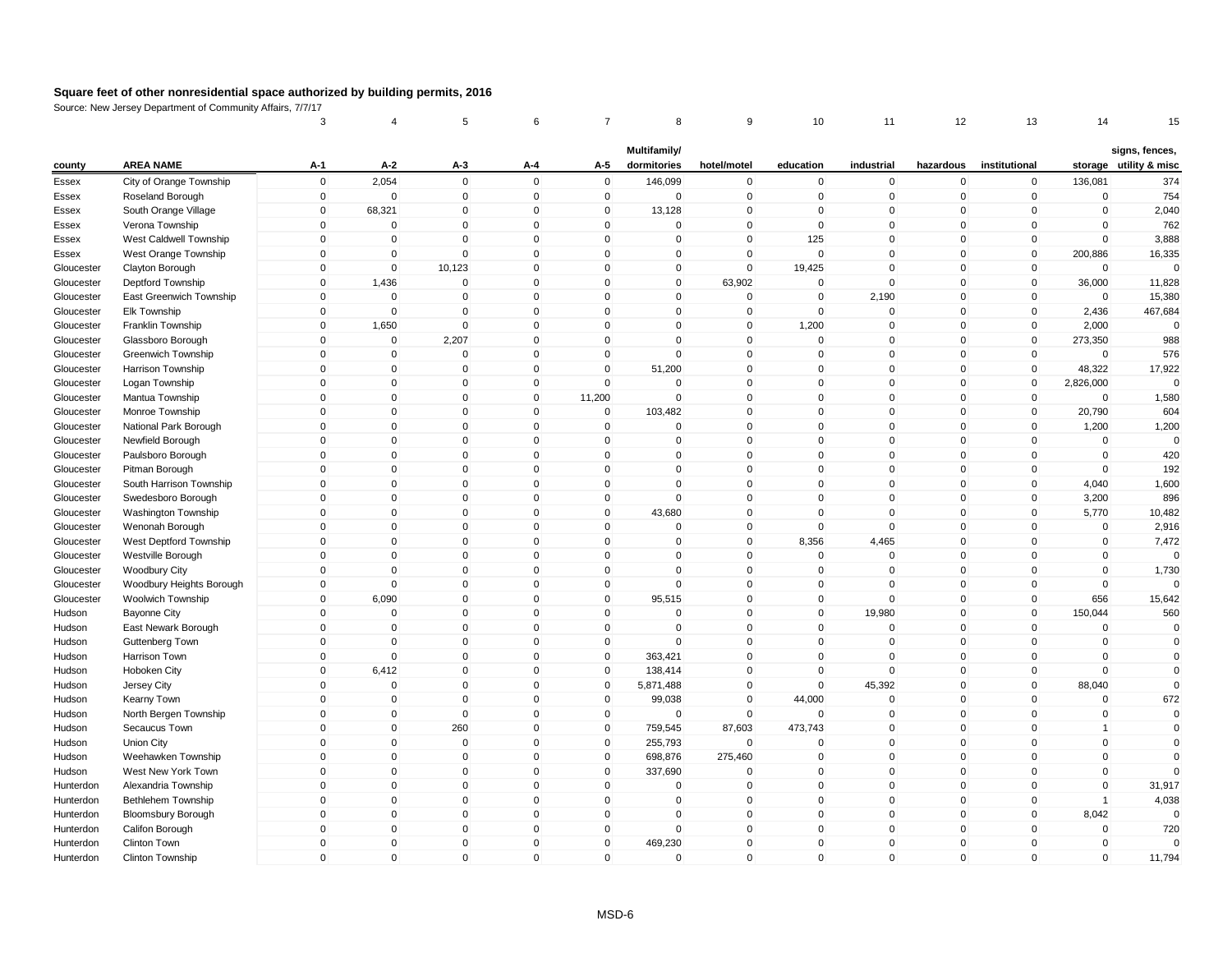|            |                           | 3            | 4              | 5            | 6            |              | 8            | 9              | 10          | 11           | 12             | 13            | 14             | 15                     |
|------------|---------------------------|--------------|----------------|--------------|--------------|--------------|--------------|----------------|-------------|--------------|----------------|---------------|----------------|------------------------|
|            |                           |              |                |              |              |              | Multifamily/ |                |             |              |                |               |                | signs, fences,         |
| county     | <b>AREA NAME</b>          | $A-1$        | $A-2$          | A-3          | A-4          | A-5          | dormitories  | hotel/motel    | education   | industrial   | hazardous      | institutional |                | storage utility & misc |
| Essex      | City of Orange Township   | $\mathbf 0$  | 2,054          | $\mathbf 0$  | $\mathbf 0$  | $\mathbf 0$  | 146,099      | $\mathbf 0$    | $\mathbf 0$ | $\mathbf 0$  | $\pmb{0}$      | $\mathbf 0$   | 136,081        | 374                    |
| Essex      | Roseland Borough          | $\mathbf 0$  | $\overline{0}$ | $\mathbf 0$  | $\mathbf 0$  | $\mathbf 0$  | $\mathbf 0$  | $\mathbf 0$    | $\mathbf 0$ | $\mathbf 0$  | $\mathbf 0$    | $\mathbf 0$   | $\mathbf 0$    | 754                    |
| Essex      | South Orange Village      | 0            | 68,321         | 0            | $\mathbf 0$  | 0            | 13,128       | $\pmb{0}$      | $\Omega$    | 0            | $\mathbf 0$    | $\mathbf 0$   | $\mathbf 0$    | 2,040                  |
| Essex      | Verona Township           | $\mathbf 0$  | $\overline{0}$ | $\Omega$     | $\Omega$     | $\mathbf{0}$ | $\mathbf 0$  | $\mathsf 0$    | $\mathbf 0$ | $\mathbf{0}$ | $\mathsf 0$    | $\mathbf 0$   | $\Omega$       | 762                    |
| Essex      | West Caldwell Township    | $\mathbf 0$  | $\mathbf 0$    | $\mathbf 0$  | $\mathbf 0$  | $\mathbf 0$  | $\mathbf 0$  | $\mathbf 0$    | 125         | $\mathbf 0$  | $\mathbf 0$    | $\mathbf 0$   | $\mathbf 0$    | 3,888                  |
| Essex      | West Orange Township      | $\mathbf{0}$ | $\Omega$       | $\mathbf{0}$ | $\mathbf{0}$ | $\mathbf{0}$ | $\Omega$     | $\mathbf 0$    | $\Omega$    | $\mathbf{0}$ | $\mathsf 0$    | $\mathbf{0}$  | 200,886        | 16,335                 |
| Gloucester | Clayton Borough           | $\mathbf{0}$ | $\mathbf 0$    | 10,123       | $\mathbf 0$  | $\mathbf{0}$ | 0            | $\mathbf 0$    | 19,425      | $\mathbf 0$  | $\mathbf 0$    | $\mathbf 0$   | $\mathbf 0$    | $\Omega$               |
| Gloucester | Deptford Township         | $\mathbf 0$  | 1,436          | $\mathbf 0$  | $\mathbf 0$  | $\mathbf 0$  | 0            | 63,902         | 0           | $\mathbf 0$  | $\mathbf 0$    | $\mathbf 0$   | 36,000         | 11,828                 |
| Gloucester | East Greenwich Township   | $\mathbf 0$  | $\mathbf 0$    | $\mathbf{0}$ | $\mathbf 0$  | $\mathbf{0}$ | 0            | $\mathsf 0$    | $\Omega$    | 2,190        | $\mathbf 0$    | $\mathbf 0$   | $\mathbf 0$    | 15,380                 |
| Gloucester | Elk Township              | $\mathbf 0$  | $\mathbf 0$    | $\mathbf 0$  | $\mathbf 0$  | $\mathbf 0$  | $\mathbf 0$  | $\mathbf 0$    | $\mathbf 0$ | $\mathbf 0$  | $\mathbf 0$    | $\mathbf 0$   | 2,436          | 467,684                |
| Gloucester | Franklin Township         | $\mathbf 0$  | 1,650          | $\mathbf 0$  | $\Omega$     | $\Omega$     | $\Omega$     | $\mathbf 0$    | 1,200       | 0            | $\mathbf 0$    | 0             | 2,000          | $\Omega$               |
| Gloucester | Glassboro Borough         | $\mathbf{0}$ | $\mathbf 0$    | 2,207        | $\mathbf 0$  | $\Omega$     | $\mathbf 0$  | $\mathsf 0$    | $\mathbf 0$ | $\mathbf 0$  | $\mathsf 0$    | $\mathbf 0$   | 273,350        | 988                    |
| Gloucester | Greenwich Township        | $\mathbf 0$  | $\pmb{0}$      | $\mathbf 0$  | $\mathbf 0$  | $\mathbf 0$  | $\mathbf 0$  | $\mathbf 0$    | $\mathbf 0$ | $\mathbf 0$  | $\mathbf 0$    | $\mathbf 0$   | $\mathbf 0$    | 576                    |
| Gloucester | Harrison Township         | $\mathbf{0}$ | $\mathbf 0$    | $\mathbf 0$  | $\mathbf{0}$ | $\mathbf{0}$ | 51,200       | $\mathbf 0$    | $\Omega$    | $\mathbf 0$  | $\mathbf{0}$   | $\mathbf 0$   | 48,322         | 17,922                 |
| Gloucester | Logan Township            | $\mathbf{0}$ | $\overline{0}$ | $\Omega$     | $\mathbf 0$  | $\Omega$     | $\Omega$     | $\mathbf 0$    | $\Omega$    | $\mathbf 0$  | $\mathbf 0$    | $\mathbf 0$   | 2,826,000      | $\Omega$               |
| Gloucester | Mantua Township           | $\mathbf 0$  | $\mathbf 0$    | $\mathbf 0$  | $\mathbf 0$  | 11,200       | $\mathbf 0$  | $\mathsf 0$    | $\mathbf 0$ | $\mathbf 0$  | $\mathbf 0$    | $\mathbf 0$   | $\mathbf 0$    | 1,580                  |
| Gloucester | Monroe Township           | $\mathbf 0$  | $\mathbf 0$    | $\mathbf 0$  | $\mathsf 0$  | $\mathbf 0$  | 103,482      | $\mathsf 0$    | $\mathbf 0$ | $\mathbf 0$  | $\mathbf 0$    | $\mathbf 0$   | 20,790         | 604                    |
| Gloucester | National Park Borough     | $\mathbf 0$  | $\mathbf 0$    | $\mathbf 0$  | $\mathbf 0$  | $\mathbf 0$  | $\mathbf 0$  | $\mathbf 0$    | $\mathbf 0$ | $\mathbf 0$  | $\mathbf 0$    | $\mathbf 0$   | 1,200          | 1,200                  |
| Gloucester | Newfield Borough          | 0            | $\pmb{0}$      | $\mathbf 0$  | $\mathbf 0$  | $\Omega$     | $\mathbf 0$  | $\mathbf 0$    | $\Omega$    | 0            | $\mathbf 0$    | 0             | 0              | $\Omega$               |
| Gloucester | Paulsboro Borough         | $\mathbf 0$  | $\mathbf 0$    | $\mathbf{0}$ | $\mathbf 0$  | $\Omega$     | $\Omega$     | $\mathbf 0$    | $\Omega$    | $\mathbf{0}$ | $\mathsf 0$    | $\mathbf 0$   | $\mathbf 0$    | 420                    |
| Gloucester | Pitman Borough            | $\mathbf 0$  | $\mathbf 0$    | $\mathbf 0$  | $\mathbf 0$  | $\mathbf 0$  | $\mathbf 0$  | $\mathsf 0$    | $\mathbf 0$ | $\mathbf 0$  | $\mathbf 0$    | $\mathbf 0$   | $\mathbf 0$    | 192                    |
| Gloucester | South Harrison Township   | $\mathbf{0}$ | $\pmb{0}$      | $\mathbf{0}$ | $\mathbf{0}$ | $\mathbf 0$  | $\Omega$     | $\mathbf 0$    | $\Omega$    | $\mathbf 0$  | $\mathbf 0$    | $\mathbf 0$   | 4,040          | 1,600                  |
| Gloucester | Swedesboro Borough        | $\mathbf{0}$ | $\mathbf 0$    | $\mathbf 0$  | $\Omega$     | $\mathbf 0$  | 0            | $\mathbf 0$    | $\Omega$    | $\mathbf{0}$ | $\mathbf 0$    | $\mathbf 0$   | 3,200          | 896                    |
| Gloucester | Washington Township       | $\mathbf 0$  | $\overline{0}$ | $\mathbf 0$  | $\mathbf 0$  | $\mathbf 0$  | 43,680       | $\mathbf 0$    | $\Omega$    | $\mathbf 0$  | $\mathbf 0$    | $\mathbf 0$   | 5,770          | 10,482                 |
| Gloucester | Wenonah Borough           | $\mathbf{0}$ | $\mathbf 0$    | $\mathbf{0}$ | $\mathbf{0}$ | $\mathbf{0}$ | $\pmb{0}$    | $\mathbf 0$    | $\Omega$    | $\mathbf 0$  | $\mathbf{0}$   | $\mathbf 0$   | $\mathbf 0$    | 2,916                  |
| Gloucester | West Deptford Township    | $\mathbf 0$  | $\pmb{0}$      | $\mathbf 0$  | $\mathbf 0$  | $\mathbf 0$  | $\mathbf 0$  | $\mathsf 0$    | 8,356       | 4,465        | $\mathbf 0$    | $\mathbf 0$   | $\mathbf 0$    | 7,472                  |
| Gloucester | Westville Borough         | $\mathbf 0$  | $\pmb{0}$      | $\mathbf 0$  | $\mathbf 0$  | $\mathbf 0$  | $\mathbf 0$  | $\mathbf 0$    | $\mathbf 0$ | $\mathbf 0$  | $\mathbf 0$    | $\mathbf 0$   | $\mathbf 0$    | $\mathbf 0$            |
| Gloucester | <b>Woodbury City</b>      | $\mathbf{0}$ | $\mathbf 0$    | $\mathbf 0$  | $\mathbf 0$  | $\mathbf 0$  | $\mathbf 0$  | $\mathsf 0$    | $\mathbf 0$ | $\mathbf 0$  | $\mathbf 0$    | $\mathbf 0$   | $\mathbf 0$    | 1,730                  |
| Gloucester | Woodbury Heights Borough  | $\mathbf 0$  | $\mathbf 0$    | $\mathbf 0$  | $\mathbf 0$  | $\mathbf 0$  | $\mathbf 0$  | $\mathsf 0$    | $\mathbf 0$ | $\mathbf 0$  | $\mathbf 0$    | $\mathbf 0$   | $\mathbf 0$    | $\Omega$               |
| Gloucester | Woolwich Township         | $\mathbf 0$  | 6,090          | $\mathbf 0$  | $\mathbf 0$  | $\mathbf 0$  | 95,515       | $\mathbf 0$    | $\mathbf 0$ | $\mathbf 0$  | $\mathbf 0$    | $\mathbf 0$   | 656            | 15,642                 |
| Hudson     | <b>Bayonne City</b>       | $\mathbf 0$  | $\overline{0}$ | $\mathbf 0$  | $\mathbf 0$  | $\mathbf{0}$ | $\Omega$     | $\mathbf 0$    | $\mathbf 0$ | 19,980       | $\mathbf 0$    | $\mathbf 0$   | 150,044        | 560                    |
| Hudson     | East Newark Borough       | $\mathbf{0}$ | $\mathbf 0$    | $\mathbf{0}$ | $\Omega$     | $\mathbf 0$  | $\Omega$     | $\mathbf 0$    | $\Omega$    | $\mathbf 0$  | $\mathbf{0}$   | $\mathbf 0$   | $\mathbf 0$    | $\mathbf 0$            |
| Hudson     | Guttenberg Town           | $\mathbf 0$  | $\mathbf 0$    | $\mathbf 0$  | $\mathsf 0$  | $\mathbf 0$  | $\Omega$     | $\mathbf 0$    | $\Omega$    | $\mathbf 0$  | $\mathbf 0$    | $\mathbf 0$   | $\mathbf 0$    | $\mathbf 0$            |
| Hudson     | Harrison Town             | $\mathbf 0$  | $\mathbf 0$    | $\mathbf{0}$ | $\mathbf 0$  | $\mathbf 0$  | 363,421      | $\mathbf 0$    | $\mathbf 0$ | $\mathbf 0$  | $\mathbf 0$    | $\mathbf 0$   | $\mathbf 0$    | $\mathbf 0$            |
| Hudson     | Hoboken City              | $\mathbf 0$  | 6,412          | 0            | $\mathbf 0$  | 0            | 138,414      | $\mathbf 0$    | 0           | $\mathbf 0$  | $\mathbf 0$    | 0             | $\mathbf 0$    | $\Omega$               |
| Hudson     | Jersey City               | $\mathbf 0$  | $\mathbf 0$    | $\Omega$     | $\mathbf 0$  | $\Omega$     | 5,871,488    | $\mathbf 0$    | $\Omega$    | 45,392       | $\mathsf 0$    | $\mathbf 0$   | 88,040         | $\mathbf 0$            |
| Hudson     | Kearny Town               | $\mathbf 0$  | $\mathbf 0$    | $\mathbf 0$  | $\mathbf 0$  | $\mathbf 0$  | 99,038       | $\mathsf 0$    | 44,000      | $\mathbf 0$  | $\mathbf 0$    | $\mathbf 0$   | $\mathbf 0$    | 672                    |
| Hudson     | North Bergen Township     | $\mathbf 0$  | $\mathbf 0$    | $\mathbf 0$  | $\mathbf 0$  | $\mathbf 0$  | $\mathbf 0$  | $\mathbf 0$    | $\Omega$    | $\mathbf 0$  | $\mathbf 0$    | $\mathbf 0$   | $\mathbf 0$    | $\mathbf 0$            |
| Hudson     | Secaucus Town             | $\mathbf{0}$ | $\mathbf 0$    | 260          | $\Omega$     | $\mathbf 0$  | 759,545      | 87,603         | 473,743     | $\mathbf 0$  | $\mathbf{0}$   | $\mathbf 0$   | $\mathbf{1}$   | $\mathbf 0$            |
| Hudson     | Union City                | $\mathbf 0$  | $\overline{0}$ | $\mathbf 0$  | $\mathbf 0$  | $\mathbf 0$  | 255,793      | $\overline{0}$ | $\Omega$    | $\mathbf 0$  | $\mathbf 0$    | $\mathbf 0$   | $\mathbf 0$    | $\mathbf 0$            |
| Hudson     | Weehawken Township        | $\mathbf{0}$ | $\mathbf{0}$   | $\mathbf{0}$ | $\Omega$     | $\mathbf{0}$ | 698,876      | 275,460        | $\Omega$    | $\mathbf{0}$ | $\mathbf{0}$   | $\Omega$      | $\Omega$       | $\Omega$               |
| Hudson     | West New York Town        | $\mathbf 0$  | $\pmb{0}$      | $\mathbf 0$  | $\mathbf 0$  | $\mathbf 0$  | 337,690      | $\overline{0}$ | $\mathbf 0$ | $\mathbf 0$  | $\overline{0}$ | $\mathbf 0$   | $\mathbf 0$    | $\Omega$               |
| Hunterdon  | Alexandria Township       | $\mathbf 0$  | $\pmb{0}$      | $\mathbf 0$  | $\mathbf 0$  | $\mathbf 0$  | $\pmb{0}$    | $\mathbf 0$    | $\mathbf 0$ | $\mathbf 0$  | $\mathbf 0$    | $\mathbf 0$   | $\mathbf 0$    | 31,917                 |
| Hunterdon  | Bethlehem Township        | $\mathbf 0$  | $\pmb{0}$      | $\mathbf 0$  | $\mathbf 0$  | $\mathbf 0$  | $\mathsf 0$  | $\mathbf 0$    | $\Omega$    | $\mathbf 0$  | $\mathsf 0$    | $\mathbf 0$   | $\overline{1}$ | 4,038                  |
| Hunterdon  | <b>Bloomsbury Borough</b> | $\mathbf 0$  | $\mathbf 0$    | $\mathbf 0$  | $\mathbf 0$  | $\mathbf 0$  | 0            | $\mathsf 0$    | $\mathbf 0$ | $\mathbf 0$  | $\mathsf 0$    | $\mathbf 0$   | 8,042          | $\Omega$               |
| Hunterdon  | Califon Borough           | $\mathbf 0$  | $\mathbf 0$    | $\mathbf 0$  | $\mathbf 0$  | $\mathbf 0$  | $\mathbf 0$  | $\mathbf 0$    | $\mathbf 0$ | $\mathbf 0$  | $\mathbf 0$    | $\mathbf 0$   | $\mathbf 0$    | 720                    |
| Hunterdon  | Clinton Town              | $\mathbf{0}$ | $\overline{0}$ | $\Omega$     | $\Omega$     | $\mathbf{0}$ | 469,230      | $\mathbf 0$    | $\Omega$    | $\mathbf 0$  | $\mathbf 0$    | $\Omega$      | $\mathbf 0$    | $\Omega$               |
| Hunterdon  | Clinton Township          | $\mathbf{0}$ | $\mathsf 0$    | $\mathsf 0$  | $\Omega$     | $\mathbf 0$  | $\mathbf 0$  | $\mathbf 0$    | $\Omega$    | $\mathbf 0$  | $\mathbf 0$    | $\Omega$      | $\Omega$       | 11,794                 |
|            |                           |              |                |              |              |              |              |                |             |              |                |               |                |                        |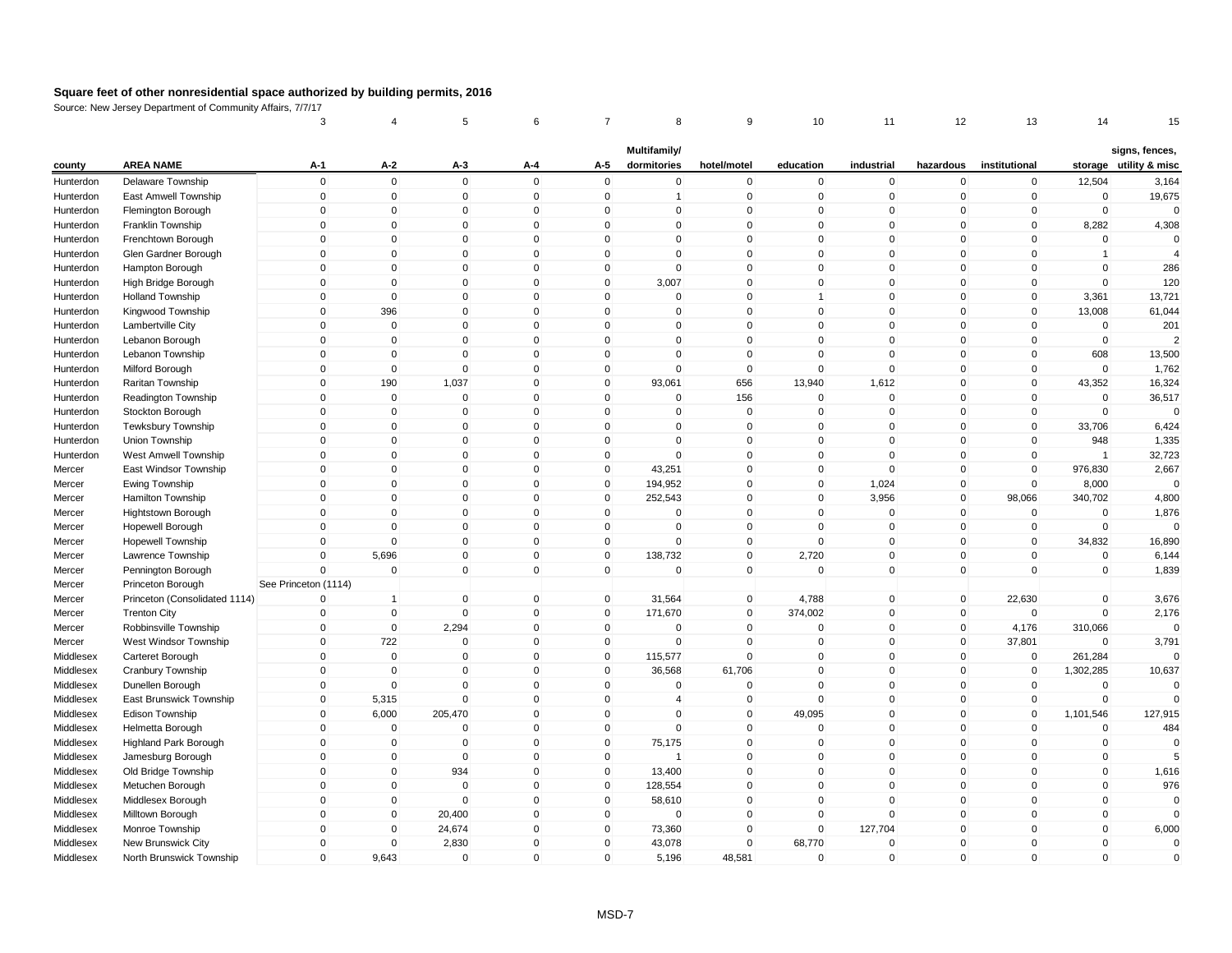|           |                               | 3                    |                | 5            | 6            | 7              | 8              | 9              | 10                   | 11          | 12           | 13            | 14             | 15                     |
|-----------|-------------------------------|----------------------|----------------|--------------|--------------|----------------|----------------|----------------|----------------------|-------------|--------------|---------------|----------------|------------------------|
|           |                               |                      |                |              |              |                | Multifamily/   |                |                      |             |              |               |                | signs, fences,         |
| county    | <b>AREA NAME</b>              | A-1                  | A-2            | $A-3$        | A-4          | A-5            | dormitories    | hotel/motel    | education            | industrial  | hazardous    | institutional |                | storage utility & misc |
| Hunterdon | Delaware Township             | $\mathbf 0$          | $\mathbf 0$    | $\mathbf 0$  | $\Omega$     | $\mathsf 0$    | 0              | $\mathbf 0$    | $\mathbf 0$          | $\mathbf 0$ | $\mathbf 0$  | $\mathbf 0$   | 12,504         | 3,164                  |
| Hunterdon | East Amwell Township          | $\mathbf 0$          | $\mathbf 0$    | $\mathbf 0$  | $\Omega$     | $\mathbf 0$    | $\mathbf{1}$   | $\mathbf 0$    | $\mathbf 0$          | $\mathbf 0$ | $\mathbf 0$  | $\mathbf 0$   | $\mathbf 0$    | 19,675                 |
| Hunterdon | Flemington Borough            | 0                    | $\overline{0}$ | 0            | $\Omega$     | $\mathbf{0}$   | 0              | $\mathbf 0$    | $\mathbf{0}$         | $\mathbf 0$ | 0            | 0             | $\pmb{0}$      | $\Omega$               |
| Hunterdon | Franklin Township             | $\mathbf 0$          | $\mathbf 0$    | $\Omega$     | $\Omega$     | $\mathbf{0}$   | $\Omega$       | $\mathbf 0$    | $\mathbf{0}$         | $\Omega$    | $\mathbf{0}$ | $\mathbf{0}$  | 8,282          | 4,308                  |
| Hunterdon | Frenchtown Borough            | $\mathbf 0$          | $\mathbf 0$    | $\mathbf 0$  | $\mathbf 0$  | $\mathbf 0$    | $\mathbf 0$    | $\mathbf 0$    | $\mathbf{0}$         | $\mathbf 0$ | $\mathbf 0$  | $\mathbf 0$   | $\mathbf 0$    | $\mathbf 0$            |
| Hunterdon | Glen Gardner Borough          | $\mathbf 0$          | $\mathbf 0$    | $\Omega$     | $\mathbf 0$  | $\mathbf{0}$   | $\Omega$       | $\mathbf 0$    | $\Omega$             | $\Omega$    | $\mathbf 0$  | $\Omega$      | $\overline{1}$ | $\overline{4}$         |
| Hunterdon | Hampton Borough               | $\mathbf 0$          | $\mathbf 0$    | $\mathbf 0$  | $\mathbf{0}$ | $\mathbf 0$    | 0              | $\mathbf{0}$   | $\mathbf{0}$         | $\mathbf 0$ | $\mathbf{0}$ | $\Omega$      | $\mathbf 0$    | 286                    |
| Hunterdon | High Bridge Borough           | $\mathbf 0$          | $\mathbf 0$    | $\mathbf 0$  | $\mathbf 0$  | $\mathbf 0$    | 3,007          | $\mathbf 0$    | $\mathbf 0$          | $\mathbf 0$ | $\mathbf 0$  | $\mathbf 0$   | $\mathbf 0$    | 120                    |
| Hunterdon | <b>Holland Township</b>       | $\mathbf 0$          | $\mathbf 0$    | $\mathbf{0}$ | $\Omega$     | $\mathbf{0}$   | $\Omega$       | $\mathbf 0$    | $\blacktriangleleft$ | $\mathbf 0$ | $\mathbf 0$  | $\mathbf 0$   | 3,361          | 13,721                 |
| Hunterdon | Kingwood Township             | $\mathbf 0$          | 396            | $\mathbf 0$  | $\mathbf 0$  | $\mathbf 0$    | $\mathbf 0$    | $\pmb{0}$      | $\mathbf 0$          | $\mathbf 0$ | $\mathbf 0$  | $\mathbf 0$   | 13,008         | 61,044                 |
| Hunterdon | Lambertville City             | 0                    | $\mathbf 0$    | $\Omega$     | $\Omega$     | $\mathbf 0$    | $\Omega$       | $\Omega$       | $\mathbf 0$          | $\Omega$    | 0            | $\mathbf 0$   | 0              | 201                    |
| Hunterdon | Lebanon Borough               | $\mathbf 0$          | $\mathbf 0$    | $\mathbf 0$  | $\mathbf{0}$ | $\mathbf{0}$   | 0              | $\mathbf 0$    | $\mathbf{0}$         | $\mathbf 0$ | $\mathbf 0$  | $\mathbf{0}$  | $\mathbf 0$    | $\mathcal{P}$          |
| Hunterdon | Lebanon Township              | $\mathbf 0$          | $\mathbf 0$    | $\mathbf 0$  | $\mathbf 0$  | $\mathbf 0$    | 0              | $\pmb{0}$      | $\mathbf{0}$         | $\mathbf 0$ | $\mathbf 0$  | $\mathbf 0$   | 608            | 13,500                 |
| Hunterdon | Milford Borough               | $\mathbf{0}$         | $\mathbf 0$    | $\mathbf 0$  | $\mathbf{0}$ | $\mathbf{0}$   | 0              | $\mathbf 0$    | $\mathbf{0}$         | $\pmb{0}$   | $\mathbf{0}$ | $\mathbf{0}$  | $\mathbf 0$    | 1,762                  |
| Hunterdon | Raritan Township              | $\mathbf 0$          | 190            | 1,037        | $\mathbf{0}$ | $\mathbf{0}$   | 93,061         | 656            | 13,940               | 1,612       | $\mathbf 0$  | $\mathbf{0}$  | 43,352         | 16,324                 |
| Hunterdon | Readington Township           | $\mathbf 0$          | $\mathbf 0$    | $\mathbf 0$  | $\mathbf 0$  | $\mathbf 0$    | 0              | 156            | $\mathbf 0$          | $\mathbf 0$ | $\mathbf 0$  | $\mathbf 0$   | $\mathbf 0$    | 36,517                 |
| Hunterdon | Stockton Borough              | $\mathbf 0$          | $\mathbf 0$    | $\mathbf 0$  | $\mathbf{0}$ | $\mathbf 0$    | $\mathbf 0$    | $\mathbf 0$    | $\mathbf{0}$         | $\mathbf 0$ | $\mathbf 0$  | $\mathbf 0$   | $\Omega$       | $\Omega$               |
| Hunterdon | <b>Tewksbury Township</b>     | $\mathbf 0$          | $\mathbf 0$    | $\mathbf 0$  | $\Omega$     | $\mathbf 0$    | $\mathbf 0$    | $\mathbf 0$    | $\mathbf{0}$         | $\mathbf 0$ | $\mathbf 0$  | $\mathbf 0$   | 33,706         | 6,424                  |
| Hunterdon | Union Township                | 0                    | $\mathbf 0$    | 0            | $\Omega$     | $\mathbf 0$    | $\Omega$       | $\mathbf 0$    | $\mathbf 0$          | $\mathbf 0$ | 0            | 0             | 948            | 1,335                  |
| Hunterdon | West Amwell Township          | $\mathbf 0$          | $\mathbf 0$    | $\mathbf 0$  | $\Omega$     | $\mathbf 0$    | $\Omega$       | $\mathbf 0$    | $\mathbf{0}$         | $\mathbf 0$ | $\mathbf{0}$ | $\mathbf 0$   | $\overline{1}$ | 32,723                 |
| Mercer    | East Windsor Township         | $\mathbf 0$          | $\mathbf 0$    | $\mathbf 0$  | $\Omega$     | $\mathbf 0$    | 43,251         | $\mathbf 0$    | $\mathbf{0}$         | $\mathbf 0$ | $\mathbf 0$  | $\mathbf{0}$  | 976,830        | 2,667                  |
| Mercer    | Ewing Township                | $\mathsf{O}\xspace$  | $\Omega$       | $\Omega$     | $\mathbf{0}$ | $\mathbf{0}$   | 194,952        | $\mathbf 0$    | $\mathbf{0}$         | 1,024       | 0            | $\mathbf{0}$  | 8,000          | $\Omega$               |
| Mercer    | Hamilton Township             | $\mathbf{0}$         | $\mathbf 0$    | $\Omega$     | $\mathbf{0}$ | $\mathbf{0}$   | 252,543        | $\mathbf{0}$   | $\mathbf{0}$         | 3,956       | $\mathbf 0$  | 98,066        | 340,702        | 4,800                  |
| Mercer    | Hightstown Borough            | $\mathbf 0$          | $\mathbf 0$    | $\mathbf 0$  | $\mathbf 0$  | $\mathbf 0$    | 0              | $\mathbf 0$    | $\mathbf{0}$         | $\mathbf 0$ | 0            | $\mathbf 0$   | $\mathbf 0$    | 1,876                  |
| Mercer    | Hopewell Borough              | $\mathbf 0$          | $\mathbf{0}$   | $\mathbf{0}$ | $\Omega$     | $\mathbf 0$    | $\mathbf 0$    | $\mathbf 0$    | $\mathbf{0}$         | $\mathbf 0$ | $\mathbf 0$  | $\mathbf 0$   | $\mathbf 0$    | $\mathbf 0$            |
| Mercer    | <b>Hopewell Township</b>      | $\mathbf 0$          | $\mathbf 0$    | $\mathbf 0$  | $\mathbf 0$  | $\mathbf 0$    | $\mathbf 0$    | $\mathbf 0$    | $\mathbf 0$          | $\mathbf 0$ | $\mathbf 0$  | $\mathbf 0$   | 34,832         | 16,890                 |
| Mercer    | Lawrence Township             | $\mathbf 0$          | 5,696          | $\mathbf 0$  | $\mathbf 0$  | $\mathbf 0$    | 138,732        | $\mathbf 0$    | 2,720                | $\mathbf 0$ | $\mathbf 0$  | $\pmb{0}$     | $\pmb{0}$      | 6,144                  |
| Mercer    | Pennington Borough            | $\mathbf{0}$         | $\mathbf 0$    | $\mathbf{0}$ | $\Omega$     | $\mathbf{0}$   | $\Omega$       | $\mathbf 0$    | $\mathbf{0}$         | $\mathbf 0$ | $\mathbf{0}$ | $\mathbf{0}$  | $\mathbf 0$    | 1,839                  |
| Mercer    | Princeton Borough             | See Princeton (1114) |                |              |              |                |                |                |                      |             |              |               |                |                        |
| Mercer    | Princeton (Consolidated 1114) | $\mathbf 0$          | $\overline{1}$ | $\mathbf 0$  | $\mathbf 0$  | $\overline{0}$ | 31,564         | $\overline{0}$ | 4,788                | $\mathbf 0$ | $\mathbf 0$  | 22,630        | $\mathbf 0$    | 3,676                  |
| Mercer    | <b>Trenton City</b>           | $\mathbf 0$          | $\mathbf 0$    | $\mathbf 0$  | $\mathbf 0$  | $\mathbf 0$    | 171,670        | $\mathbf 0$    | 374,002              | $\mathbf 0$ | $\mathbf 0$  | $\mathbf 0$   | $\mathbf 0$    | 2,176                  |
| Mercer    | Robbinsville Township         | $\mathbf 0$          | $\mathbf 0$    | 2,294        | $\mathbf 0$  | $\mathbf 0$    | 0              | $\mathbf 0$    | $\mathbf 0$          | $\mathbf 0$ | 0            | 4,176         | 310,066        | $\Omega$               |
| Mercer    | West Windsor Township         | $\mathbf 0$          | 722            | $\mathbf 0$  | $\mathbf{0}$ | $\mathbf 0$    | $\mathbf 0$    | $\mathbf 0$    | $\mathbf{0}$         | $\pmb{0}$   | $\mathbf 0$  | 37,801        | $\Omega$       | 3,791                  |
| Middlesex | Carteret Borough              | $\mathbf 0$          | $\mathbf 0$    | $\mathbf 0$  | $\Omega$     | $\mathbf 0$    | 115,577        | $\mathbf 0$    | $\mathbf{0}$         | $\mathbf 0$ | $\mathbf 0$  | $\mathbf 0$   | 261,284        |                        |
| Middlesex | Cranbury Township             | $\mathbf 0$          | $\mathbf 0$    | 0            | $\mathbf 0$  | 0              | 36,568         | 61,706         | $\mathbf 0$          | $\mathbf 0$ | 0            | 0             | 1,302,285      | 10,637                 |
| Middlesex | Dunellen Borough              | $\mathbf 0$          | $\Omega$       | $\Omega$     | $\Omega$     | $\mathbf{0}$   | $\Omega$       | $\mathbf 0$    | $\mathbf{0}$         | $\Omega$    | $\mathbf{0}$ | $\mathbf 0$   | $\mathbf 0$    | $\mathbf 0$            |
| Middlesex | East Brunswick Township       | $\mathbf 0$          | 5,315          | $\mathbf 0$  | $\Omega$     | $\mathbf 0$    | $\overline{4}$ | $\mathbf 0$    | $\mathbf{0}$         | $\mathbf 0$ | $\mathbf 0$  | $\mathbf 0$   | $\mathbf 0$    | $\Omega$               |
| Middlesex | Edison Township               | $\mathbf 0$          | 6,000          | 205,470      | $\mathbf 0$  | $\mathbf 0$    | 0              | $\mathbf 0$    | 49,095               | $\mathbf 0$ | $\mathbf 0$  | $\mathbf 0$   | 1,101,546      | 127,915                |
| Middlesex | Helmetta Borough              | $\mathbf{0}$         | $\mathbf 0$    | $\mathbf 0$  | $\mathbf 0$  | $\mathbf{0}$   | 0              | $\mathbf 0$    | $\mathbf{0}$         | $\mathbf 0$ | $\mathbf{0}$ | $\mathbf{0}$  | $\mathbf 0$    | 484                    |
| Middlesex | <b>Highland Park Borough</b>  | $\mathbf 0$          | $\overline{0}$ | $\mathbf 0$  | $\mathbf 0$  | $\mathbf 0$    | 75,175         | $\mathbf 0$    | $\mathbf{0}$         | $\mathbf 0$ | $\mathbf 0$  | $\mathbf 0$   | $\mathbf 0$    | $\Omega$               |
| Middlesex | Jamesburg Borough             | $\mathbf{0}$         | $\mathbf{0}$   | $\mathbf 0$  | $\mathbf{0}$ | $\mathbf{0}$   | 1              | $\mathbf{0}$   | $\mathbf{0}$         | $\Omega$    | $\mathbf{0}$ | $\mathbf{0}$  | $\pmb{0}$      | 5                      |
| Middlesex | Old Bridge Township           | $\mathbf 0$          | $\mathbf 0$    | 934          | $\mathbf 0$  | $\mathbf 0$    | 13,400         | $\mathbf 0$    | $\mathbf{0}$         | $\mathbf 0$ | $\mathbf 0$  | $\mathbf 0$   | $\mathbf 0$    | 1,616                  |
| Middlesex | Metuchen Borough              | $\mathbf 0$          | $\mathbf 0$    | $\mathbf 0$  | $\mathbf 0$  | $\mathbf 0$    | 128,554        | $\mathbf 0$    | $\mathbf 0$          | $\mathbf 0$ | $\mathbf 0$  | $\mathbf 0$   | $\mathbf 0$    | 976                    |
| Middlesex | Middlesex Borough             | $\mathbf 0$          | $\mathbf 0$    | $\mathbf 0$  | $\Omega$     | $\mathbf 0$    | 58,610         | $\mathbf 0$    | $\mathbf{0}$         | $\mathbf 0$ | $\mathbf 0$  | $\mathbf 0$   | $\mathbf 0$    | $\Omega$               |
| Middlesex | Milltown Borough              | $\mathbf 0$          | $\mathbf 0$    | 20,400       | $\mathbf 0$  | $\mathbf 0$    | $\mathbf 0$    | $\pmb{0}$      | $\mathbf{0}$         | $\mathbf 0$ | $\mathbf 0$  | $\mathbf 0$   | $\mathbf 0$    | $\Omega$               |
| Middlesex | Monroe Township               | $\mathbf 0$          | $\mathbf 0$    | 24,674       | $\mathbf 0$  | $\mathbf 0$    | 73,360         | $\mathbf 0$    | $\mathbf 0$          | 127,704     | $\mathbf 0$  | $\mathbf 0$   | $\pmb{0}$      | 6,000                  |
| Middlesex | New Brunswick City            | $\mathbf 0$          | $\Omega$       | 2,830        | $\mathbf 0$  | $\mathbf{0}$   | 43,078         | $\Omega$       | 68,770               | $\Omega$    | $\mathbf 0$  | $\Omega$      | $\mathbf 0$    | $\Omega$               |
| Middlesex | North Brunswick Township      | $\Omega$             | 9,643          | $\mathbf 0$  | $\mathbf{0}$ | $\Omega$       | 5,196          | 48,581         | $\mathbf{0}$         | $\Omega$    | $\mathbf{0}$ | $\Omega$      | $\mathbf 0$    | $\Omega$               |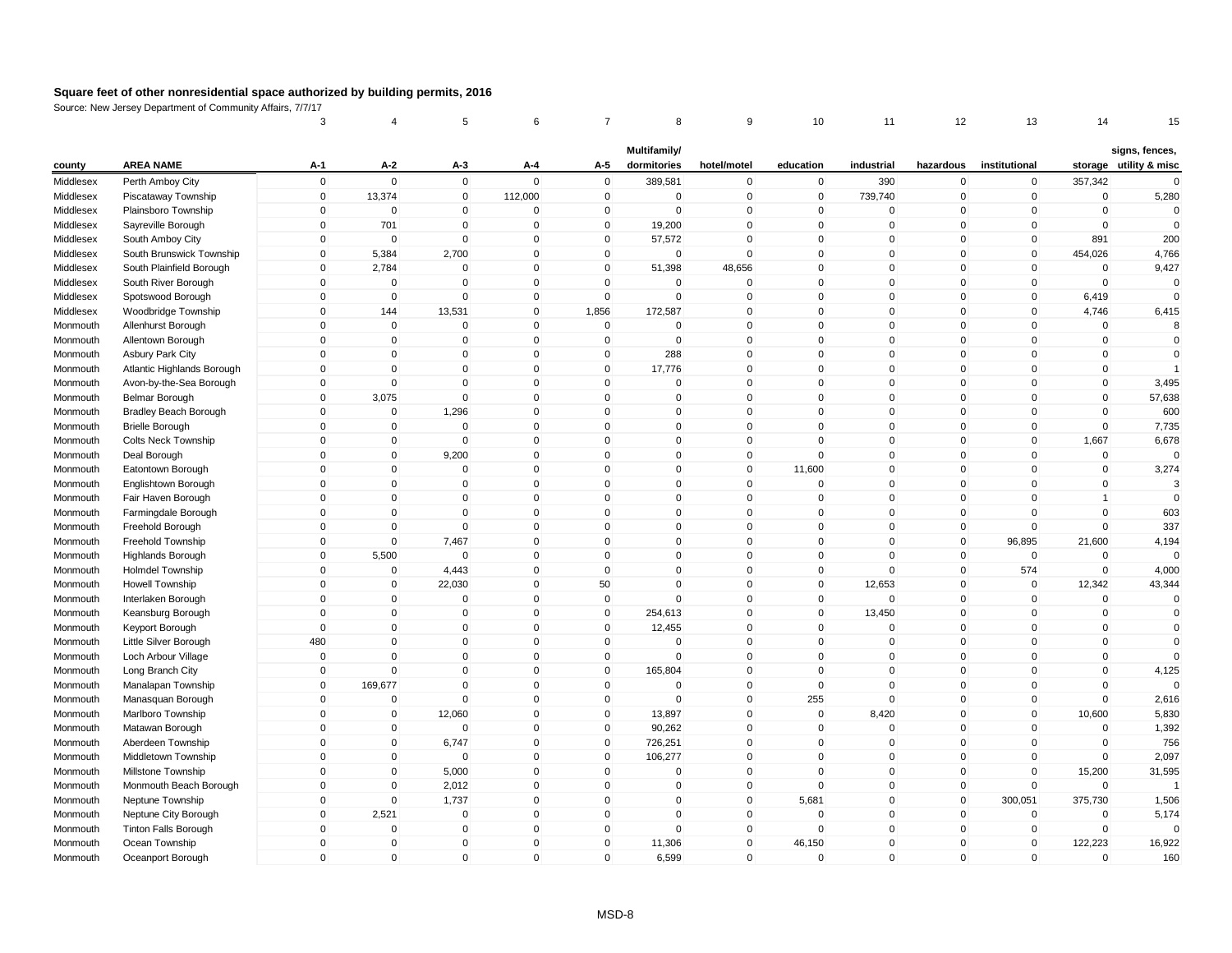|                      |                                              | 3            | 4                          | 5                          | 6            | 7                          | 8                           | 9                          | 10           | 11          | 12                         | 13            | 14                      | 15                                       |
|----------------------|----------------------------------------------|--------------|----------------------------|----------------------------|--------------|----------------------------|-----------------------------|----------------------------|--------------|-------------|----------------------------|---------------|-------------------------|------------------------------------------|
| county               | <b>AREA NAME</b>                             | A-1          | $A-2$                      | A-3                        | A-4          | A-5                        | Multifamily/<br>dormitories | hotel/motel                | education    | industrial  | hazardous                  | institutional |                         | signs, fences,<br>storage utility & misc |
| Middlesex            | Perth Amboy City                             | $\mathbf 0$  | $\mathbf 0$                | $\mathsf 0$                | $\Omega$     | $\mathbf 0$                | 389,581                     | $\pmb{0}$                  | $\mathbf 0$  | 390         | $\mathbf 0$                | $\mathbf 0$   | 357,342                 | $\Omega$                                 |
| Middlesex            | Piscataway Township                          | $\mathbf 0$  | 13,374                     | $\mathbf 0$                | 112,000      | $\mathbf 0$                | $\mathbf 0$                 | $\mathsf 0$                | $\mathbf 0$  | 739,740     | $\mathbf 0$                | $\mathbf 0$   | $\mathbf 0$             | 5,280                                    |
| Middlesex            | Plainsboro Township                          | $\mathbf 0$  | $\mathbf 0$                | $\mathbf 0$                | $\mathbf 0$  | 0                          | $\mathbf 0$                 | $\mathbf 0$                | $\mathbf 0$  | 0           | 0                          | $\mathbf 0$   | $\mathbf 0$             | $\mathbf 0$                              |
| Middlesex            | Sayreville Borough                           | $\mathbf{0}$ | 701                        | $\mathbf{0}$               | $\mathbf 0$  | $\mathbf{0}$               | 19,200                      | $\mathsf 0$                | $\mathbf{0}$ | $\Omega$    | $\mathbf{0}$               | $\mathbf{0}$  | $\Omega$                | $\mathbf 0$                              |
| Middlesex            | South Amboy City                             | $\mathbf{0}$ | $\mathbf 0$                | $\mathbf 0$                | $\Omega$     | $\mathbf 0$                | 57,572                      | $\mathbf 0$                | $\mathbf{0}$ | $\mathbf 0$ | $\mathbf 0$                | $\mathbf{0}$  | 891                     | 200                                      |
| Middlesex            | South Brunswick Township                     | $\mathbf 0$  | 5,384                      | 2,700                      | $\mathbf 0$  | 0                          | 0                           | $\mathbf 0$                | $\mathbf{0}$ | $\mathbf 0$ | 0                          | $\mathbf 0$   | 454,026                 | 4,766                                    |
| Middlesex            | South Plainfield Borough                     | $\Omega$     | 2,784                      | $\mathbf{0}$               | $\Omega$     | $\mathbf{0}$               | 51,398                      | 48,656                     | $\Omega$     | $\Omega$    | $\mathbf{0}$               | $\mathbf{0}$  | $\mathbf 0$             | 9,427                                    |
| Middlesex            | South River Borough                          | $\mathbf 0$  | $\mathbf 0$                | $\mathbf 0$                | $\mathbf 0$  | $\mathbf 0$                | $\mathbf 0$                 | $\mathbf 0$                | $\mathbf{0}$ | $\mathbf 0$ | $\mathbf 0$                | $\mathbf 0$   | $\mathbf 0$             | $\Omega$                                 |
| Middlesex            | Spotswood Borough                            | $\mathbf 0$  | $\pmb{0}$                  | $\mathbf 0$                | $\mathbf 0$  | $\mathbf 0$                | $\mathbf 0$                 | $\mathsf 0$                | $\mathbf{0}$ | $\mathbf 0$ | $\mathbf 0$                | $\mathbf 0$   | 6,419                   | $\Omega$                                 |
| Middlesex            | Woodbridge Township                          | $\mathbf 0$  | 144                        | 13,531                     | $\mathbf 0$  | 1,856                      | 172,587                     | $\mathsf 0$                | $\mathbf{0}$ | $\mathbf 0$ | $\mathbf 0$                | $\mathbf 0$   | 4,746                   | 6,415                                    |
| Monmouth             | Allenhurst Borough                           | $\mathbf{0}$ | $\mathbf 0$                | $\mathbf 0$                | $\mathbf 0$  | $\mathbf 0$                | $\mathbf 0$                 | $\mathsf 0$                | $\mathbf{0}$ | $\mathbf 0$ | $\mathbf{0}$               | $\mathbf 0$   | $\mathbf 0$             | 8                                        |
| Monmouth             | Allentown Borough                            | $\mathbf 0$  | $\pmb{0}$                  | $\mathbf 0$                | $\mathbf 0$  | $\mathbf 0$                | $\mathbf 0$                 | $\mathsf 0$                | $\mathbf{0}$ | $\mathbf 0$ | $\mathbf 0$                | $\mathbf 0$   | $\mathbf 0$             | $\mathbf 0$                              |
| Monmouth             | <b>Asbury Park City</b>                      | $\mathbf{0}$ | $\mathbf 0$                | $\Omega$                   | $\mathbf 0$  | $\mathbf 0$                | 288                         | $\mathsf 0$                | $\mathbf{0}$ | $\Omega$    | $\mathbf{0}$               | $\Omega$      | $\mathbf 0$             | $\mathbf 0$                              |
| Monmouth             | Atlantic Highlands Borough                   | $\Omega$     | $\mathbf 0$                | $\mathbf 0$                | $\mathbf{0}$ | $\mathbf 0$                | 17,776                      | $\mathbf 0$                | $\mathbf{0}$ | $\mathbf 0$ | $\mathbf{0}$               | $\Omega$      | $\mathbf 0$             |                                          |
| Monmouth             | Avon-by-the-Sea Borough                      | $\mathbf 0$  | $\mathbf 0$                | $\mathbf 0$                | $\mathbf 0$  | 0                          | $\mathbf 0$                 | $\mathbf 0$                | $\mathbf{0}$ | $\mathbf 0$ | $\mathbf 0$                | 0             | $\mathbf 0$             | 3,495                                    |
| Monmouth             | <b>Belmar Borough</b>                        | $\mathbf{0}$ | 3,075                      | $\mathbf 0$                | $\Omega$     | $\mathbf{0}$               | $\Omega$                    | $\mathsf 0$                | $\mathbf{0}$ | $\Omega$    | $\mathbf{0}$               | $\Omega$      | $\mathbf 0$             | 57,638                                   |
| Monmouth             | <b>Bradley Beach Borough</b>                 | $\mathbf 0$  | $\mathbf 0$                | 1,296                      | $\mathbf 0$  | $\mathbf 0$                | 0                           | $\pmb{0}$                  | $\mathbf 0$  | $\mathbf 0$ | $\mathbf 0$                | $\mathbf 0$   | $\mathbf 0$             | 600                                      |
|                      | <b>Brielle Borough</b>                       | $\mathbf 0$  | $\mathbf 0$                | $\mathbf 0$                | $\mathbf 0$  | $\mathbf 0$                | 0                           | $\mathbf 0$                | $\mathbf{0}$ | $\mathbf 0$ | $\mathbf 0$                | $\mathbf 0$   | $\mathbf 0$             | 7,735                                    |
| Monmouth<br>Monmouth | <b>Colts Neck Township</b>                   | $\mathbf{0}$ | $\pmb{0}$                  | $\mathbf 0$                | $\mathbf 0$  | $\mathbf 0$                | 0                           | $\mathsf 0$                | $\mathbf{0}$ | $\mathbf 0$ | $\mathbf 0$                | $\Omega$      | 1,667                   | 6,678                                    |
| Monmouth             | Deal Borough                                 | $\mathbf 0$  | $\mathbf 0$                | 9,200                      | $\mathbf 0$  | $\mathbf 0$                | $\mathbf 0$                 | $\pmb{0}$                  | $\Omega$     | $\mathbf 0$ | $\mathbf 0$                | $\mathbf 0$   | $\mathbf 0$             | $\Omega$                                 |
| Monmouth             |                                              | $\mathbf 0$  | $\mathbf 0$                | $\mathbf 0$                | $\mathbf 0$  | $\mathbf 0$                | $\mathbf 0$                 | $\mathsf 0$                | 11,600       | $\mathbf 0$ | $\mathbf 0$                | $\mathbf 0$   | $\mathbf 0$             | 3,274                                    |
| Monmouth             | Eatontown Borough<br>Englishtown Borough     | $\Omega$     | $\mathbf 0$                | $\Omega$                   | $\mathbf{0}$ | $\mathbf{0}$               | $\Omega$                    | $\mathsf 0$                | $\Omega$     | $\Omega$    | $\mathbf{0}$               | 0             | $\mathbf 0$             | 3                                        |
| Monmouth             | Fair Haven Borough                           | $\mathbf{0}$ | $\mathbf 0$                | $\Omega$                   | $\Omega$     | $\mathbf 0$                | $\Omega$                    | $\mathsf 0$                | $\mathbf{0}$ | $\Omega$    | $\mathbf{0}$               | $\Omega$      | $\overline{1}$          | $\Omega$                                 |
|                      |                                              | $\mathbf 0$  | $\mathbf 0$                | $\mathbf 0$                | $\mathbf 0$  | $\mathbf 0$                | 0                           | $\mathsf 0$                | $\mathbf 0$  | $\mathbf 0$ | $\mathbf 0$                | 0             | $\mathbf 0$             | 603                                      |
| Monmouth<br>Monmouth | Farmingdale Borough<br>Freehold Borough      | $\mathbf 0$  | $\mathbf 0$                | $\mathbf{0}$               | $\mathbf 0$  | $\mathbf 0$                | $\Omega$                    | $\mathsf 0$                | $\mathbf{0}$ | $\mathbf 0$ | $\mathbf 0$                | $\Omega$      | $\mathbf 0$             | 337                                      |
| Monmouth             | Freehold Township                            | $\mathbf 0$  | $\mathbf 0$                | 7,467                      | $\mathsf 0$  | $\mathbf 0$                | 0                           | $\pmb{0}$                  | $\mathbf{0}$ | $\mathbf 0$ | $\mathbf 0$                | 96,895        | 21,600                  | 4,194                                    |
|                      |                                              | $\mathbf 0$  | 5,500                      | $\mathbf 0$                | $\mathbf 0$  | $\mathbf 0$                | 0                           | $\pmb{0}$                  | $\mathbf{0}$ | $\mathbf 0$ | 0                          | $\mathbf 0$   | $\mathbf 0$             | $\Omega$                                 |
| Monmouth<br>Monmouth | <b>Highlands Borough</b><br>Holmdel Township | $\mathbf{0}$ | $\mathbf 0$                | 4,443                      | $\mathbf{0}$ | $\mathbf 0$                | $\mathbf 0$                 | $\mathsf 0$                | $\mathbf{0}$ | $\mathbf 0$ | $\mathbf 0$                | 574           | $\mathbf 0$             | 4,000                                    |
|                      |                                              | $\mathbf 0$  | $\mathbf 0$                | 22,030                     | $\mathbf 0$  | 50                         | $\mathbf 0$                 | $\mathbf 0$                | $\mathbf{0}$ | 12,653      | $\mathbf 0$                | $\mathbf 0$   | 12,342                  | 43,344                                   |
| Monmouth             | <b>Howell Township</b>                       | $\mathbf{0}$ |                            | $\mathbf 0$                | $\mathbf 0$  | $\mathbf 0$                | $\Omega$                    | $\mathbf 0$                | $\mathbf{0}$ | $\mathbf 0$ | $\mathbf 0$                | $\Omega$      | $\mathbf 0$             | $\mathbf 0$                              |
| Monmouth<br>Monmouth | Interlaken Borough                           | $\Omega$     | $\mathbf 0$<br>$\mathbf 0$ | $\Omega$                   | $\Omega$     | $\mathbf 0$                | 254,613                     | $\mathsf 0$                | $\mathbf{0}$ | 13,450      | $\mathbf{0}$               | $\Omega$      | $\mathbf 0$             | $\mathbf 0$                              |
|                      | Keansburg Borough                            | $\mathbf 0$  | $\mathbf 0$                | $\mathbf{0}$               | $\mathbf 0$  | $\mathbf 0$                |                             | $\mathsf 0$                | $\mathbf{0}$ | $\mathbf 0$ | $\mathbf 0$                | $\mathbf 0$   | $\mathbf 0$             | $\mathbf{0}$                             |
| Monmouth             | Keyport Borough                              | 480          | $\mathbf 0$                | 0                          | $\mathbf 0$  | 0                          | 12,455<br>0                 | $\mathbf 0$                | $\mathbf 0$  | $\mathbf 0$ | $\mathbf 0$                | 0             | $\pmb{0}$               | $\mathbf 0$                              |
| Monmouth             | Little Silver Borough                        | $\mathbf 0$  | $\mathbf 0$                | $\mathbf 0$                | $\mathbf 0$  | $\mathbf 0$                | $\Omega$                    | $\mathsf 0$                | $\mathbf{0}$ | $\mathbf 0$ | $\mathbf{0}$               | $\mathbf 0$   | $\mathbf 0$             | $\Omega$                                 |
| Monmouth             | Loch Arbour Village                          | $\Omega$     | $\mathbf 0$                |                            | $\mathbf 0$  |                            |                             | $\mathsf 0$                | $\mathbf{0}$ | $\mathbf 0$ |                            | $\Omega$      | $\mathbf 0$             |                                          |
| Monmouth             | Long Branch City                             | $\mathbf 0$  |                            | $\mathbf 0$<br>$\mathbf 0$ | $\mathbf 0$  | $\mathbf 0$<br>$\mathbf 0$ | 165,804<br>0                |                            | $\mathbf{0}$ | $\mathbf 0$ | $\mathbf 0$<br>$\mathbf 0$ | $\mathbf 0$   | $\mathbf 0$             | 4,125<br>$\Omega$                        |
| Monmouth             | Manalapan Township                           | $\mathbf{0}$ | 169,677<br>$\mathbf 0$     | $\mathbf 0$                | $\mathbf{0}$ | $\mathbf 0$                | $\Omega$                    | $\mathbf 0$<br>$\mathbf 0$ | 255          | $\Omega$    | $\mathbf{0}$               | $\mathbf{0}$  | $\mathbf 0$             | 2,616                                    |
| Monmouth             | Manasquan Borough                            |              |                            |                            |              |                            |                             |                            |              |             |                            |               |                         |                                          |
| Monmouth             | Marlboro Township                            | $\mathbf 0$  | $\mathbf 0$                | 12,060                     | $\mathbf 0$  | $\mathbf 0$                | 13,897                      | $\mathbf 0$                | $\mathbf 0$  | 8,420       | $\mathbf 0$                | $\mathbf 0$   | 10,600                  | 5,830                                    |
| Monmouth             | Matawan Borough                              | $\mathbf 0$  | $\mathbf 0$                | $\mathbf 0$                | $\mathbf 0$  | $\mathbf 0$                | 90,262                      | $\mathsf 0$                | $\mathbf 0$  | $\mathbf 0$ | $\mathbf 0$                | $\mathbf 0$   | $\mathbf 0$<br>$\Omega$ | 1,392                                    |
| Monmouth             | Aberdeen Township                            | $\mathbf 0$  | $\mathbf 0$                | 6,747                      | $\mathbf 0$  | $\mathbf 0$                | 726,251                     | $\mathsf 0$                | $\mathbf{0}$ | $\mathbf 0$ | $\mathbf 0$                | $\mathbf 0$   |                         | 756                                      |
| Monmouth             | Middletown Township                          | $\mathbf 0$  | $\pmb{0}$                  | $\mathbf 0$                | $\mathbf 0$  | $\mathbf 0$                | 106,277                     | $\mathsf 0$                | $\mathbf{0}$ | $\mathbf 0$ | $\mathbf 0$                | $\mathbf 0$   | $\mathbf 0$             | 2,097                                    |
| Monmouth             | Millstone Township                           | $\mathbf 0$  | $\mathbf 0$                | 5,000                      | $\mathbf 0$  | 0                          | 0                           | $\mathbf 0$                | $\Omega$     | $\mathbf 0$ | 0                          | $\mathbf 0$   | 15,200                  | 31,595                                   |
| Monmouth             | Monmouth Beach Borough                       | $\mathbf{0}$ | $\mathbf 0$                | 2,012                      | $\Omega$     | $\mathbf{0}$               | $\Omega$                    | $\pmb{0}$                  | $\Omega$     | $\Omega$    | $\mathbf 0$                | $\Omega$      | $\mathbf 0$             | $\overline{1}$                           |
| Monmouth             | Neptune Township                             | $\mathbf{0}$ | $\mathbf 0$                | 1,737                      | $\mathbf 0$  | $\mathbf 0$                | 0                           | $\mathsf 0$                | 5,681        | $\mathbf 0$ | $\mathbf 0$                | 300,051       | 375,730                 | 1,506                                    |
| Monmouth             | Neptune City Borough                         | $\mathbf 0$  | 2,521                      | $\mathbf 0$                | $\mathbf 0$  | 0                          | $\mathbf 0$                 | $\mathbf 0$                | $\Omega$     | $\mathbf 0$ | 0                          | $\mathbf 0$   | 0                       | 5,174                                    |
| Monmouth             | Tinton Falls Borough                         | $\Omega$     | $\mathbf 0$                | $\mathbf 0$                | $\Omega$     | $\mathbf{0}$               | $\Omega$                    | $\mathbf 0$                | $\mathbf{0}$ | $\Omega$    | $\mathbf{0}$               | $\mathbf{0}$  | $\mathbf 0$             | $\Omega$                                 |
| Monmouth             | Ocean Township                               | $\Omega$     | $\mathbf 0$                | $\mathbf 0$                | $\mathbf 0$  | $\mathbf 0$                | 11,306                      | $\mathsf 0$                | 46,150       | $\mathbf 0$ | $\mathbf 0$                | 0             | 122,223                 | 16,922                                   |
| Monmouth             | Oceanport Borough                            | $\mathbf 0$  | $\mathbf 0$                | $\mathbf 0$                | $\mathbf 0$  | $\mathbf 0$                | 6,599                       | $\mathbf 0$                | $\mathbf 0$  | $\mathbf 0$ | $\mathbf 0$                | 0             | $\mathbf 0$             | 160                                      |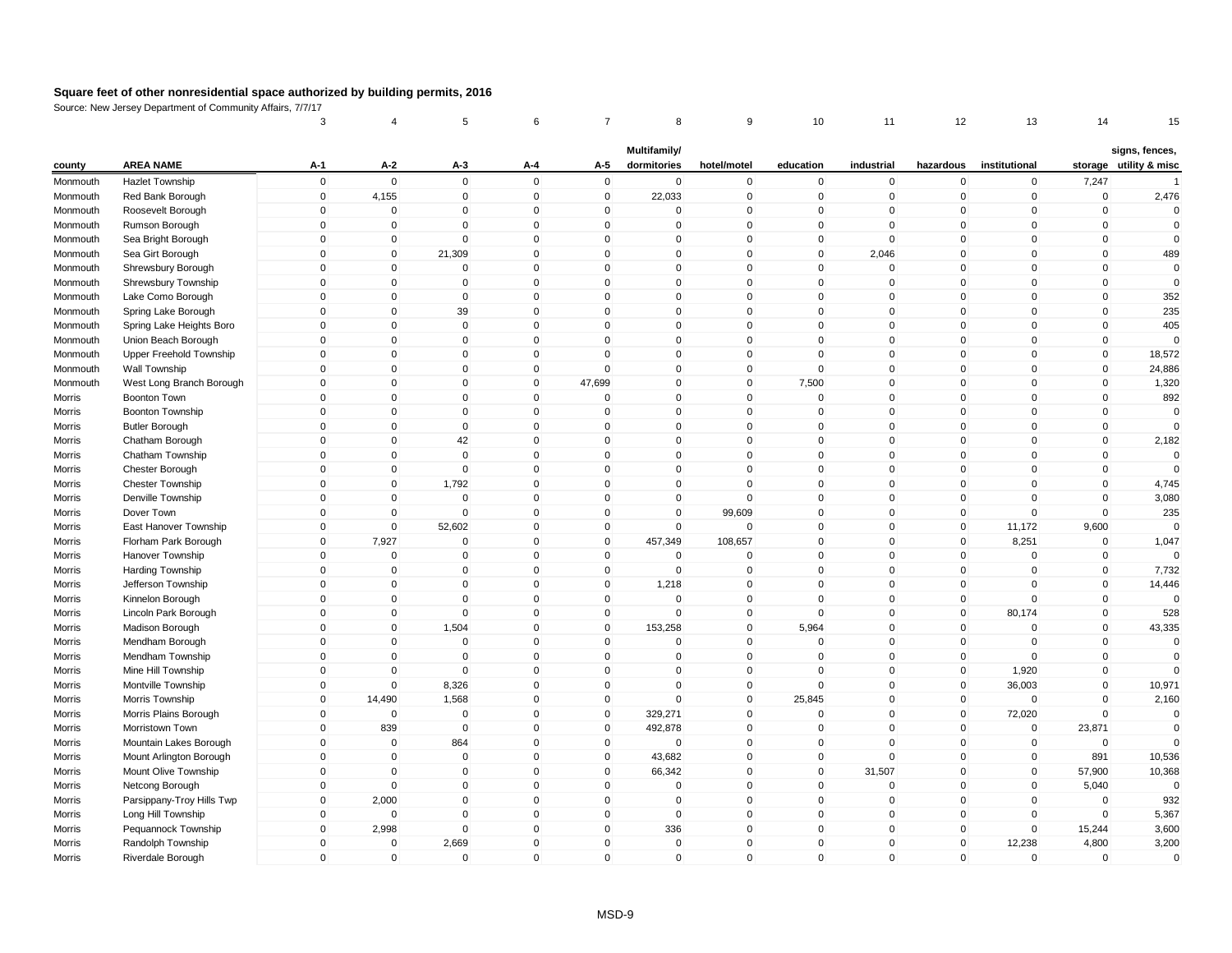|          |                           | 3           | 4              | 5              | 6            | 7            | 8                           | 9            | 10           | 11          | 12           | 13             | 14          | 15                                       |
|----------|---------------------------|-------------|----------------|----------------|--------------|--------------|-----------------------------|--------------|--------------|-------------|--------------|----------------|-------------|------------------------------------------|
| county   | <b>AREA NAME</b>          | A-1         | A-2            | A-3            | A-4          | A-5          | Multifamily/<br>dormitories | hotel/motel  | education    | industrial  | hazardous    | institutional  |             | signs, fences,<br>storage utility & misc |
| Monmouth | <b>Hazlet Township</b>    | $\mathsf 0$ | $\mathbf 0$    | $\mathbf 0$    | $\mathbf{0}$ | $\mathbf 0$  | $\mathbf 0$                 | $\mathbf 0$  | $\mathbf 0$  | $\mathbf 0$ | $\mathbf 0$  | $\mathbf 0$    | 7,247       | $\overline{1}$                           |
| Monmouth | Red Bank Borough          | $\mathbf 0$ | 4,155          | $\overline{0}$ | $\mathbf 0$  | $\mathbf 0$  | 22,033                      | $\mathbf 0$  | $\mathbf 0$  | $\mathbf 0$ | $\mathbf 0$  | $\overline{0}$ | $\mathbf 0$ | 2,476                                    |
| Monmouth | Roosevelt Borough         | 0           | $\mathbf 0$    | 0              | $\mathbf 0$  | 0            | 0                           | $\mathbf 0$  | 0            | $\mathbf 0$ | 0            | 0              | $\pmb{0}$   | $\mathbf 0$                              |
| Monmouth | Rumson Borough            | $\mathbf 0$ | $\mathbf{0}$   | $\Omega$       | $\mathbf{0}$ | $\mathbf{0}$ | $\mathbf{0}$                | $\mathbf 0$  | $\mathbf 0$  | $\Omega$    | $\mathbf{0}$ | $\mathbf{0}$   | $\mathbf 0$ | $\mathbf 0$                              |
| Monmouth | Sea Bright Borough        | $\mathsf 0$ | $\mathbf 0$    | $\mathbf 0$    | $\mathbf{0}$ | $\Omega$     | $\mathbf 0$                 | $\mathbf 0$  | $\mathbf 0$  | $\mathbf 0$ | $\mathbf 0$  | $\mathbf{0}$   | $\mathbf 0$ | $\mathbf 0$                              |
| Monmouth | Sea Girt Borough          | $\mathbf 0$ | $\mathbf 0$    | 21,309         | $\mathbf 0$  | $\Omega$     | $\Omega$                    | $\pmb{0}$    | $\mathbf 0$  | 2,046       | $\mathbf 0$  | $\mathbf 0$    | $\mathbf 0$ | 489                                      |
| Monmouth | Shrewsbury Borough        | $\Omega$    | $\mathbf{0}$   | $\Omega$       | $\mathbf{0}$ | $\Omega$     | $\mathbf{0}$                | $\mathbf{0}$ | $\mathbf 0$  | $\mathsf 0$ | $\mathbf{0}$ | $\mathbf{0}$   | $\mathbf 0$ | $\mathbf 0$                              |
| Monmouth | Shrewsbury Township       | $\mathsf 0$ | $\mathbf 0$    | $\mathbf 0$    | $\mathbf 0$  | $\mathbf 0$  | $\mathbf 0$                 | $\mathbf 0$  | $\mathbf 0$  | $\mathbf 0$ | $\mathbf 0$  | $\mathbf 0$    | $\mathbf 0$ | $\mathbf 0$                              |
| Monmouth | Lake Como Borough         | $\mathsf 0$ | $\mathbf 0$    | $\mathbf 0$    | $\mathbf 0$  | $\mathbf 0$  | $\mathbf 0$                 | $\mathbf 0$  | $\mathbf 0$  | $\mathbf 0$ | $\mathbf 0$  | $\mathbf 0$    | $\mathbf 0$ | 352                                      |
| Monmouth | Spring Lake Borough       | $\mathbf 0$ | $\mathbf 0$    | 39             | $\mathbf 0$  | $\mathbf 0$  | $\mathbf 0$                 | $\mathbf 0$  | $\mathbf 0$  | $\mathbf 0$ | $\mathbf 0$  | $\mathbf 0$    | $\mathbf 0$ | 235                                      |
| Monmouth | Spring Lake Heights Boro  | $\mathbf 0$ | $\mathbf{0}$   | $\mathbf 0$    | $\mathbf{0}$ | $\Omega$     | $\mathbf{0}$                | $\pmb{0}$    | $\mathbf 0$  | $\mathbf 0$ | $\mathbf 0$  | $\mathbf{0}$   | $\mathbf 0$ | 405                                      |
| Monmouth | Union Beach Borough       | $\mathbf 0$ | $\mathbf 0$    | $\overline{0}$ | $\mathbf 0$  | $\mathbf 0$  | $\mathbf 0$                 | $\mathbf 0$  | $\mathbf 0$  | $\mathbf 0$ | $\mathbf 0$  | $\mathbf 0$    | $\mathbf 0$ | $\Omega$                                 |
| Monmouth | Upper Freehold Township   | $\mathsf 0$ | $\mathbf{0}$   | $\mathbf 0$    | $\mathbf{0}$ | $\Omega$     | $\mathbf{0}$                | $\mathbf 0$  | $\mathbf 0$  | $\mathbf 0$ | $\mathbf 0$  | $\mathbf{0}$   | $\mathbf 0$ | 18,572                                   |
| Monmouth | Wall Township             | $\Omega$    | $\mathbf 0$    | $\mathbf 0$    | $\mathbf 0$  | $\Omega$     | $\mathbf 0$                 | $\mathbf 0$  | $\mathbf 0$  | $\mathbf 0$ | $\mathbf 0$  | $\mathbf{0}$   | $\mathbf 0$ | 24,886                                   |
| Monmouth | West Long Branch Borough  | $\mathbf 0$ | $\mathbf 0$    | 0              | $\mathbf 0$  | 47,699       | $\mathbf 0$                 | $\mathbf 0$  | 7,500        | $\mathbf 0$ | $\mathbf 0$  | $\mathbf 0$    | $\mathbf 0$ | 1,320                                    |
| Morris   | Boonton Town              | $\mathbf 0$ | $\mathbf{0}$   | $\mathbf 0$    | $\mathbf{0}$ | $\Omega$     | $\mathbf{0}$                | $\mathbf 0$  | $\mathbf 0$  | $\mathbf 0$ | $\mathbf{0}$ | $\mathbf{0}$   | $\mathbf 0$ | 892                                      |
| Morris   | Boonton Township          | $\mathsf 0$ | $\mathbf 0$    | $\mathbf 0$    | $\mathbf 0$  | $\mathbf 0$  | $\mathbf 0$                 | $\mathbf 0$  | $\mathbf 0$  | $\mathbf 0$ | $\mathbf 0$  | $\mathbf 0$    | $\mathbf 0$ | $\mathbf 0$                              |
| Morris   | <b>Butler Borough</b>     | $\mathbf 0$ | $\mathbf 0$    | $\mathbf 0$    | $\mathbf 0$  | $\mathbf 0$  | $\mathbf 0$                 | $\mathbf 0$  | $\mathbf 0$  | $\mathbf 0$ | $\mathbf 0$  | $\mathbf 0$    | $\pmb{0}$   | $\Omega$                                 |
| Morris   | Chatham Borough           | $\Omega$    | $\Omega$       | 42             | $\mathbf{0}$ | $\Omega$     | $\mathbf 0$                 | $\mathbf 0$  | $\mathbf 0$  | $\mathbf 0$ | $\mathbf{0}$ | $\mathbf{0}$   | $\mathbf 0$ | 2,182                                    |
| Morris   | Chatham Township          | $\mathsf 0$ | $\mathbf 0$    | $\mathbf 0$    | $\mathbf 0$  | $\mathbf 0$  | $\mathbf 0$                 | $\mathbf 0$  | $\mathbf 0$  | $\mathbf 0$ | $\mathbf 0$  | $\mathbf 0$    | $\mathbf 0$ | $\mathbf 0$                              |
| Morris   | Chester Borough           | $\mathbf 0$ | $\mathbf 0$    | $\overline{0}$ | $\mathbf 0$  | $\mathbf 0$  | $\mathbf 0$                 | $\mathbf 0$  | $\mathbf 0$  | $\mathbf 0$ | $\mathbf 0$  | $\mathbf{0}$   | $\mathbf 0$ | $\mathbf 0$                              |
| Morris   | <b>Chester Township</b>   | $\mathbf 0$ | $\Omega$       | 1,792          | $\mathbf{0}$ | $\Omega$     | $\mathbf{0}$                | $\mathbf 0$  | $\mathbf 0$  | $\mathbf 0$ | $\mathbf{0}$ | $\mathbf{0}$   | $\mathbf 0$ | 4,745                                    |
| Morris   | Denville Township         | $\mathbf 0$ | $\mathbf{0}$   | $\mathbf{0}$   | $\mathbf{0}$ | $\Omega$     | $\mathbf{0}$                | $\mathbf 0$  | $\Omega$     | $\Omega$    | $\mathbf{0}$ | $\mathbf{0}$   | $\mathbf 0$ | 3,080                                    |
| Morris   | Dover Town                | $\mathsf 0$ | $\mathbf 0$    | $\mathbf 0$    | $\mathbf 0$  | $\mathbf 0$  | $\mathbf 0$                 | 99,609       | $\mathbf 0$  | $\mathbf 0$ | $\mathbf 0$  | $\mathbf 0$    | $\mathbf 0$ | 235                                      |
| Morris   | East Hanover Township     | $\mathsf 0$ | $\mathbf 0$    | 52,602         | $\mathbf{0}$ | $\mathbf 0$  | $\mathbf{0}$                | $\mathbf 0$  | $\mathbf 0$  | $\mathbf 0$ | $\mathbf 0$  | 11,172         | 9,600       | $\Omega$                                 |
| Morris   | Florham Park Borough      | $\mathbf 0$ | 7,927          | $\mathbf 0$    | $\mathbf 0$  | $\mathbf 0$  | 457,349                     | 108,657      | $\mathbf 0$  | $\mathbf 0$ | $\mathbf 0$  | 8,251          | $\pmb{0}$   | 1,047                                    |
| Morris   | Hanover Township          | $\mathbf 0$ | $\mathbf 0$    | 0              | $\mathbf 0$  | 0            | 0                           | $\mathbf 0$  | 0            | $\mathbf 0$ | $\mathbf 0$  | $\mathbf 0$    | $\mathbf 0$ | $\Omega$                                 |
| Morris   | Harding Township          | $\Omega$    | $\mathbf 0$    | $\mathbf 0$    | $\mathbf{0}$ | $\mathbf 0$  | $\mathbf 0$                 | $\mathbf 0$  | $\mathbf 0$  | $\mathbf 0$ | $\mathbf 0$  | $\mathbf{0}$   | $\mathbf 0$ | 7,732                                    |
| Morris   | Jefferson Township        | $\mathsf 0$ | $\mathbf 0$    | 0              | $\mathbf 0$  | $\mathbf 0$  | 1,218                       | $\mathbf 0$  | $\mathbf 0$  | $\mathbf 0$ | $\mathbf 0$  | $\Omega$       | $\mathbf 0$ | 14,446                                   |
| Morris   | Kinnelon Borough          | $\Omega$    | $\mathbf 0$    | $\mathbf 0$    | $\mathbf 0$  | $\Omega$     | $\mathbf 0$                 | $\mathbf 0$  | $\mathbf 0$  | $\mathbf 0$ | $\mathbf 0$  | $\mathbf 0$    | $\pmb{0}$   | $\mathbf 0$                              |
| Morris   | Lincoln Park Borough      | $\mathbf 0$ | $\mathbf 0$    | $\Omega$       | $\mathbf{0}$ | $\Omega$     | $\mathbf{0}$                | $\mathbf 0$  | $\mathbf 0$  | $\mathbf 0$ | $\mathbf 0$  | 80,174         | $\mathbf 0$ | 528                                      |
| Morris   | Madison Borough           | $\mathsf 0$ | $\mathbf 0$    | 1,504          | $\mathbf{0}$ | $\mathbf 0$  | 153,258                     | $\mathbf 0$  | 5,964        | $\mathbf 0$ | $\mathbf 0$  | $\mathbf 0$    | $\mathbf 0$ | 43,335                                   |
| Morris   | Mendham Borough           | $\mathsf 0$ | 0              | 0              | $\mathbf 0$  | 0            | 0                           | $\mathbf 0$  | 0            | $\mathbf 0$ | $\mathbf 0$  | 0              | $\pmb{0}$   | 0                                        |
| Morris   | Mendham Township          | $\mathbf 0$ | $\Omega$       | $\mathbf 0$    | $\Omega$     | $\Omega$     | $\mathbf{0}$                | $\pmb{0}$    | $\mathbf 0$  | $\mathbf 0$ | $\mathbf 0$  | $\mathbf{0}$   | $\mathbf 0$ | $\mathbf 0$                              |
| Morris   | Mine Hill Township        | $\mathbf 0$ | $\Omega$       | $\mathbf 0$    | $\mathbf 0$  | $\mathbf 0$  | $\mathbf 0$                 | $\mathbf 0$  | $\mathbf 0$  | $\mathbf 0$ | $\mathbf 0$  | 1,920          | $\mathbf 0$ | $\Omega$                                 |
| Morris   | Montville Township        | $\mathbf 0$ | $\mathbf 0$    | 8,326          | $\mathbf 0$  | $\mathbf 0$  | $\mathbf 0$                 | $\mathbf 0$  | $\mathbf 0$  | $\mathbf 0$ | $\mathbf 0$  | 36,003         | $\mathbf 0$ | 10,971                                   |
| Morris   | Morris Township           | $\Omega$    | 14,490         | 1,568          | $\mathbf{0}$ | $\mathbf 0$  | $\mathbf{0}$                | $\mathbf 0$  | 25,845       | $\mathbf 0$ | $\mathbf 0$  | $\mathbf{0}$   | $\mathbf 0$ | 2,160                                    |
| Morris   | Morris Plains Borough     | $\mathbf 0$ | $\Omega$       | $\Omega$       | $\mathbf 0$  | $\mathbf 0$  | 329,271                     | $\mathbf 0$  | $\mathbf 0$  | $\mathbf 0$ | $\mathbf 0$  | 72,020         | $\mathbf 0$ | $\mathbf 0$                              |
| Morris   | Morristown Town           | $\mathsf 0$ | 839            | $\mathbf 0$    | $\mathbf 0$  | $\mathbf 0$  | 492,878                     | $\mathbf 0$  | $\mathsf 0$  | $\mathbf 0$ | $\mathbf 0$  | $\mathbf 0$    | 23,871      | $\mathbf 0$                              |
| Morris   | Mountain Lakes Borough    | $\mathsf 0$ | $\mathbf 0$    | 864            | $\mathbf 0$  | $\mathbf 0$  | $\mathbf 0$                 | $\mathbf 0$  | $\mathsf 0$  | $\mathsf 0$ | $\mathbf 0$  | $\mathbf 0$    | $\Omega$    | $\Omega$                                 |
| Morris   | Mount Arlington Borough   | $\mathbf 0$ | $\overline{0}$ | $\mathbf 0$    | $\mathbf{0}$ | $\mathbf 0$  | 43,682                      | $\mathbf 0$  | $\mathbf 0$  | $\mathbf 0$ | $\mathbf 0$  | $\mathbf 0$    | 891         | 10,536                                   |
| Morris   | Mount Olive Township      | 0           | $\mathbf 0$    | 0              | $\mathbf 0$  | 0            | 66,342                      | $\pmb{0}$    | $\mathbf 0$  | 31,507      | 0            | $\mathbf 0$    | 57,900      | 10,368                                   |
| Morris   | Netcong Borough           | $\mathbf 0$ | $\mathbf{0}$   | $\Omega$       | $\mathbf{0}$ | $\mathbf{0}$ | $\mathbf{0}$                | $\mathbf 0$  | $\mathbf 0$  | $\mathbf 0$ | $\mathbf{0}$ | $\mathbf{0}$   | 5,040       | $\mathbf 0$                              |
| Morris   | Parsippany-Troy Hills Twp | $\mathbf 0$ | 2,000          | $\mathbf 0$    | $\mathbf 0$  | $\mathbf 0$  | $\mathbf 0$                 | $\mathbf 0$  | $\mathbf 0$  | $\mathsf 0$ | $\mathbf 0$  | $\mathbf{0}$   | $\mathbf 0$ | 932                                      |
| Morris   | Long Hill Township        | $\mathbf 0$ | $\mathbf 0$    | $\mathbf 0$    | $\mathbf 0$  | 0            | $\mathbf 0$                 | $\mathbf 0$  | 0            | $\mathbf 0$ | $\mathbf 0$  | $\mathbf 0$    | 0           | 5,367                                    |
| Morris   | Pequannock Township       | $\Omega$    | 2,998          | $\Omega$       | $\mathbf{0}$ | $\Omega$     | 336                         | $\mathbf{0}$ | $\Omega$     | $\Omega$    | $\mathbf{0}$ | $\mathbf{0}$   | 15,244      | 3,600                                    |
| Morris   | Randolph Township         | $\mathsf 0$ | $\mathbf 0$    | 2,669          | $\mathbf 0$  | $\Omega$     | $\mathbf 0$                 | $\pmb{0}$    | $\Omega$     | $\mathbf 0$ | $\mathbf 0$  | 12,238         | 4,800       | 3,200                                    |
| Morris   | Riverdale Borough         | $\mathbf 0$ | $\mathbf 0$    | $\mathbf 0$    | $\mathbf 0$  | $\mathbf 0$  | $\mathbf 0$                 | $\mathbf 0$  | $\mathbf{0}$ | $\mathbf 0$ | $\mathbf 0$  | $\mathbf 0$    | $\mathbf 0$ | $\mathbf 0$                              |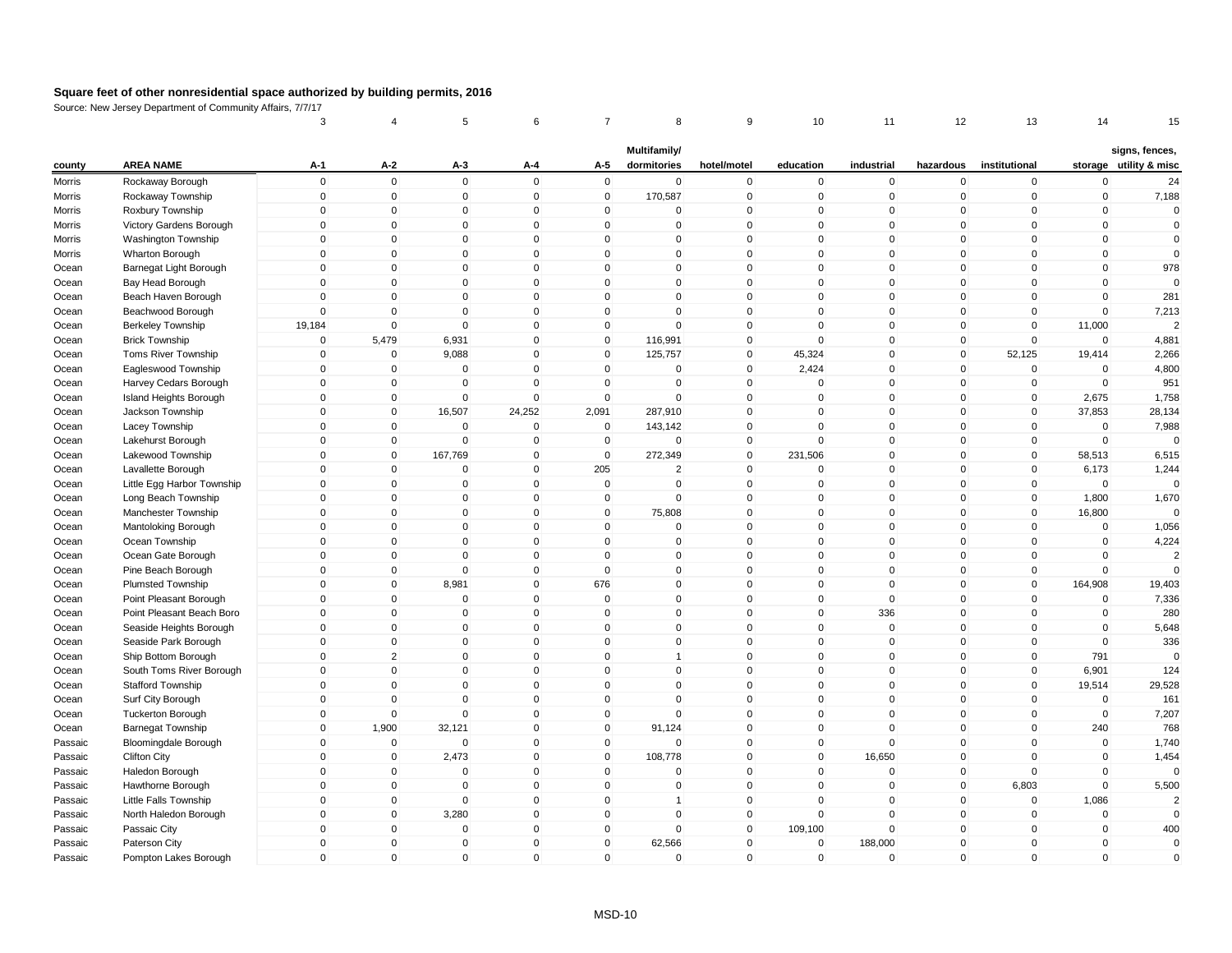|         |                             | 3                          | 4                          | 5                           | 6                           | 7                 | 8                           | 9                          | 10                          | 11               | 12                | 13                         | 14           | 15                                       |
|---------|-----------------------------|----------------------------|----------------------------|-----------------------------|-----------------------------|-------------------|-----------------------------|----------------------------|-----------------------------|------------------|-------------------|----------------------------|--------------|------------------------------------------|
| county  | <b>AREA NAME</b>            | $A-1$                      | $A-2$                      | $A-3$                       | A-4                         | A-5               | Multifamily/<br>dormitories | hotel/motel                | education                   | industrial       | hazardous         | institutional              |              | signs, fences,<br>storage utility & misc |
|         |                             | $\mathsf 0$                | $\mathbf 0$                | $\mathbf 0$                 | $\Omega$                    | $\mathsf 0$       | 0                           |                            |                             |                  |                   |                            | $\mathbf 0$  |                                          |
| Morris  | Rockaway Borough            | $\mathbf 0$                | $\mathbf 0$                | $\mathbf 0$                 | $\mathbf{0}$                | $\mathbf 0$       |                             | $\pmb{0}$<br>$\mathbf 0$   | $\mathbf 0$<br>$\mathbf 0$  | $\mathbf 0$<br>0 | 0<br>$\mathbf 0$  | $\mathbf 0$<br>$\mathbf 0$ | $\mathbf 0$  | 24                                       |
| Morris  | Rockaway Township           | $\mathbf 0$                |                            |                             | $\Omega$                    |                   | 170,587<br>0                | $\pmb{0}$                  | $\Omega$                    | $\mathbf 0$      | $\Omega$          | $\Omega$                   | $\Omega$     | 7,188<br>$\mathbf{0}$                    |
| Morris  | Roxbury Township            | $\mathsf 0$                | 0<br>$\mathbf{0}$          | 0<br>$\Omega$               | $\mathbf{0}$                | 0<br>$\mathbf{0}$ | $\mathbf{0}$                | $\mathbf 0$                | $\mathbf{0}$                | $\Omega$         | $\mathbf{0}$      | $\mathbf 0$                | $\mathbf{0}$ | $\mathbf 0$                              |
| Morris  | Victory Gardens Borough     | $\mathbf 0$                | $\overline{0}$             | $\mathbf 0$                 | $\mathbf 0$                 | $\mathbf 0$       | $\mathbf 0$                 | $\mathbf 0$                | $\mathbf{0}$                | $\mathbf 0$      | 0                 | $\mathbf 0$                | $\mathbf 0$  | $\mathbf 0$                              |
| Morris  | Washington Township         | $\mathbf 0$                | $\Omega$                   | $\Omega$                    | $\mathbf{0}$                | $\mathbf{0}$      | $\Omega$                    | $\mathbf 0$                | $\Omega$                    | $\mathbf{0}$     | $\mathbf{0}$      | $\Omega$                   | $\Omega$     | $\mathbf{0}$                             |
| Morris  | Wharton Borough             | $\Omega$                   |                            |                             | $\mathbf{0}$                | $\mathbf{0}$      | $\Omega$                    |                            | $\mathbf{0}$                | $\mathbf 0$      |                   | $\mathbf{0}$               | $\mathbf 0$  |                                          |
| Ocean   | Barnegat Light Borough      |                            | $\mathbf 0$<br>$\mathbf 0$ | $\mathbf{0}$<br>$\mathbf 0$ |                             |                   | 0                           | $\mathbf 0$<br>$\mathbf 0$ |                             | $\mathbf 0$      | $\mathbf{0}$      | $\mathbf 0$                | $\mathbf 0$  | 978<br>$\Omega$                          |
| Ocean   | Bay Head Borough            | $\mathbf 0$<br>$\mathbf 0$ |                            |                             | $\mathbf 0$<br>$\mathbf{0}$ | $\mathbf 0$       | $\mathbf{0}$                | $\mathsf 0$                | $\mathbf 0$<br>$\mathbf{0}$ |                  | 0<br>$\mathbf{0}$ |                            | $\Omega$     |                                          |
| Ocean   | Beach Haven Borough         |                            | $\mathbf 0$                | $\mathbf 0$                 |                             | $\mathbf 0$       |                             |                            |                             | $\mathbf 0$      |                   | $\mathbf 0$                |              | 281                                      |
| Ocean   | Beachwood Borough           | $\mathbf 0$                | $\mathbf 0$                | $\mathbf 0$                 | $\mathbf 0$<br>$\Omega$     | $\mathbf 0$       | 0                           | $\pmb{0}$                  | $\mathbf 0$                 | $\mathbf 0$      | 0                 | $\mathbf 0$                | $\mathbf 0$  | 7,213<br>$\mathcal{P}$                   |
| Ocean   | Berkeley Township           | 19,184                     | $\mathbf 0$                | $\Omega$                    |                             | $\mathbf 0$       | $\Omega$                    | $\mathbf 0$                | $\Omega$                    | $\Omega$         | 0                 | $\mathbf 0$                | 11,000       |                                          |
| Ocean   | <b>Brick Township</b>       | $\mathbf 0$                | 5,479                      | 6,931                       | $\mathbf{0}$                | $\mathbf 0$       | 116,991                     | $\mathbf 0$                | $\mathbf{0}$                | $\mathbf 0$      | $\mathbf{0}$      | $\mathbf 0$                | $\Omega$     | 4,881                                    |
| Ocean   | Toms River Township         | $\mathsf 0$                | 0                          | 9,088                       | $\mathbf 0$                 | $\mathbf 0$       | 125,757                     | $\mathbf 0$                | 45,324                      | $\mathbf 0$      | 0                 | 52,125                     | 19,414       | 2,266                                    |
| Ocean   | Eagleswood Township         | $\mathbf 0$                | $\overline{0}$             | $\mathbf 0$                 | $\Omega$                    | $\mathbf{0}$      | $\Omega$                    | $\mathbf 0$                | 2,424                       | $\mathbf 0$      | $\mathbf{0}$      | $\mathbf 0$                | $\Omega$     | 4,800                                    |
| Ocean   | Harvey Cedars Borough       | $\mathbf 0$                | $\mathbf 0$                | $\Omega$                    | $\Omega$                    | $\mathbf{0}$      | $\Omega$                    | $\mathbf 0$                | $\Omega$                    | $\mathbf 0$      | 0                 | $\mathbf 0$                | $\mathbf 0$  | 951                                      |
| Ocean   | Island Heights Borough      | $\mathsf 0$                | $\mathbf 0$                | $\mathbf 0$                 | $\Omega$                    | $\mathbf 0$       | 0                           | $\mathbf 0$                | $\mathbf 0$                 | $\mathbf 0$      | 0                 | $\mathbf 0$                | 2,675        | 1,758                                    |
| Ocean   | Jackson Township            | $\mathsf 0$                | $\mathbf 0$                | 16,507                      | 24,252                      | 2,091             | 287,910                     | $\mathbf 0$                | $\Omega$                    | $\mathbf 0$      | 0                 | $\mathbf 0$                | 37,853       | 28,134                                   |
| Ocean   | Lacey Township              | $\mathsf 0$                | $\overline{0}$             | $\mathbf 0$                 | $\Omega$                    | $\mathbf 0$       | 143,142                     | $\mathbf 0$                | $\mathbf{0}$                | $\mathbf 0$      | $\mathbf 0$       | $\mathbf 0$                | $\Omega$     | 7,988                                    |
| Ocean   | Lakehurst Borough           | $\Omega$                   | $\mathbf 0$                | $\mathbf 0$                 | $\Omega$                    | $\mathbf 0$       | $\mathbf 0$                 | $\mathbf 0$                | $\Omega$                    | $\mathbf 0$      | 0                 | $\mathbf 0$                | $\Omega$     | $\Omega$                                 |
| Ocean   | Lakewood Township           | $\mathsf 0$                | $\overline{0}$             | 167,769                     | $\Omega$                    | $\mathbf 0$       | 272,349                     | $\mathbf 0$                | 231,506                     | $\mathbf{0}$     | $\mathbf{0}$      | $\mathbf 0$                | 58,513       | 6,515                                    |
| Ocean   | Lavallette Borough          | $\mathsf 0$                | $\mathbf 0$                | $\mathbf 0$                 | $\mathbf 0$                 | 205               | $\overline{2}$              | $\mathbf 0$                | $\Omega$                    | $\mathbf 0$      | $\mathbf 0$       | $\mathbf 0$                | 6,173        | 1,244                                    |
| Ocean   | Little Egg Harbor Township  | $\mathbf 0$                | $\mathbf 0$                | $\Omega$                    | $\mathbf{0}$                | 0                 | $\Omega$                    | $\pmb{0}$                  | $\mathbf{0}$                | $\mathbf{0}$     | 0                 | $\mathbf{0}$               | $\Omega$     | $\Omega$                                 |
| Ocean   | Long Beach Township         | $\Omega$                   | $\mathbf 0$                | $\Omega$                    | $\mathbf{0}$                | $\mathbf 0$       | $\mathbf 0$                 | $\mathbf 0$                | $\mathbf{0}$                | $\mathbf 0$      | $\mathbf{0}$      | $\mathbf{0}$               | 1,800        | 1,670                                    |
| Ocean   | Manchester Township         | $\mathsf 0$                | $\mathbf 0$                | 0                           | $\mathbf 0$                 | $\mathbf 0$       | 75,808                      | $\mathbf 0$                | $\mathbf{0}$                | $\mathbf 0$      | 0                 | $\mathbf 0$                | 16,800       |                                          |
| Ocean   | Mantoloking Borough         | $\mathbf 0$                | $\mathbf{0}$               | $\mathbf{0}$                | $\mathbf{0}$                | $\mathbf{0}$      | $\Omega$                    | $\mathbf 0$                | $\mathbf{0}$                | $\mathbf{0}$     | $\mathbf{0}$      | $\mathbf{0}$               | $\Omega$     | 1,056                                    |
| Ocean   | Ocean Township              | $\mathsf 0$                | $\mathbf 0$                | $\mathbf 0$                 | $\mathbf 0$                 | $\mathbf 0$       | $\mathbf 0$                 | $\mathbf 0$                | $\mathbf 0$                 | $\mathbf 0$      | $\mathbf 0$       | $\mathbf 0$                | $\mathbf 0$  | 4,224                                    |
| Ocean   | Ocean Gate Borough          | $\mathsf 0$                | $\mathbf 0$                | $\mathbf 0$                 | $\mathbf 0$                 | $\mathbf 0$       | $\mathbf 0$                 | $\mathbf 0$                | $\mathbf{0}$                | 0                | $\mathbf 0$       | $\mathbf 0$                | $\mathbf 0$  | $\overline{2}$                           |
| Ocean   | Pine Beach Borough          | $\mathsf 0$                | $\mathbf 0$                | $\mathbf 0$                 | $\mathbf{0}$                | $\mathbf{0}$      | $\mathbf 0$                 | $\mathbf 0$                | $\mathbf{0}$                | $\mathbf 0$      | $\mathbf{0}$      | $\mathbf 0$                | $\Omega$     | $\Omega$                                 |
| Ocean   | Plumsted Township           | $\mathsf 0$                | $\mathbf 0$                | 8,981                       | $\mathbf 0$                 | 676               | $\mathbf 0$                 | $\mathbf 0$                | $\mathbf{0}$                | $\mathbf 0$      | $\mathbf 0$       | $\mathbf 0$                | 164,908      | 19,403                                   |
| Ocean   | Point Pleasant Borough      | $\mathbf 0$                | $\Omega$                   | $\mathbf 0$                 | $\mathbf 0$                 | $\mathbf 0$       | $\mathbf 0$                 | $\mathbf 0$                | $\Omega$                    | $\mathbf 0$      | 0                 | $\mathbf 0$                | $\Omega$     | 7,336                                    |
| Ocean   | Point Pleasant Beach Boro   | $\mathbf 0$                | $\mathbf 0$                | $\Omega$                    | $\mathbf 0$                 | $\mathbf 0$       | $\Omega$                    | $\mathbf 0$                | $\mathbf{0}$                | 336              | $\mathbf{0}$      | $\Omega$                   | $\Omega$     | 280                                      |
| Ocean   | Seaside Heights Borough     | $\mathbf 0$                | $\mathbf 0$                | $\Omega$                    | $\mathbf{0}$                | $\mathbf{0}$      | $\mathbf{0}$                | $\mathbf{0}$               | $\mathbf{0}$                | $\mathbf 0$      | $\mathbf{0}$      | $\mathbf{0}$               | $\Omega$     | 5,648                                    |
| Ocean   | Seaside Park Borough        | $\mathsf 0$                | $\mathbf 0$                | $\mathbf 0$                 | $\mathbf{0}$                | $\mathbf 0$       | $\mathbf 0$                 | $\mathbf 0$                | $\mathbf{0}$                | $\mathbf 0$      | 0                 | $\mathbf 0$                | $\Omega$     | 336                                      |
| Ocean   | Ship Bottom Borough         | $\mathsf 0$                | $\overline{2}$             | $\mathbf 0$                 | $\mathbf{0}$                | $\mathbf 0$       | $\mathbf{1}$                | $\mathbf 0$                | $\mathbf{0}$                | $\mathbf 0$      | $\mathbf 0$       | $\mathbf 0$                | 791          | $\mathbf{0}$                             |
| Ocean   | South Toms River Borough    | $\mathsf 0$                | $\mathbf 0$                | $\mathbf 0$                 | $\mathbf 0$                 | $\mathbf 0$       | 0                           | $\mathbf 0$                | $\mathbf 0$                 | $\mathbf 0$      | $\mathbf 0$       | $\mathbf 0$                | 6,901        | 124                                      |
| Ocean   | <b>Stafford Township</b>    | $\mathsf 0$                | $\overline{0}$             | $\Omega$                    | $\mathbf{0}$                | $\mathbf{0}$      | $\Omega$                    | $\mathbf 0$                | $\mathbf{0}$                | $\mathbf{0}$     | $\mathbf{0}$      | $\mathbf 0$                | 19,514       | 29,528                                   |
| Ocean   | Surf City Borough           | $\mathsf 0$                | $\mathbf 0$                | $\mathbf 0$                 | $\mathbf{0}$                | $\mathbf 0$       | 0                           | $\mathbf 0$                | $\mathbf{0}$                | $\mathbf 0$      | 0                 | $\mathbf 0$                | $\mathbf 0$  | 161                                      |
| Ocean   | <b>Tuckerton Borough</b>    | $\mathbf 0$                | $\mathbf 0$                | $\mathbf 0$                 | $\mathbf 0$                 | $\mathbf 0$       | 0                           | $\mathbf 0$                | $\mathbf{0}$                | 0                | 0                 | $\mathbf 0$                | $\mathbf 0$  | 7,207                                    |
| Ocean   | <b>Barnegat Township</b>    | $\Omega$                   | 1,900                      | 32,121                      | $\mathbf{0}$                | $\mathbf{0}$      | 91,124                      | $\mathbf{0}$               | $\mathbf{0}$                | $\mathbf 0$      | $\mathbf{0}$      | $\mathbf{0}$               | 240          | 768                                      |
| Passaic | <b>Bloomingdale Borough</b> | $\mathsf 0$                | 0                          | $\mathbf 0$                 | $\mathbf 0$                 | $\mathbf 0$       | $\mathbf 0$                 | $\mathbf 0$                | $\mathbf{0}$                | $\mathbf 0$      | 0                 | $\Omega$                   | $\Omega$     | 1,740                                    |
| Passaic | Clifton City                | $\mathbf 0$                | $\mathbf{0}$               | 2,473                       | $\mathbf{0}$                | $\mathbf{0}$      | 108,778                     | $\mathbf{0}$               | $\mathbf{0}$                | 16,650           | $\mathbf{0}$      | $\mathbf{0}$               | $\mathbf{0}$ | 1,454                                    |
| Passaic | Haledon Borough             | $\mathbf 0$                | $\mathbf 0$                | $\mathbf 0$                 | $\mathbf 0$                 | $\mathbf 0$       | 0                           | $\pmb{0}$                  | $\mathbf 0$                 | $\mathbf 0$      | 0                 | $\mathbf 0$                | $\mathbf 0$  | $\Omega$                                 |
| Passaic | Hawthorne Borough           | $\mathbf 0$                | $\mathbf 0$                | $\mathbf 0$                 | $\Omega$                    | $\mathbf 0$       | 0                           | $\mathbf 0$                | $\mathbf 0$                 | $\mathbf 0$      | 0                 | 6,803                      | $\mathbf 0$  | 5,500                                    |
| Passaic | Little Falls Township       | $\mathbf 0$                | $\mathbf 0$                | $\mathbf 0$                 | $\Omega$                    | $\mathbf 0$       | 1                           | $\mathbf 0$                | $\mathbf{0}$                | 0                | $\Omega$          | $\mathbf 0$                | 1,086        | $\overline{2}$                           |
| Passaic | North Haledon Borough       | $\mathsf 0$                | $\mathbf 0$                | 3,280                       | $\Omega$                    | $\mathbf 0$       | 0                           | $\pmb{0}$                  | $\mathbf{0}$                | $\mathbf 0$      | 0                 | $\mathbf 0$                | $\mathbf 0$  | $\mathbf 0$                              |
| Passaic | Passaic City                | $\mathbf 0$                | $\mathbf 0$                | $\mathbf 0$                 | $\mathbf 0$                 | $\mathbf 0$       | $\mathbf 0$                 | $\mathbf 0$                | 109,100                     | $\mathbf 0$      | 0                 | $\mathbf 0$                | $\mathbf 0$  | 400                                      |
| Passaic | Paterson City               | $\mathbf 0$                | $\Omega$                   | $\Omega$                    | $\mathbf{0}$                | $\mathbf{0}$      | 62,566                      | $\mathbf 0$                | $\mathbf{0}$                | 188,000          | $\mathbf{0}$      | $\Omega$                   | $\Omega$     | $\mathbf 0$                              |
| Passaic | Pompton Lakes Borough       | $\Omega$                   | $\mathbf{0}$               | $\Omega$                    | $\mathbf{0}$                | $\Omega$          | $\mathbf{0}$                | $\mathbf 0$                | $\mathbf{0}$                | $\mathbf 0$      | $\mathbf{0}$      | $\Omega$                   | $\Omega$     | $\mathbf{0}$                             |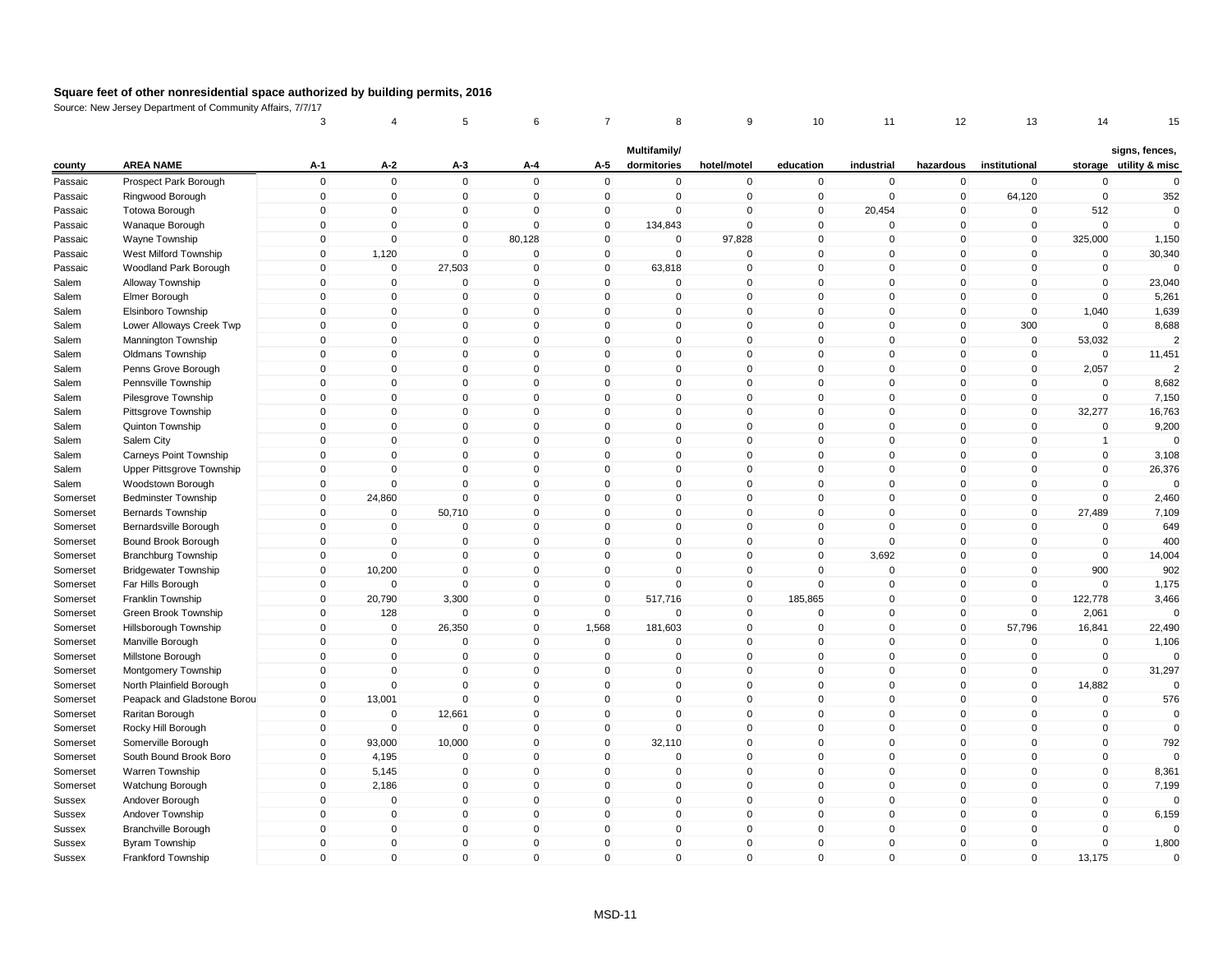|               |                             | 3           | 4              | 5            | 6            |              | 8                           | 9              | 10           | 11          | 12           | 13             | 14             | 15                                       |
|---------------|-----------------------------|-------------|----------------|--------------|--------------|--------------|-----------------------------|----------------|--------------|-------------|--------------|----------------|----------------|------------------------------------------|
| county        | <b>AREA NAME</b>            | $A-1$       | $A-2$          | $A-3$        | A-4          | A-5          | Multifamily/<br>dormitories | hotel/motel    | education    | industrial  | hazardous    | institutional  |                | signs, fences,<br>storage utility & misc |
| Passaic       | Prospect Park Borough       | $\mathsf 0$ | $\mathbf 0$    | $\mathbf 0$  | $\mathbf 0$  | $\mathbf 0$  | $\mathbf 0$                 | $\pmb{0}$      | $\mathbf 0$  | $\mathbf 0$ | $\mathbf 0$  | $\mathbf 0$    | $\mathbf 0$    | $\mathbf 0$                              |
| Passaic       | Ringwood Borough            | $\mathbf 0$ | $\overline{0}$ | $\mathbf 0$  | $\mathbf 0$  | $\mathbf 0$  | $\mathbf 0$                 | $\mathbf 0$    | $\mathbf 0$  | $\mathbf 0$ | $\mathbf 0$  | 64,120         | $\mathbf 0$    | 352                                      |
| Passaic       | Totowa Borough              | $\mathbf 0$ | $\mathbf{0}$   | $\mathbf 0$  | $\Omega$     | 0            | $\mathbf 0$                 | $\mathbf 0$    | 0            | 20,454      | 0            | $\mathbf 0$    | 512            | $\mathbf 0$                              |
| Passaic       | Wanaque Borough             | $\mathbf 0$ | $\mathbf{0}$   | $\mathbf 0$  | $\Omega$     | $\mathbf{0}$ | 134,843                     | $\Omega$       | $\mathbf 0$  | $\mathbf 0$ | $\mathbf 0$  | $\mathbf 0$    | $\mathbf 0$    | $\mathbf 0$                              |
| Passaic       | Wayne Township              | $\mathbf 0$ | $\mathbf 0$    | $\mathbf 0$  | 80,128       | $\mathbf 0$  | $\mathbf 0$                 | 97,828         | $\mathbf 0$  | $\mathbf 0$ | $\mathbf 0$  | $\overline{0}$ | 325,000        | 1,150                                    |
| Passaic       | West Milford Township       | $\mathbf 0$ | 1,120          | $\Omega$     | $\mathbf 0$  | $\Omega$     | $\mathbf{0}$                | $\mathbf 0$    | $\mathbf 0$  | $\mathbf 0$ | $\mathbf 0$  | $\mathbf{0}$   | $\mathbf 0$    | 30,340                                   |
| Passaic       | Woodland Park Borough       | $\Omega$    | $\overline{0}$ | 27,503       | $\mathbf{0}$ | $\Omega$     | 63,818                      | $\mathbf 0$    | $\mathbf 0$  | $\mathbf 0$ | $\mathbf 0$  | $\mathbf{0}$   | $\mathbf 0$    | $\Omega$                                 |
| Salem         | Alloway Township            | $\mathbf 0$ | $\mathbf 0$    | 0            | $\mathbf 0$  | 0            | 0                           | $\mathbf 0$    | $\mathbf 0$  | $\mathbf 0$ | $\mathbf 0$  | $\mathbf 0$    | $\mathbf 0$    | 23,040                                   |
| Salem         | Elmer Borough               | $\mathsf 0$ | $\mathbf{0}$   | $\mathbf 0$  | $\mathbf{0}$ | $\Omega$     | $\mathbf{0}$                | $\mathbf 0$    | $\mathbf 0$  | $\mathbf 0$ | $\mathbf 0$  | $\mathbf 0$    | $\mathbf 0$    | 5,261                                    |
| Salem         | Elsinboro Township          | $\mathbf 0$ | $\mathbf 0$    | 0            | $\mathbf 0$  | $\mathbf 0$  | $\mathbf 0$                 | $\mathbf 0$    | $\mathbf 0$  | $\mathbf 0$ | $\mathbf 0$  | $\mathbf 0$    | 1,040          | 1,639                                    |
| Salem         | Lower Alloways Creek Twp    | $\Omega$    | $\Omega$       | $\Omega$     | $\mathbf 0$  | $\Omega$     | $\mathbf 0$                 | $\pmb{0}$      | 0            | $\Omega$    | 0            | 300            | $\Omega$       | 8,688                                    |
| Salem         | Mannington Township         | $\mathbf 0$ | $\mathbf 0$    | $\mathbf 0$  | $\mathbf 0$  | $\mathbf{0}$ | $\mathbf 0$                 | $\mathbf 0$    | $\mathbf 0$  | $\mathbf 0$ | $\mathbf 0$  | $\mathbf 0$    | 53,032         | $\overline{2}$                           |
| Salem         | <b>Oldmans Township</b>     | $\mathbf 0$ | $\mathbf 0$    | $\mathbf 0$  | $\mathbf 0$  | $\mathbf 0$  | $\mathbf 0$                 | $\mathbf 0$    | $\mathbf 0$  | $\mathbf 0$ | $\mathbf 0$  | $\overline{0}$ | $\mathbf 0$    | 11,451                                   |
| Salem         | Penns Grove Borough         | $\Omega$    | $\mathbf{0}$   | $\mathbf 0$  | $\mathbf{0}$ | $\Omega$     | $\mathbf{0}$                | $\mathbf 0$    | $\mathbf 0$  | $\mathbf 0$ | $\mathbf 0$  | $\mathbf{0}$   | 2,057          | $\mathcal{P}$                            |
| Salem         | Pennsville Township         | $\Omega$    | $\Omega$       | 0            | $\mathbf 0$  | $\Omega$     | $\mathbf{0}$                | $\pmb{0}$      | $\mathbf 0$  | $\mathbf 0$ | $\mathbf 0$  | $\mathbf 0$    | $\mathbf 0$    | 8,682                                    |
| Salem         | Pilesgrove Township         | $\mathsf 0$ | $\mathbf 0$    | $\mathbf 0$  | $\mathbf 0$  | $\mathbf 0$  | $\mathbf 0$                 | $\mathbf 0$    | $\mathsf 0$  | $\mathbf 0$ | $\mathbf 0$  | $\mathbf 0$    | $\mathbf 0$    | 7,150                                    |
| Salem         | Pittsgrove Township         | $\mathsf 0$ | $\mathbf 0$    | $\mathbf 0$  | $\mathbf 0$  | $\mathbf 0$  | $\mathbf 0$                 | $\mathbf 0$    | $\Omega$     | $\mathbf 0$ | $\mathbf 0$  | $\mathbf 0$    | 32,277         | 16,763                                   |
| Salem         | Quinton Township            | $\mathbf 0$ | $\mathbf 0$    | $\mathbf 0$  | $\mathbf 0$  | $\mathbf 0$  | $\mathbf 0$                 | $\mathbf 0$    | $\mathbf 0$  | $\mathbf 0$ | $\mathbf 0$  | $\mathbf 0$    | $\mathbf 0$    | 9,200                                    |
| Salem         | Salem City                  | $\Omega$    | $\Omega$       | 0            | $\mathbf 0$  | $\Omega$     | 0                           | $\pmb{0}$      | 0            | $\mathbf 0$ | 0            | 0              | $\overline{1}$ | $\Omega$                                 |
| Salem         | Carneys Point Township      | $\mathbf 0$ | $\Omega$       | $\mathbf 0$  | $\mathbf 0$  | $\Omega$     | $\mathbf{0}$                | $\pmb{0}$      | $\mathbf 0$  | $\mathbf 0$ | $\mathbf{0}$ | $\mathbf{0}$   | $\mathbf 0$    | 3,108                                    |
| Salem         | Upper Pittsgrove Township   | $\mathbf 0$ | $\overline{0}$ | $\mathbf 0$  | $\mathbf 0$  | $\mathbf 0$  | $\mathbf 0$                 | $\mathbf 0$    | $\mathbf 0$  | $\mathbf 0$ | $\mathbf 0$  | $\mathbf{0}$   | $\mathbf 0$    | 26,376                                   |
| Salem         | Woodstown Borough           | $\Omega$    | $\Omega$       | $\Omega$     | $\mathbf{0}$ | $\Omega$     | $\mathbf{0}$                | $\mathbf 0$    | $\mathbf 0$  | $\Omega$    | 0            | $\mathbf{0}$   | $\mathbf 0$    | $\Omega$                                 |
| Somerset      | <b>Bedminster Township</b>  | $\Omega$    | 24,860         | $\mathbf 0$  | $\mathbf{0}$ | $\Omega$     | $\mathbf{0}$                | $\mathbf 0$    | $\mathbf 0$  | $\mathbf 0$ | $\mathbf 0$  | $\mathbf{0}$   | $\mathbf 0$    | 2,460                                    |
| Somerset      | <b>Bernards Township</b>    | $\mathbf 0$ | 0              | 50,710       | $\mathbf 0$  | 0            | $\mathbf 0$                 | $\mathbf 0$    | $\mathbf 0$  | $\mathbf 0$ | 0            | $\mathbf 0$    | 27,489         | 7,109                                    |
| Somerset      | Bernardsville Borough       | $\mathsf 0$ | $\mathbf 0$    | $\mathbf 0$  | $\mathbf{0}$ | $\Omega$     | $\mathbf{0}$                | $\mathbf 0$    | $\mathbf 0$  | $\mathbf 0$ | $\mathbf 0$  | $\mathbf 0$    | $\mathbf 0$    | 649                                      |
| Somerset      | Bound Brook Borough         | $\mathbf 0$ | $\mathbf 0$    | 0            | $\mathbf 0$  | $\mathbf 0$  | $\mathbf 0$                 | $\mathbf 0$    | $\mathbf 0$  | $\mathsf 0$ | $\mathbf 0$  | $\mathbf 0$    | $\mathbf 0$    | 400                                      |
| Somerset      | <b>Branchburg Township</b>  | 0           | $\mathbf 0$    | $\mathbf 0$  | $\mathbf 0$  | $\mathbf 0$  | $\mathbf 0$                 | $\mathbf 0$    | $\mathbf 0$  | 3,692       | $\mathbf 0$  | $\mathbf 0$    | $\mathbf 0$    | 14,004                                   |
| Somerset      | <b>Bridgewater Township</b> | $\mathbf 0$ | 10,200         | $\mathbf 0$  | $\mathbf{0}$ | $\Omega$     | $\mathbf{0}$                | $\mathbf 0$    | $\mathbf 0$  | $\mathbf 0$ | $\mathbf 0$  | $\mathbf{0}$   | 900            | 902                                      |
| Somerset      | Far Hills Borough           | $\mathsf 0$ | $\mathbf 0$    | $\mathbf 0$  | $\mathbf 0$  | $\mathbf 0$  | $\mathbf 0$                 | $\overline{0}$ | $\mathbf 0$  | $\mathbf 0$ | $\mathbf 0$  | $\overline{0}$ | $\mathbf 0$    | 1,175                                    |
| Somerset      | Franklin Township           | $\Omega$    | 20,790         | 3,300        | $\mathbf 0$  | $\Omega$     | 517,716                     | $\overline{0}$ | 185,865      | $\mathbf 0$ | $\mathbf 0$  | $\overline{0}$ | 122,778        | 3,466                                    |
| Somerset      | Green Brook Township        | $\mathbf 0$ | 128            | $\Omega$     | $\mathbf 0$  | $\Omega$     | $\Omega$                    | $\mathbf 0$    | $\Omega$     | $\mathbf 0$ | $\mathbf 0$  | $\mathbf 0$    | 2,061          |                                          |
| Somerset      | Hillsborough Township       | $\mathbf 0$ | $\mathbf 0$    | 26,350       | $\mathbf{0}$ | 1,568        | 181,603                     | $\mathbf 0$    | $\mathsf 0$  | $\mathbf 0$ | $\mathbf 0$  | 57,796         | 16,841         | 22,490                                   |
| Somerset      | Manville Borough            | $\mathsf 0$ | $\mathbf 0$    | $\mathbf 0$  | $\mathbf 0$  | $\mathbf 0$  | $\mathbf 0$                 | $\mathbf 0$    | $\Omega$     | $\mathsf 0$ | $\mathbf 0$  | $\mathbf 0$    | $\Omega$       | 1,106                                    |
| Somerset      | Millstone Borough           | $\mathsf 0$ | $\mathbf 0$    | $\mathbf 0$  | $\mathbf 0$  | $\mathbf 0$  | $\mathbf 0$                 | $\mathbf 0$    | $\mathbf 0$  | $\mathbf 0$ | $\mathbf 0$  | $\mathbf 0$    | $\mathbf 0$    | $\Omega$                                 |
| Somerset      | Montgomery Township         | 0           | $\mathbf 0$    | 0            | $\mathbf 0$  | 0            | 0                           | $\mathbf 0$    | 0            | $\mathbf 0$ | $\mathbf 0$  | $\mathbf 0$    | $\pmb{0}$      | 31,297                                   |
| Somerset      | North Plainfield Borough    | $\mathbf 0$ | $\Omega$       | $\Omega$     | $\mathbf{0}$ | $\Omega$     | $\mathbf{0}$                | $\pmb{0}$      | $\mathbf 0$  | $\Omega$    | $\mathbf{0}$ | $\mathbf{0}$   | 14,882         | $\Omega$                                 |
| Somerset      | Peapack and Gladstone Borou | $\mathbf 0$ | 13,001         | $\mathbf 0$  | $\mathbf 0$  | $\mathbf 0$  | $\mathbf 0$                 | $\mathbf 0$    | $\mathbf 0$  | $\mathsf 0$ | $\mathbf 0$  | $\mathbf 0$    | $\mathbf 0$    | 576                                      |
| Somerset      | Raritan Borough             | $\mathsf 0$ | 0              | 12,661       | $\mathbf 0$  | $\mathbf 0$  | $\mathbf 0$                 | $\pmb{0}$      | $\mathbf 0$  | $\mathbf 0$ | $\mathbf 0$  | $\mathbf 0$    | $\mathbf 0$    | 0                                        |
| Somerset      | Rocky Hill Borough          | $\mathbf 0$ | $\overline{0}$ | $\mathbf 0$  | $\mathbf{0}$ | $\Omega$     | $\mathbf 0$                 | $\mathbf 0$    | $\mathbf 0$  | $\mathbf 0$ | $\mathbf{0}$ | $\mathbf{0}$   | $\mathbf 0$    | $\mathbf 0$                              |
| Somerset      | Somerville Borough          | $\mathbf 0$ | 93,000         | 10,000       | $\mathbf 0$  | $\mathbf 0$  | 32,110                      | $\mathbf 0$    | $\mathbf 0$  | $\mathbf 0$ | $\mathbf 0$  | $\mathbf 0$    | $\mathbf 0$    | 792                                      |
| Somerset      | South Bound Brook Boro      | $\Omega$    | 4,195          | $\mathbf{0}$ | $\mathbf{0}$ | $\Omega$     | $\mathbf{0}$                | $\mathbf{0}$   | $\mathbf 0$  | $\Omega$    | $\mathbf{0}$ | $\mathbf{0}$   | $\mathbf 0$    | $\Omega$                                 |
| Somerset      | Warren Township             | $\mathbf 0$ | 5,145          | $\mathbf 0$  | $\mathbf 0$  | $\mathbf 0$  | $\mathbf 0$                 | $\mathbf 0$    | $\mathbf 0$  | $\mathbf 0$ | $\mathbf 0$  | $\mathbf 0$    | $\mathbf 0$    | 8,361                                    |
| Somerset      | Watchung Borough            | $\mathbf 0$ | 2,186          | $\mathbf 0$  | $\mathbf 0$  | $\mathbf 0$  | $\mathbf 0$                 | $\mathbf 0$    | $\mathbf 0$  | $\mathbf 0$ | $\mathbf 0$  | $\mathbf 0$    | $\mathbf 0$    | 7,199                                    |
| Sussex        | Andover Borough             | $\mathbf 0$ | $\mathbf 0$    | $\mathbf 0$  | $\mathbf 0$  | $\Omega$     | $\mathbf 0$                 | $\pmb{0}$      | $\mathbf 0$  | $\mathsf 0$ | $\mathbf 0$  | $\mathbf 0$    | $\mathbf 0$    | $\Omega$                                 |
| <b>Sussex</b> | Andover Township            | $\mathbf 0$ | $\mathbf 0$    | $\mathbf 0$  | $\mathbf 0$  | $\mathbf 0$  | $\mathbf 0$                 | $\mathbf 0$    | $\mathbf 0$  | $\mathbf 0$ | $\mathbf 0$  | $\mathbf 0$    | $\mathbf 0$    | 6,159                                    |
| Sussex        | <b>Branchville Borough</b>  | $\mathsf 0$ | $\mathbf 0$    | $\mathbf 0$  | $\mathbf 0$  | $\mathbf 0$  | $\mathbf 0$                 | $\overline{0}$ | $\mathbf 0$  | $\mathbf 0$ | $\mathbf 0$  | $\mathbf 0$    | $\mathbf 0$    | $\Omega$                                 |
| Sussex        | <b>Byram Township</b>       | $\mathbf 0$ | $\mathbf{0}$   | 0            | $\mathbf{0}$ | $\Omega$     | $\mathbf{0}$                | $\pmb{0}$      | $\mathbf 0$  | $\mathbf 0$ | $\mathbf 0$  | $\mathbf{0}$   | $\mathbf 0$    | 1,800                                    |
| Sussex        | Frankford Township          | $\Omega$    | $\mathbf{0}$   | $\Omega$     | $\mathbf{0}$ | $\Omega$     | $\mathbf{0}$                | $\mathbf 0$    | $\mathbf{0}$ | $\mathbf 0$ | $\mathbf{0}$ | $\mathbf{0}$   | 13,175         | $\Omega$                                 |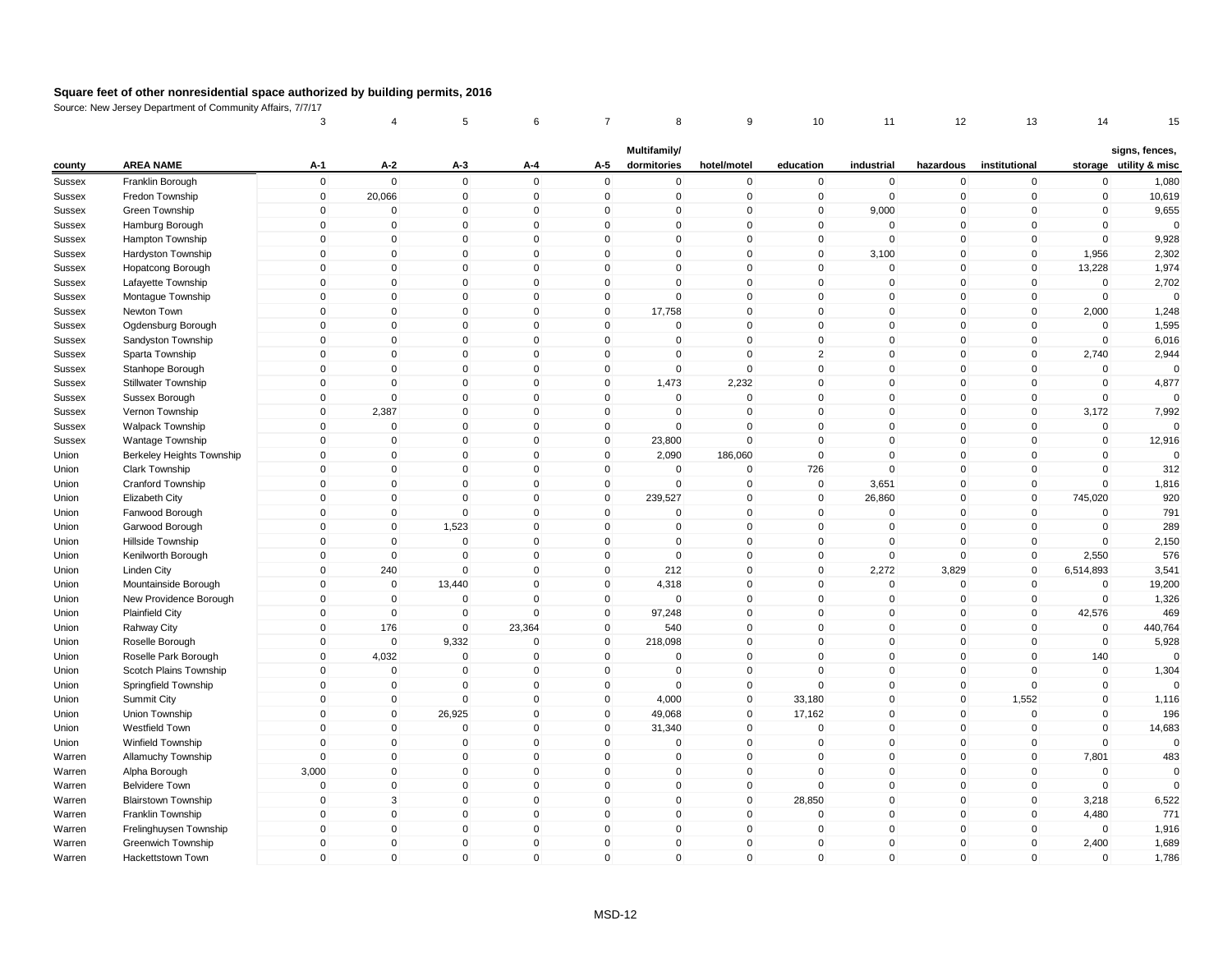|                  |                            | 3           | 4              | 5              | 6            | 7            | 8                           | 9              | 10           | 11          | 12           | 13             | 14          | 15                                       |
|------------------|----------------------------|-------------|----------------|----------------|--------------|--------------|-----------------------------|----------------|--------------|-------------|--------------|----------------|-------------|------------------------------------------|
| county           | <b>AREA NAME</b>           | $A-1$       | $A-2$          | $A-3$          | A-4          | A-5          | Multifamily/<br>dormitories | hotel/motel    | education    | industrial  | hazardous    | institutional  |             | signs, fences,<br>storage utility & misc |
| <b>Sussex</b>    | Franklin Borough           | $\mathsf 0$ | $\mathbf 0$    | $\mathbf 0$    | $\mathbf 0$  | $\mathbf 0$  | $\mathbf 0$                 | $\pmb{0}$      | $\mathbf 0$  | $\mathbf 0$ | $\mathbf 0$  | $\mathbf 0$    | $\mathbf 0$ | 1,080                                    |
| Sussex           | Fredon Township            | $\mathsf 0$ | 20,066         | $\overline{0}$ | $\mathbf 0$  | $\mathbf 0$  | $\mathbf 0$                 | $\mathbf 0$    | $\mathbf 0$  | $\mathbf 0$ | $\mathbf 0$  | $\mathbf 0$    | $\mathbf 0$ | 10,619                                   |
|                  | Green Township             | $\mathbf 0$ | $\Omega$       | 0              | $\pmb{0}$    | $\Omega$     | 0                           | $\mathbf 0$    | 0            | 9,000       | 0            | $\mathbf{0}$   | 0           | 9,655                                    |
| Sussex<br>Sussex | Hamburg Borough            | $\mathsf 0$ | $\mathbf{0}$   | $\mathbf 0$    | $\mathbf 0$  | $\mathbf{0}$ | $\mathbf{0}$                | $\pmb{0}$      | $\mathbf 0$  | $\mathbf 0$ | $\mathbf{0}$ | $\mathbf{0}$   | $\mathbf 0$ | $\mathbf 0$                              |
| Sussex           | Hampton Township           | $\mathsf 0$ | $\mathbf 0$    | $\mathbf 0$    | $\mathbf 0$  | $\mathbf 0$  | $\mathbf 0$                 | $\mathbf 0$    | $\mathbf 0$  | $\mathbf 0$ | $\mathbf 0$  | $\mathbf 0$    | $\mathbf 0$ | 9,928                                    |
| <b>Sussex</b>    | Hardyston Township         | $\mathbf 0$ | $\mathbf{0}$   | $\Omega$       | $\mathbf{0}$ | $\Omega$     | $\mathbf{0}$                | $\mathbf 0$    | $\mathbf 0$  | 3,100       | $\mathbf 0$  | $\mathbf 0$    | 1,956       | 2,302                                    |
| Sussex           | Hopatcong Borough          | $\Omega$    | $\mathbf{0}$   | $\mathbf 0$    | $\mathbf{0}$ | $\Omega$     | $\mathbf{0}$                | $\mathbf 0$    | $\mathbf 0$  | $\mathsf 0$ | $\mathbf 0$  | $\mathbf{0}$   | 13,228      | 1,974                                    |
| Sussex           | Lafayette Township         | $\mathsf 0$ | $\mathbf 0$    | 0              | $\mathbf 0$  | $\mathbf 0$  | $\mathbf 0$                 | $\mathbf 0$    | $\mathbf 0$  | $\mathbf 0$ | $\mathbf 0$  | $\mathbf 0$    | $\mathbf 0$ | 2,702                                    |
| <b>Sussex</b>    | Montague Township          | $\mathsf 0$ | $\mathbf{0}$   | $\mathbf 0$    | $\mathbf{0}$ | $\mathbf 0$  | $\mathbf 0$                 | $\mathbf 0$    | $\mathbf 0$  | $\mathbf 0$ | $\mathbf 0$  | $\mathbf 0$    | $\mathbf 0$ | $\mathbf 0$                              |
| Sussex           | Newton Town                | $\mathbf 0$ | $\mathbf 0$    | 0              | $\mathbf 0$  | $\mathbf 0$  | 17,758                      | $\mathbf 0$    | $\mathbf 0$  | $\mathbf 0$ | $\mathbf 0$  | $\mathbf 0$    | 2,000       | 1,248                                    |
| Sussex           | Ogdensburg Borough         | $\mathsf 0$ | $\mathbf 0$    | $\Omega$       | $\mathbf 0$  | $\Omega$     | 0                           | $\pmb{0}$      | 0            | $\Omega$    | 0            | $\mathbf 0$    | 0           | 1,595                                    |
| Sussex           | Sandyston Township         | $\mathsf 0$ | $\mathbf 0$    | $\mathbf 0$    | $\mathbf 0$  | $\mathbf 0$  | $\mathbf 0$                 | $\mathbf 0$    | $\mathbf 0$  | $\mathbf 0$ | $\mathbf 0$  | $\mathbf 0$    | $\mathbf 0$ | 6,016                                    |
| Sussex           | Sparta Township            | $\mathsf 0$ | $\mathbf 0$    | $\mathbf 0$    | $\mathbf 0$  | $\mathbf 0$  | $\mathbf 0$                 | $\mathbf 0$    | 2            | $\mathbf 0$ | $\mathbf 0$  | $\mathbf 0$    | 2,740       | 2,944                                    |
| Sussex           | Stanhope Borough           | $\Omega$    | $\mathbf{0}$   | $\mathbf 0$    | $\mathbf{0}$ | $\Omega$     | $\mathbf 0$                 | $\mathbf 0$    | $\mathbf 0$  | $\mathbf 0$ | $\mathbf 0$  | $\mathbf{0}$   | $\mathbf 0$ | $\mathbf 0$                              |
| Sussex           | Stillwater Township        | $\mathsf 0$ | $\Omega$       | $\mathbf 0$    | $\mathbf 0$  | $\Omega$     | 1,473                       | 2,232          | $\mathbf 0$  | $\mathbf 0$ | $\mathbf 0$  | $\mathbf 0$    | $\mathbf 0$ | 4,877                                    |
| Sussex           | Sussex Borough             | $\mathsf 0$ | $\overline{0}$ | $\mathbf 0$    | $\mathbf 0$  | $\mathbf 0$  | $\mathbf 0$                 | $\mathbf 0$    | $\mathsf 0$  | $\mathbf 0$ | $\mathbf 0$  | $\mathbf 0$    | $\mathbf 0$ | $\mathbf 0$                              |
| <b>Sussex</b>    | Vernon Township            | $\mathsf 0$ | 2,387          | $\mathbf 0$    | $\mathbf 0$  | $\mathbf 0$  | $\mathbf 0$                 | $\mathbf 0$    | $\mathbf 0$  | $\mathsf 0$ | $\mathbf 0$  | $\mathbf 0$    | 3,172       | 7,992                                    |
| Sussex           | Walpack Township           | $\mathsf 0$ | $\overline{0}$ | $\mathbf 0$    | $\mathbf 0$  | $\mathbf 0$  | $\mathbf 0$                 | $\mathbf 0$    | $\mathbf 0$  | $\mathbf 0$ | $\mathbf 0$  | $\mathbf 0$    | $\mathbf 0$ | $\Omega$                                 |
| Sussex           | Wantage Township           | 0           | $\mathbf 0$    | 0              | $\mathbf 0$  | 0            | 23,800                      | $\pmb{0}$      | 0            | $\mathbf 0$ | 0            | 0              | $\pmb{0}$   | 12,916                                   |
| Union            | Berkeley Heights Township  | $\mathsf 0$ | $\Omega$       | $\mathbf 0$    | $\mathbf 0$  | $\mathbf 0$  | 2,090                       | 186,060        | $\mathbf 0$  | $\mathbf 0$ | $\mathbf 0$  | $\mathbf{0}$   | $\mathbf 0$ | $\mathbf 0$                              |
| Union            | Clark Township             | $\mathbf 0$ | $\mathbf 0$    | $\mathbf 0$    | $\mathbf 0$  | $\mathbf 0$  | $\mathbf 0$                 | $\mathbf 0$    | 726          | $\mathsf 0$ | $\mathbf 0$  | $\mathbf 0$    | $\mathbf 0$ | 312                                      |
| Union            | Cranford Township          | $\mathbf 0$ | 0              | $\Omega$       | $\mathbf{0}$ | $\mathbf{0}$ | $\mathbf{0}$                | $\mathbf 0$    | 0            | 3,651       | 0            | $\mathbf{0}$   | $\mathbf 0$ | 1,816                                    |
| Union            | Elizabeth City             | $\Omega$    | $\mathbf{0}$   | $\Omega$       | $\mathbf{0}$ | $\Omega$     | 239,527                     | $\pmb{0}$      | $\mathsf 0$  | 26,860      | $\mathbf 0$  | $\mathbf{0}$   | 745,020     | 920                                      |
| Union            | Fanwood Borough            | $\mathsf 0$ | $\mathbf 0$    | $\mathbf 0$    | $\mathbf 0$  | 0            | 0                           | $\pmb{0}$      | $\mathbf 0$  | $\mathbf 0$ | 0            | $\mathbf 0$    | 0           | 791                                      |
| Union            | Garwood Borough            | $\mathsf 0$ | $\mathbf 0$    | 1,523          | $\mathbf{0}$ | $\Omega$     | $\mathbf{0}$                | $\mathbf 0$    | $\mathbf 0$  | $\mathbf 0$ | $\mathbf{0}$ | $\mathbf 0$    | $\mathbf 0$ | 289                                      |
| Union            | Hillside Township          | $\mathsf 0$ | $\mathbf 0$    | $\mathbf 0$    | $\mathbf 0$  | $\mathbf 0$  | $\mathbf 0$                 | $\mathbf 0$    | $\mathbf 0$  | $\mathbf 0$ | $\mathbf 0$  | $\mathbf 0$    | $\mathbf 0$ | 2,150                                    |
| Union            | Kenilworth Borough         | 0           | $\mathbf 0$    | $\mathbf 0$    | $\mathbf 0$  | $\mathbf 0$  | $\mathbf 0$                 | $\mathbf 0$    | $\mathbf 0$  | $\mathbf 0$ | $\mathbf 0$  | $\mathbf 0$    | 2,550       | 576                                      |
| Union            | Linden City                | $\mathbf 0$ | 240            | $\mathbf 0$    | $\mathbf{0}$ | $\mathbf 0$  | 212                         | $\mathbf 0$    | $\mathbf 0$  | 2,272       | 3,829        | $\mathbf 0$    | 6,514,893   | 3,541                                    |
| Union            | Mountainside Borough       | $\mathsf 0$ | $\overline{0}$ | 13,440         | $\mathbf 0$  | $\mathbf 0$  | 4,318                       | $\mathbf 0$    | $\mathbf 0$  | $\mathbf 0$ | $\mathbf 0$  | $\mathbf 0$    | $\mathbf 0$ | 19,200                                   |
| Union            | New Providence Borough     | $\mathbf 0$ | $\overline{0}$ | $\overline{0}$ | $\mathbf 0$  | $\Omega$     | $\mathbf 0$                 | $\overline{0}$ | $\mathbf 0$  | $\mathbf 0$ | $\mathbf 0$  | $\overline{0}$ | $\mathbf 0$ | 1,326                                    |
| Union            | <b>Plainfield City</b>     | $\mathbf 0$ | $\mathbf 0$    | $\mathbf 0$    | $\mathbf 0$  | $\mathbf 0$  | 97,248                      | $\mathbf 0$    | $\mathbf 0$  | $\mathbf 0$ | $\mathbf 0$  | $\mathbf 0$    | 42,576      | 469                                      |
| Union            | Rahway City                | $\mathsf 0$ | 176            | $\mathbf 0$    | 23,364       | $\mathbf 0$  | 540                         | $\mathbf 0$    | $\Omega$     | $\mathbf 0$ | $\mathbf 0$  | $\mathbf{0}$   | $\mathbf 0$ | 440,764                                  |
| Union            | Roselle Borough            | $\mathsf 0$ | $\mathbf 0$    | 9,332          | $\Omega$     | $\mathbf 0$  | 218,098                     | $\mathbf 0$    | $\mathbf 0$  | $\mathsf 0$ | $\mathbf 0$  | $\mathbf 0$    | $\mathbf 0$ | 5,928                                    |
| Union            | Roselle Park Borough       | $\mathbf 0$ | 4,032          | $\mathbf 0$    | $\mathbf 0$  | $\mathbf 0$  | $\mathbf 0$                 | $\mathbf 0$    | $\mathbf 0$  | $\mathbf 0$ | $\mathbf 0$  | $\mathbf 0$    | 140         | $\Omega$                                 |
| Union            | Scotch Plains Township     | 0           | 0              | 0              | $\mathbf 0$  | 0            | 0                           | $\mathbf 0$    | 0            | $\mathbf 0$ | $\mathbf 0$  | $\mathbf 0$    | $\pmb{0}$   | 1,304                                    |
| Union            | Springfield Township       | $\mathbf 0$ | $\mathbf{0}$   | $\Omega$       | $\mathbf{0}$ | $\mathbf{0}$ | $\mathbf{0}$                | $\mathbf 0$    | $\mathbf 0$  | $\Omega$    | $\mathbf{0}$ | $\mathbf{0}$   | $\mathbf 0$ | $\Omega$                                 |
| Union            | Summit City                | $\mathsf 0$ | $\overline{0}$ | $\mathbf 0$    | $\mathbf 0$  | $\mathbf 0$  | 4,000                       | $\mathbf 0$    | 33,180       | $\mathbf 0$ | $\mathbf 0$  | 1,552          | $\mathbf 0$ | 1,116                                    |
| Union            | Union Township             | $\mathbf 0$ | $\mathbf 0$    | 26,925         | $\mathbf 0$  | $\mathbf 0$  | 49,068                      | $\mathbf 0$    | 17,162       | $\mathbf 0$ | $\mathbf 0$  | $\mathbf 0$    | $\mathbf 0$ | 196                                      |
| Union            | Westfield Town             | $\Omega$    | $\mathbf 0$    | $\mathbf 0$    | $\mathbf 0$  | $\Omega$     | 31,340                      | $\mathbf 0$    | $\mathbf 0$  | $\mathbf 0$ | $\mathbf 0$  | $\mathbf{0}$   | $\mathbf 0$ | 14,683                                   |
| Union            | Winfield Township          | $\mathsf 0$ | $\mathbf 0$    | $\mathbf 0$    | $\mathbf 0$  | $\mathbf 0$  | $\Omega$                    | $\mathbf 0$    | $\mathbf 0$  | $\mathbf 0$ | $\mathbf 0$  | $\mathbf 0$    | $\mathbf 0$ | $\Omega$                                 |
| Warren           | Allamuchy Township         | $\mathbf 0$ | $\mathbf{0}$   | $\Omega$       | $\mathbf{0}$ | $\Omega$     | $\mathbf{0}$                | $\mathbf{0}$   | $\mathbf 0$  | $\Omega$    | $\mathbf{0}$ | $\mathbf{0}$   | 7,801       | 483                                      |
| Warren           | Alpha Borough              | 3,000       | $\mathbf 0$    | $\mathbf 0$    | $\mathbf 0$  | $\mathbf 0$  | $\mathbf 0$                 | $\mathbf 0$    | $\mathbf 0$  | $\mathbf 0$ | $\mathbf 0$  | $\mathbf 0$    | $\mathbf 0$ | $\Omega$                                 |
| Warren           | <b>Belvidere Town</b>      | $\mathsf 0$ | $\mathbf 0$    | $\mathbf 0$    | $\mathbf 0$  | $\mathbf 0$  | $\mathbf 0$                 | $\mathbf 0$    | $\mathbf 0$  | $\mathbf 0$ | $\mathbf 0$  | $\mathbf 0$    | $\mathbf 0$ | $\Omega$                                 |
| Warren           | <b>Blairstown Township</b> | $\mathbf 0$ | 3              | $\mathbf 0$    | $\mathbf 0$  | $\mathbf{0}$ | $\mathbf 0$                 | $\pmb{0}$      | 28,850       | $\pmb{0}$   | $\mathbf 0$  | $\mathbf 0$    | 3,218       | 6,522                                    |
| Warren           | Franklin Township          | $\mathsf 0$ | $\mathbf 0$    | $\mathbf 0$    | $\mathbf 0$  | $\mathbf 0$  | $\mathbf 0$                 | $\mathbf 0$    | $\mathbf 0$  | $\mathbf 0$ | $\mathbf 0$  | $\mathbf 0$    | 4,480       | 771                                      |
| Warren           | Frelinghuysen Township     | $\mathbf 0$ | $\mathbf 0$    | $\mathbf 0$    | $\mathbf 0$  | $\mathbf 0$  | $\mathbf 0$                 | $\overline{0}$ | $\mathbf 0$  | $\mathbf 0$ | $\mathbf 0$  | $\mathbf 0$    | $\mathbf 0$ | 1,916                                    |
| Warren           | Greenwich Township         | $\mathbf 0$ | $\mathbf{0}$   | 0              | $\mathbf{0}$ | $\Omega$     | $\mathbf{0}$                | $\pmb{0}$      | $\mathbf 0$  | $\mathbf 0$ | $\mathbf 0$  | $\mathbf{0}$   | 2,400       | 1,689                                    |
| Warren           | Hackettstown Town          | $\Omega$    | $\mathbf{0}$   | $\mathbf 0$    | $\mathbf 0$  | $\Omega$     | $\mathbf{0}$                | $\mathbf 0$    | $\mathbf{0}$ | $\mathbf 0$ | $\mathbf{0}$ | $\mathbf{0}$   | 0           | 1,786                                    |